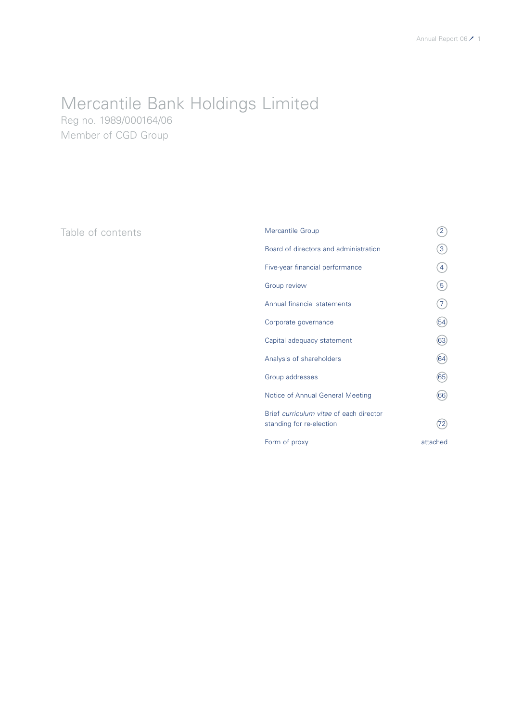# Mercantile Bank Holdings Limited

Reg no. 1989/000164/06 Member of CGD Group

Table of contents

| <b>Mercantile Group</b>                                             | 2              |
|---------------------------------------------------------------------|----------------|
| Board of directors and administration                               | $\overline{3}$ |
| Five-year financial performance                                     | $\overline{4}$ |
| <b>Group review</b>                                                 | $\overline{5}$ |
| Annual financial statements                                         | $\mathcal{I}$  |
| Corporate governance                                                | 54             |
| Capital adequacy statement                                          | 63             |
| Analysis of shareholders                                            | 64             |
| Group addresses                                                     | 65             |
| Notice of Annual General Meeting                                    | 66             |
| Brief curriculum vitae of each director<br>standing for re-election | 72             |
| Form of proxy                                                       | attached       |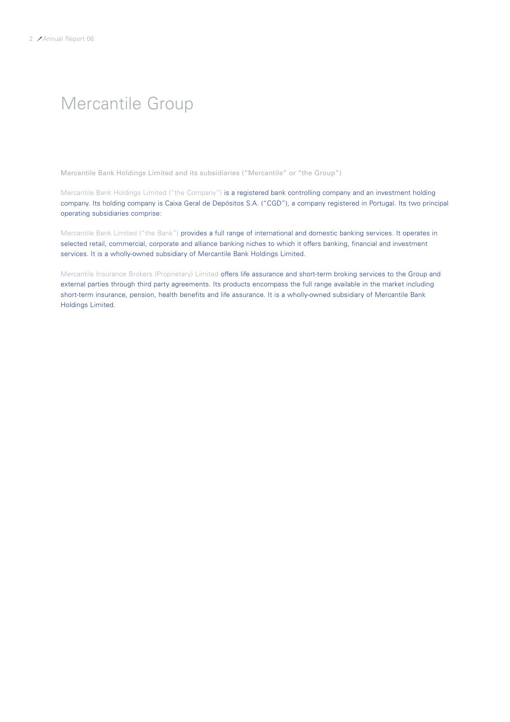## Mercantile Group

Mercantile Bank Holdings Limited and its subsidiaries ("Mercantile" or "the Group")

Mercantile Bank Holdings Limited ("the Company") is a registered bank controlling company and an investment holding company. Its holding company is Caixa Geral de Depósitos S.A. ("CGD"), a company registered in Portugal. Its two principal operating subsidiaries comprise:

Mercantile Bank Limited ("the Bank") provides a full range of international and domestic banking services. It operates in selected retail, commercial, corporate and alliance banking niches to which it offers banking, financial and investment services. It is a wholly-owned subsidiary of Mercantile Bank Holdings Limited.

Mercantile Insurance Brokers (Proprietary) Limited offers life assurance and short-term broking services to the Group and external parties through third party agreements. Its products encompass the full range available in the market including short-term insurance, pension, health benefits and life assurance. It is a wholly-owned subsidiary of Mercantile Bank Holdings Limited.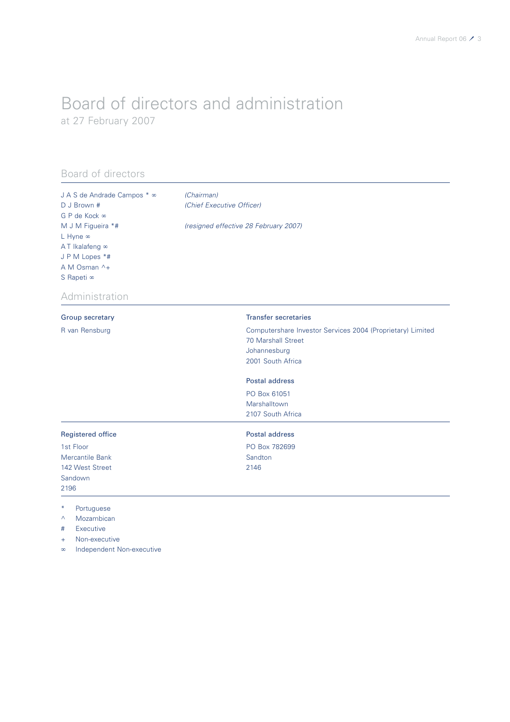### Board of directors and administration at 27 February 2007

### Board of directors

| J A S de Andrade Campos * ∞<br>D J Brown #<br>G P de Kock ∞<br>M J M Figueira *#<br>L Hyne ∞<br>AT Ikalafeng ∞<br>J P M Lopes *#<br>A M Osman ^+<br>S Rapeti ∞ | (Chairman)<br>(Chief Executive Officer)<br>(resigned effective 28 February 2007)                                             |
|----------------------------------------------------------------------------------------------------------------------------------------------------------------|------------------------------------------------------------------------------------------------------------------------------|
| Administration                                                                                                                                                 |                                                                                                                              |
| Group secretary                                                                                                                                                | <b>Transfer secretaries</b>                                                                                                  |
| R van Rensburg                                                                                                                                                 | Computershare Investor Services 2004 (Proprietary) Limited<br><b>70 Marshall Street</b><br>Johannesburg<br>2001 South Africa |
|                                                                                                                                                                | <b>Postal address</b>                                                                                                        |
|                                                                                                                                                                | PO Box 61051<br>Marshalltown<br>2107 South Africa                                                                            |
| <b>Registered office</b>                                                                                                                                       | Postal address                                                                                                               |
| 1st Floor                                                                                                                                                      | PO Box 782699                                                                                                                |
| Mercantile Bank                                                                                                                                                | Sandton                                                                                                                      |
| 142 West Street                                                                                                                                                | 2146                                                                                                                         |
| Sandown<br>2196                                                                                                                                                |                                                                                                                              |
| $\ast$<br>Portuguese<br>Mozambican<br>Λ<br>Forecastle in                                                                                                       |                                                                                                                              |

# Executive

+ Non-executive

∞ Independent Non-executive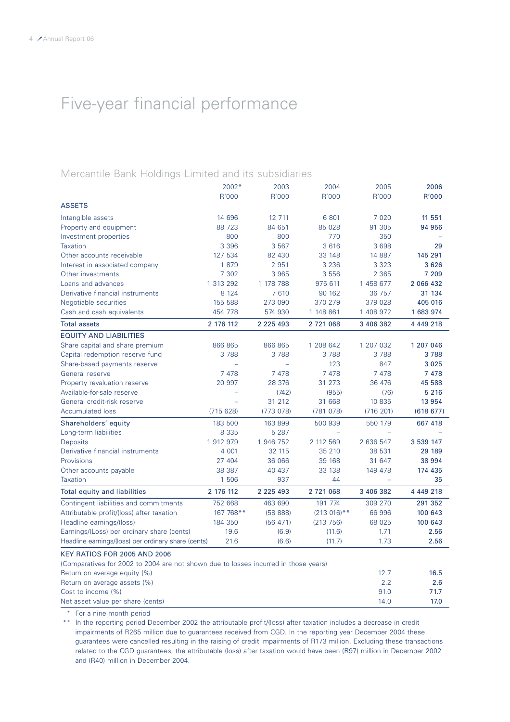## Five-year financial performance

### Mercantile Bank Holdings Limited and its subsidiaries

|                                                                                     | 2002*     | 2003          | 2004           | 2005      | 2006          |
|-------------------------------------------------------------------------------------|-----------|---------------|----------------|-----------|---------------|
|                                                                                     | R'000     | R'000         | R'000          | R'000     | R'000         |
| <b>ASSETS</b>                                                                       |           |               |                |           |               |
| Intangible assets                                                                   | 14 696    | 12 711        | 6 801          | 7 0 2 0   | 11 551        |
| Property and equipment                                                              | 88 723    | 84 651        | 85 028         | 91 305    | 94 956        |
| Investment properties                                                               | 800       | 800           | 770            | 350       |               |
| <b>Taxation</b>                                                                     | 3 3 9 6   | 3 5 6 7       | 3 6 1 6        | 3 6 9 8   | 29            |
| Other accounts receivable                                                           | 127 534   | 82 430        | 33 148         | 14 887    | 145 291       |
| Interest in associated company                                                      | 1879      | 2 9 5 1       | 3 2 3 6        | 3 3 2 3   | 3626          |
| Other investments                                                                   | 7 3 0 2   | 3 9 6 5       | 3 5 5 6        | 2 3 6 5   | 7 209         |
| Loans and advances                                                                  | 1 313 292 | 1 178 788     | 975 611        | 1 458 677 | 2 066 432     |
| Derivative financial instruments                                                    | 8 1 2 4   | 7610          | 90 162         | 36 757    | 31 134        |
| Negotiable securities                                                               | 155 588   | 273 090       | 370 279        | 379 028   | 405 016       |
| Cash and cash equivalents                                                           | 454 778   | 574 930       | 1 148 861      | 1 408 972 | 1 683 974     |
| <b>Total assets</b>                                                                 | 2 176 112 | 2 2 2 5 4 9 3 | 2 721 068      | 3 406 382 | 4 4 4 9 2 1 8 |
| <b>EQUITY AND LIABILITIES</b>                                                       |           |               |                |           |               |
| Share capital and share premium                                                     | 866 865   | 866 865       | 1 208 642      | 1 207 032 | 1 207 046     |
| Capital redemption reserve fund                                                     | 3788      | 3 7 8 8       | 3788           | 3788      | 3788          |
| Share-based payments reserve                                                        |           |               | 123            | 847       | 3 0 2 5       |
| General reserve                                                                     | 7478      | 7478          | 7 4 7 8        | 7478      | 7478          |
| Property revaluation reserve                                                        | 20 997    | 28 376        | 31 273         | 36 476    | 45 588        |
| Available-for-sale reserve                                                          |           | (742)         | (955)          | (76)      | 5 2 1 6       |
| General credit-risk reserve                                                         |           | 31 212        | 31 668         | 10 835    | 13 954        |
| <b>Accumulated loss</b>                                                             | (715628)  | (773078)      | (781078)       | (716 201) | (618677)      |
| Shareholders' equity                                                                | 183 500   | 163 899       | 500 939        | 550 179   | 667 418       |
| Long-term liabilities                                                               | 8 3 3 5   | 5 2 8 7       |                |           |               |
| <b>Deposits</b>                                                                     | 1912979   | 1 946 752     | 2 112 569      | 2 636 547 | 3 539 147     |
| Derivative financial instruments                                                    | 4 0 0 1   | 32 115        | 35 210         | 38 531    | 29 189        |
| Provisions                                                                          | 27 404    | 36 066        | 39 168         | 31 647    | 38 994        |
| Other accounts payable                                                              | 38 387    | 40 437        | 33 138         | 149 478   | 174 435       |
| <b>Taxation</b>                                                                     | 1 506     | 937           | 44             | Ξ         | 35            |
| <b>Total equity and liabilities</b>                                                 | 2 176 112 | 2 2 2 5 4 9 3 | 2 721 068      | 3 406 382 | 4 4 4 9 2 1 8 |
| Contingent liabilities and commitments                                              | 752 668   | 463 690       | 191 774        | 309 270   | 291 352       |
| Attributable profit/(loss) after taxation                                           | 167 768** | (5888)        | $(213.016)$ ** | 66 996    | 100 643       |
| Headline earnings/(loss)                                                            | 184 350   | (56 471)      | (213 756)      | 68 0 25   | 100 643       |
| Earnings/(Loss) per ordinary share (cents)                                          | 19.6      | (6.9)         | (11.6)         | 1.71      | 2.56          |
| Headline earnings/(loss) per ordinary share (cents)                                 | 21.6      | (6.6)         | (11.7)         | 1.73      | 2.56          |
| KEY RATIOS FOR 2005 AND 2006                                                        |           |               |                |           |               |
| (Comparatives for 2002 to 2004 are not shown due to losses incurred in those years) |           |               |                |           |               |
| Return on average equity (%)                                                        |           |               |                | 12.7      | 16.5          |
| Return on average assets (%)                                                        |           |               |                | 2.2       | 2.6           |
| Cost to income (%)                                                                  |           |               |                | 91.0      | 71.7          |
| Net asset value per share (cents)                                                   |           |               |                | 14.0      | 17.0          |

\* For a nine month period

\*\* In the reporting period December 2002 the attributable profit/(loss) after taxation includes a decrease in credit impairments of R265 million due to guarantees received from CGD. In the reporting year December 2004 these guarantees were cancelled resulting in the raising of credit impairments of R173 million. Excluding these transactions related to the CGD guarantees, the attributable (loss) after taxation would have been (R97) million in December 2002 and (R40) million in December 2004.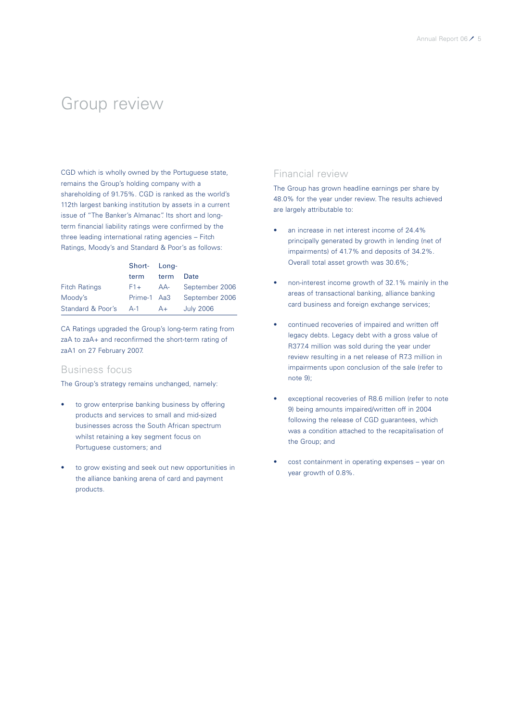### Group review

CGD which is wholly owned by the Portuguese state, remains the Group's holding company with a shareholding of 91.75%. CGD is ranked as the world's 112th largest banking institution by assets in a current issue of "The Banker's Almanac". Its short and longterm financial liability ratings were confirmed by the three leading international rating agencies – Fitch Ratings, Moody's and Standard & Poor's as follows:

|                       | Short- Long- |      |                  |
|-----------------------|--------------|------|------------------|
|                       | term         | term | Date             |
| <b>Fitch Ratings</b>  | $F1+$        | AA-  | September 2006   |
| Moody's               | Prime-1 Aa3  |      | September 2006   |
| Standard & Poor's A-1 |              | $A+$ | <b>July 2006</b> |

CA Ratings upgraded the Group's long-term rating from zaA to zaA+ and reconfirmed the short-term rating of zaA1 on 27 February 2007.

### Business focus

The Group's strategy remains unchanged, namely:

- to grow enterprise banking business by offering products and services to small and mid-sized businesses across the South African spectrum whilst retaining a key segment focus on Portuguese customers; and
- to grow existing and seek out new opportunities in the alliance banking arena of card and payment products.

### Financial review

The Group has grown headline earnings per share by 48.0% for the year under review. The results achieved are largely attributable to:

- an increase in net interest income of 24.4% principally generated by growth in lending (net of impairments) of 41.7% and deposits of 34.2%. Overall total asset growth was 30.6%;
- non-interest income growth of 32.1% mainly in the areas of transactional banking, alliance banking card business and foreign exchange services;
- continued recoveries of impaired and written off legacy debts. Legacy debt with a gross value of R377.4 million was sold during the year under review resulting in a net release of R7.3 million in impairments upon conclusion of the sale (refer to note 9);
- exceptional recoveries of R8.6 million (refer to note 9) being amounts impaired/written off in 2004 following the release of CGD guarantees, which was a condition attached to the recapitalisation of the Group; and
- cost containment in operating expenses year on year growth of 0.8%.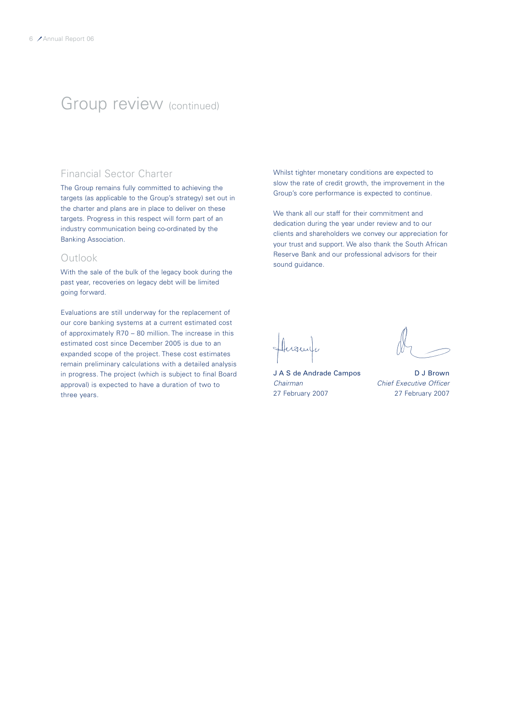### Group review (continued)

### Financial Sector Charter

The Group remains fully committed to achieving the targets (as applicable to the Group's strategy) set out in the charter and plans are in place to deliver on these targets. Progress in this respect will form part of an industry communication being co-ordinated by the Banking Association.

### Outlook

With the sale of the bulk of the legacy book during the past year, recoveries on legacy debt will be limited going forward.

Evaluations are still underway for the replacement of our core banking systems at a current estimated cost of approximately R70 – 80 million. The increase in this estimated cost since December 2005 is due to an expanded scope of the project. These cost estimates remain preliminary calculations with a detailed analysis in progress. The project (which is subject to final Board approval) is expected to have a duration of two to three years.

Whilst tighter monetary conditions are expected to slow the rate of credit growth, the improvement in the Group's core performance is expected to continue.

We thank all our staff for their commitment and dedication during the year under review and to our clients and shareholders we convey our appreciation for your trust and support. We also thank the South African Reserve Bank and our professional advisors for their sound guidance.

Huguela

J A S de Andrade Campos D J Brown *Chairman Chief Executive Officer*

27 February 2007 27 February 2007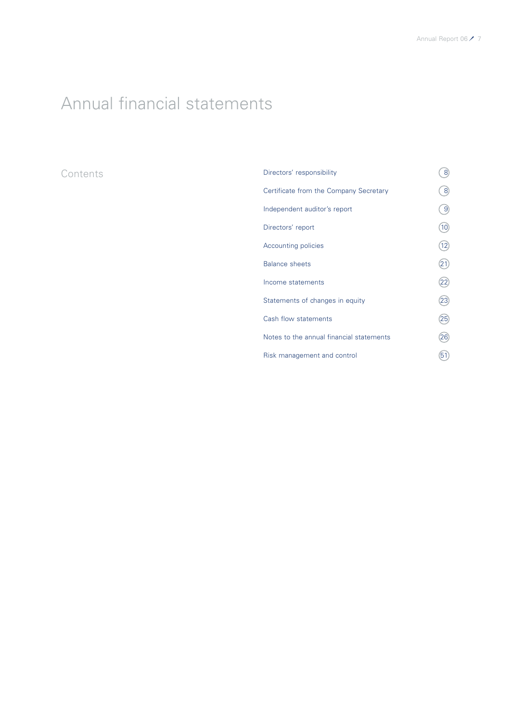# Annual financial statements

### **Contents**

| Directors' responsibility                | 8               |
|------------------------------------------|-----------------|
| Certificate from the Company Secretary   | 8               |
| Independent auditor's report             | 9               |
| Directors' report                        | 10 <sup>1</sup> |
| Accounting policies                      | 12              |
| <b>Balance sheets</b>                    | 21              |
| Income statements                        | 22              |
| Statements of changes in equity          | 23              |
| Cash flow statements                     | 25)             |
| Notes to the annual financial statements | 26              |
| Risk management and control              | 51              |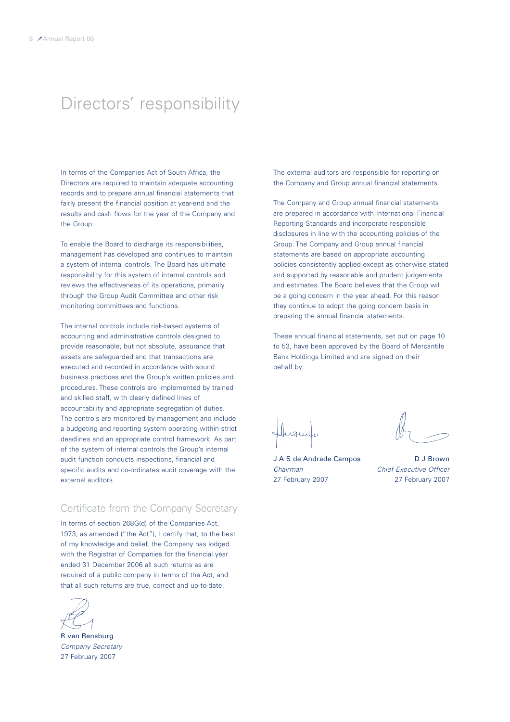## Directors' responsibility

In terms of the Companies Act of South Africa, the Directors are required to maintain adequate accounting records and to prepare annual financial statements that fairly present the financial position at year-end and the results and cash flows for the year of the Company and the Group.

To enable the Board to discharge its responsibilities, management has developed and continues to maintain a system of internal controls. The Board has ultimate responsibility for this system of internal controls and reviews the effectiveness of its operations, primarily through the Group Audit Committee and other risk monitoring committees and functions.

The internal controls include risk-based systems of accounting and administrative controls designed to provide reasonable, but not absolute, assurance that assets are safeguarded and that transactions are executed and recorded in accordance with sound business practices and the Group's written policies and procedures. These controls are implemented by trained and skilled staff, with clearly defined lines of accountability and appropriate segregation of duties. The controls are monitored by management and include a budgeting and reporting system operating within strict deadlines and an appropriate control framework. As part of the system of internal controls the Group's internal audit function conducts inspections, financial and specific audits and co-ordinates audit coverage with the external auditors.

### Certificate from the Company Secretary

In terms of section 268G(d) of the Companies Act, 1973, as amended ("the Act"), I certify that, to the best of my knowledge and belief, the Company has lodged with the Registrar of Companies for the financial year ended 31 December 2006 all such returns as are required of a public company in terms of the Act, and that all such returns are true, correct and up-to-date.

R van Rensburg *Company Secretary* 27 February 2007

The external auditors are responsible for reporting on the Company and Group annual financial statements.

The Company and Group annual financial statements are prepared in accordance with International Financial Reporting Standards and incorporate responsible disclosures in line with the accounting policies of the Group. The Company and Group annual financial statements are based on appropriate accounting policies consistently applied except as otherwise stated and supported by reasonable and prudent judgements and estimates. The Board believes that the Group will be a going concern in the year ahead. For this reason they continue to adopt the going concern basis in preparing the annual financial statements.

These annual financial statements, set out on page 10 to 53, have been approved by the Board of Mercantile Bank Holdings Limited and are signed on their behalf by:

J A S de Andrade Campos D J Brown *Chairman Chief Executive Officer*

27 February 2007 27 February 2007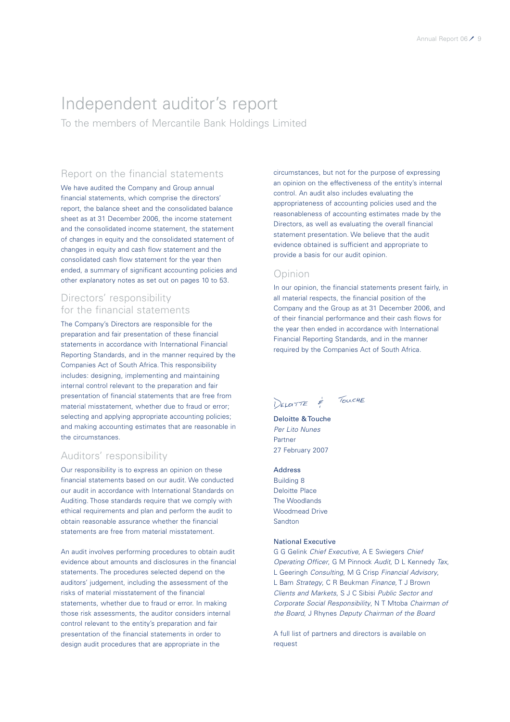## Independent auditor's report

To the members of Mercantile Bank Holdings Limited

### Report on the financial statements

We have audited the Company and Group annual financial statements, which comprise the directors' report, the balance sheet and the consolidated balance sheet as at 31 December 2006, the income statement and the consolidated income statement, the statement of changes in equity and the consolidated statement of changes in equity and cash flow statement and the consolidated cash flow statement for the year then ended, a summary of significant accounting policies and other explanatory notes as set out on pages 10 to 53.

### Directors' responsibility for the financial statements

The Company's Directors are responsible for the preparation and fair presentation of these financial statements in accordance with International Financial Reporting Standards, and in the manner required by the Companies Act of South Africa. This responsibility includes: designing, implementing and maintaining internal control relevant to the preparation and fair presentation of financial statements that are free from material misstatement, whether due to fraud or error; selecting and applying appropriate accounting policies; and making accounting estimates that are reasonable in the circumstances.

### Auditors' responsibility

Our responsibility is to express an opinion on these financial statements based on our audit. We conducted our audit in accordance with International Standards on Auditing. Those standards require that we comply with ethical requirements and plan and perform the audit to obtain reasonable assurance whether the financial statements are free from material misstatement.

An audit involves performing procedures to obtain audit evidence about amounts and disclosures in the financial statements. The procedures selected depend on the auditors' judgement, including the assessment of the risks of material misstatement of the financial statements, whether due to fraud or error. In making those risk assessments, the auditor considers internal control relevant to the entity's preparation and fair presentation of the financial statements in order to design audit procedures that are appropriate in the

circumstances, but not for the purpose of expressing an opinion on the effectiveness of the entity's internal control. An audit also includes evaluating the appropriateness of accounting policies used and the reasonableness of accounting estimates made by the Directors, as well as evaluating the overall financial statement presentation. We believe that the audit evidence obtained is sufficient and appropriate to provide a basis for our audit opinion.

### Opinion

In our opinion, the financial statements present fairly, in all material respects, the financial position of the Company and the Group as at 31 December 2006, and of their financial performance and their cash flows for the year then ended in accordance with International Financial Reporting Standards, and in the manner required by the Companies Act of South Africa.

DELOTTE & TOUCHE

Deloitte & Touche *Per Lito Nunes* Partner 27 February 2007

Address Building 8 Deloitte Place The Woodlands Woodmead Drive Sandton

### National Executive

G G Gelink *Chief Executive*, A E Swiegers *Chief Operating Officer*, G M Pinnock *Audit*, D L Kennedy *Tax*, L Geeringh *Consulting*, M G Crisp *Financial Advisory*, L Bam *Strategy*, C R Beukman *Finance*, T J Brown *Clients and Markets*, S J C Sibisi *Public Sector and Corporate Social Responsibility*, N T Mtoba *Chairman of the Board*, J Rhynes *Deputy Chairman of the Board*

A full list of partners and directors is available on request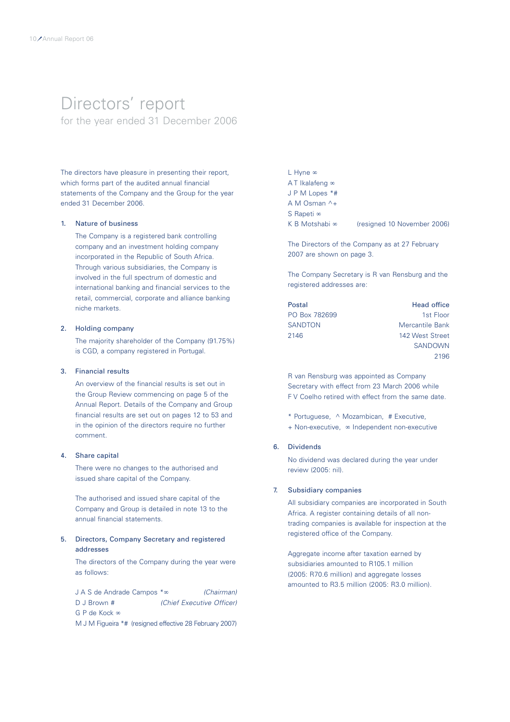### Directors' report for the year ended 31 December 2006

The directors have pleasure in presenting their report, which forms part of the audited annual financial statements of the Company and the Group for the year ended 31 December 2006.

### 1. Nature of business

The Company is a registered bank controlling company and an investment holding company incorporated in the Republic of South Africa. Through various subsidiaries, the Company is involved in the full spectrum of domestic and international banking and financial services to the retail, commercial, corporate and alliance banking niche markets.

### 2. Holding company

The majority shareholder of the Company (91.75%) is CGD, a company registered in Portugal.

### 3. Financial results

An overview of the financial results is set out in the Group Review commencing on page 5 of the Annual Report. Details of the Company and Group financial results are set out on pages 12 to 53 and in the opinion of the directors require no further comment.

### 4. Share capital

There were no changes to the authorised and issued share capital of the Company.

The authorised and issued share capital of the Company and Group is detailed in note 13 to the annual financial statements.

### 5. Directors, Company Secretary and registered addresses

The directors of the Company during the year were as follows:

J A S de Andrade Campos \*∞ *(Chairman)* D J Brown # *(Chief Executive Officer)* G P de Kock ∞

M J M Figueira \*# (resigned effective 28 February 2007)

L Hyne ∞ A T Ikalafeng ∞ J P M Lopes \*# A M Osman ^+ S Rapeti ∞ K B Motshabi ∞ (resigned 10 November 2006)

The Directors of the Company as at 27 February 2007 are shown on page 3.

The Company Secretary is R van Rensburg and the registered addresses are:

| Postal        | <b>Head office</b>     |
|---------------|------------------------|
| PO Box 782699 | 1st Floor              |
| SANDTON       | <b>Mercantile Bank</b> |
| 2146          | 142 West Street        |
|               | <b>SANDOWN</b>         |
|               | 2196                   |

R van Rensburg was appointed as Company Secretary with effect from 23 March 2006 while F V Coelho retired with effect from the same date.

- \* Portuguese, ^ Mozambican, # Executive,
- + Non-executive, ∞ Independent non-executive

### 6. Dividends

No dividend was declared during the year under review (2005: nil).

### 7. Subsidiary companies

All subsidiary companies are incorporated in South Africa. A register containing details of all nontrading companies is available for inspection at the registered office of the Company.

Aggregate income after taxation earned by subsidiaries amounted to R105.1 million (2005: R70.6 million) and aggregate losses amounted to R3.5 million (2005: R3.0 million).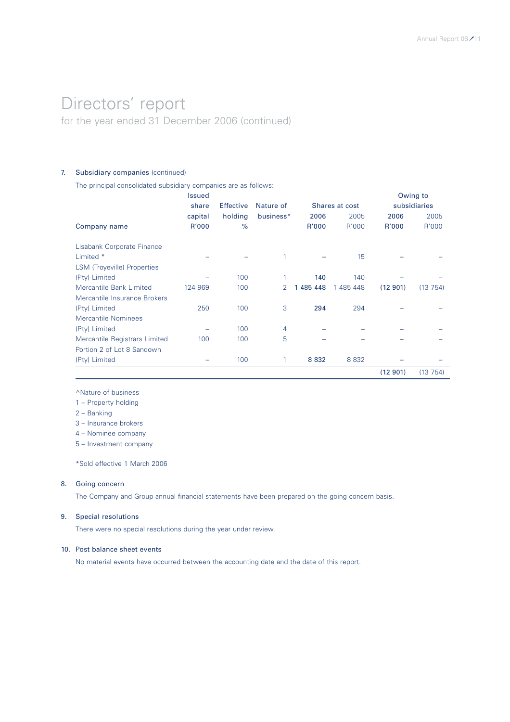### Directors' report for the year ended 31 December 2006 (continued)

### 7. Subsidiary companies (continued)

The principal consolidated subsidiary companies are as follows:

|                               | <b>Issued</b> |                  |                       |           |                |         | Owing to     |
|-------------------------------|---------------|------------------|-----------------------|-----------|----------------|---------|--------------|
|                               | share         | <b>Effective</b> | Nature of             |           | Shares at cost |         | subsidiaries |
|                               | capital       | holding          | business <sup>^</sup> | 2006      | 2005           | 2006    | 2005         |
| Company name                  | R'000         | $\%$             |                       | R'000     | R'000          | R'000   | R'000        |
| Lisabank Corporate Finance    |               |                  |                       |           |                |         |              |
| Limited *                     |               |                  | 1                     |           | 15             |         |              |
| LSM (Troyeville) Properties   |               |                  |                       |           |                |         |              |
| (Pty) Limited                 |               | 100              |                       | 140       | 140            |         |              |
| Mercantile Bank Limited       | 124 969       | 100              | 2                     | 1 485 448 | 1 485 448      | (12901) | (13754)      |
| Mercantile Insurance Brokers  |               |                  |                       |           |                |         |              |
| (Pty) Limited                 | 250           | 100              | 3                     | 294       | 294            |         |              |
| Mercantile Nominees           |               |                  |                       |           |                |         |              |
| (Pty) Limited                 |               | 100              | 4                     |           |                |         |              |
| Mercantile Registrars Limited | 100           | 100              | 5                     |           |                |         |              |
| Portion 2 of Lot 8 Sandown    |               |                  |                       |           |                |         |              |
| (Pty) Limited                 |               | 100              | 1                     | 8 8 3 2   | 8 8 3 2        |         |              |
|                               |               |                  |                       |           |                | (12901) | (13754)      |

^Nature of business

1 – Property holding

2 – Banking

3 – Insurance brokers

4 – Nominee company

5 – Investment company

\*Sold effective 1 March 2006

### 8. Going concern

The Company and Group annual financial statements have been prepared on the going concern basis.

### 9. Special resolutions

There were no special resolutions during the year under review.

### 10. Post balance sheet events

No material events have occurred between the accounting date and the date of this report.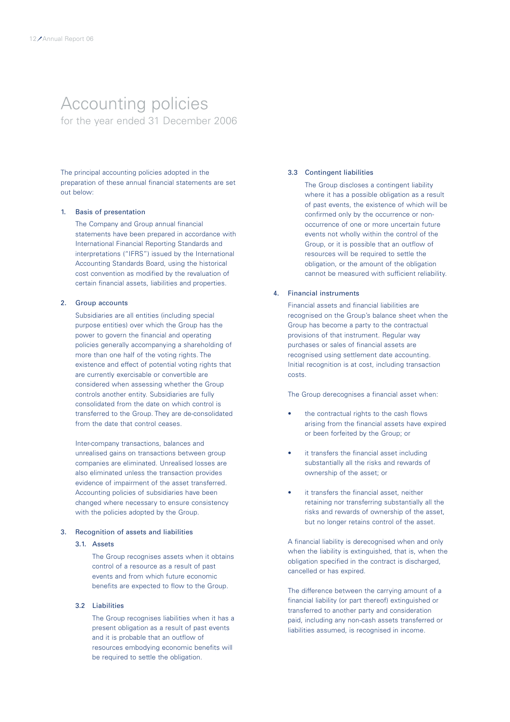### Accounting policies for the year ended 31 December 2006

The principal accounting policies adopted in the preparation of these annual financial statements are set out below:

### 1. Basis of presentation

The Company and Group annual financial statements have been prepared in accordance with International Financial Reporting Standards and interpretations ("IFRS") issued by the International Accounting Standards Board, using the historical cost convention as modified by the revaluation of certain financial assets, liabilities and properties.

#### 2. Group accounts

Subsidiaries are all entities (including special purpose entities) over which the Group has the power to govern the financial and operating policies generally accompanying a shareholding of more than one half of the voting rights. The existence and effect of potential voting rights that are currently exercisable or convertible are considered when assessing whether the Group controls another entity. Subsidiaries are fully consolidated from the date on which control is transferred to the Group. They are de-consolidated from the date that control ceases.

Inter-company transactions, balances and unrealised gains on transactions between group companies are eliminated. Unrealised losses are also eliminated unless the transaction provides evidence of impairment of the asset transferred. Accounting policies of subsidiaries have been changed where necessary to ensure consistency with the policies adopted by the Group.

### 3. Recognition of assets and liabilities

### 3.1. Assets

The Group recognises assets when it obtains control of a resource as a result of past events and from which future economic benefits are expected to flow to the Group.

### 3.2 Liabilities

The Group recognises liabilities when it has a present obligation as a result of past events and it is probable that an outflow of resources embodying economic benefits will be required to settle the obligation.

### 3.3 Contingent liabilities

The Group discloses a contingent liability where it has a possible obligation as a result of past events, the existence of which will be confirmed only by the occurrence or nonoccurrence of one or more uncertain future events not wholly within the control of the Group, or it is possible that an outflow of resources will be required to settle the obligation, or the amount of the obligation cannot be measured with sufficient reliability.

### 4. Financial instruments

Financial assets and financial liabilities are recognised on the Group's balance sheet when the Group has become a party to the contractual provisions of that instrument. Regular way purchases or sales of financial assets are recognised using settlement date accounting. Initial recognition is at cost, including transaction costs.

The Group derecognises a financial asset when:

- the contractual rights to the cash flows arising from the financial assets have expired or been forfeited by the Group; or
- it transfers the financial asset including substantially all the risks and rewards of ownership of the asset; or
- it transfers the financial asset, neither retaining nor transferring substantially all the risks and rewards of ownership of the asset, but no longer retains control of the asset.

A financial liability is derecognised when and only when the liability is extinguished, that is, when the obligation specified in the contract is discharged, cancelled or has expired.

The difference between the carrying amount of a financial liability (or part thereof) extinguished or transferred to another party and consideration paid, including any non-cash assets transferred or liabilities assumed, is recognised in income.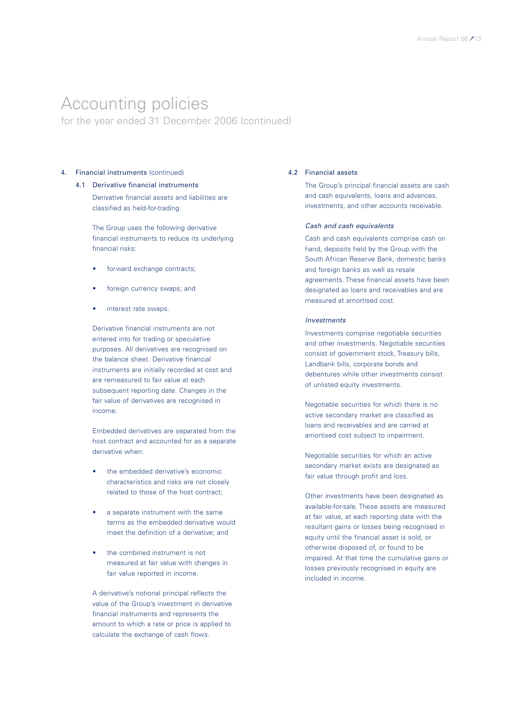for the year ended 31 December 2006 (continued)

### 4. Financial instruments (continued)

### 4.1 Derivative financial instruments

Derivative financial assets and liabilities are classified as held-for-trading.

The Group uses the following derivative financial instruments to reduce its underlying financial risks:

- forward exchange contracts;
- foreign currency swaps; and
- interest rate swaps.

Derivative financial instruments are not entered into for trading or speculative purposes. All derivatives are recognised on the balance sheet. Derivative financial instruments are initially recorded at cost and are remeasured to fair value at each subsequent reporting date. Changes in the fair value of derivatives are recognised in income.

Embedded derivatives are separated from the host contract and accounted for as a separate derivative when:

- the embedded derivative's economic characteristics and risks are not closely related to those of the host contract;
- a separate instrument with the same terms as the embedded derivative would meet the definition of a derivative; and
- the combined instrument is not measured at fair value with changes in fair value reported in income.

A derivative's notional principal reflects the value of the Group's investment in derivative financial instruments and represents the amount to which a rate or price is applied to calculate the exchange of cash flows.

### 4.2 Financial assets

The Group's principal financial assets are cash and cash equivalents, loans and advances, investments, and other accounts receivable.

#### *Cash and cash equivalents*

Cash and cash equivalents comprise cash on hand, deposits held by the Group with the South African Reserve Bank, domestic banks and foreign banks as well as resale agreements. These financial assets have been designated as loans and receivables and are measured at amortised cost.

#### *Investments*

Investments comprise negotiable securities and other investments. Negotiable securities consist of government stock, Treasury bills, Landbank bills, corporate bonds and debentures while other investments consist of unlisted equity investments.

Negotiable securities for which there is no active secondary market are classified as loans and receivables and are carried at amortised cost subject to impairment.

Negotiable securities for which an active secondary market exists are designated as fair value through profit and loss.

Other investments have been designated as available-for-sale. These assets are measured at fair value, at each reporting date with the resultant gains or losses being recognised in equity until the financial asset is sold, or otherwise disposed of, or found to be impaired. At that time the cumulative gains or losses previously recognised in equity are included in income.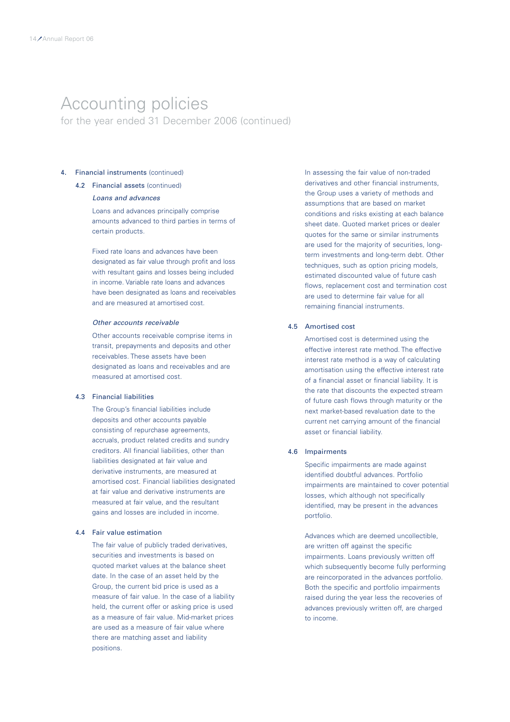for the year ended 31 December 2006 (continued)

### 4. Financial instruments (continued)

### 4.2 Financial assets (continued)

### *Loans and advances*

Loans and advances principally comprise amounts advanced to third parties in terms of certain products.

Fixed rate loans and advances have been designated as fair value through profit and loss with resultant gains and losses being included in income. Variable rate loans and advances have been designated as loans and receivables and are measured at amortised cost.

### *Other accounts receivable*

Other accounts receivable comprise items in transit, prepayments and deposits and other receivables. These assets have been designated as loans and receivables and are measured at amortised cost.

#### 4.3 Financial liabilities

The Group's financial liabilities include deposits and other accounts payable consisting of repurchase agreements, accruals, product related credits and sundry creditors. All financial liabilities, other than liabilities designated at fair value and derivative instruments, are measured at amortised cost. Financial liabilities designated at fair value and derivative instruments are measured at fair value, and the resultant gains and losses are included in income.

### 4.4 Fair value estimation

The fair value of publicly traded derivatives, securities and investments is based on quoted market values at the balance sheet date. In the case of an asset held by the Group, the current bid price is used as a measure of fair value. In the case of a liability held, the current offer or asking price is used as a measure of fair value. Mid-market prices are used as a measure of fair value where there are matching asset and liability positions.

In assessing the fair value of non-traded derivatives and other financial instruments, the Group uses a variety of methods and assumptions that are based on market conditions and risks existing at each balance sheet date. Quoted market prices or dealer quotes for the same or similar instruments are used for the majority of securities, longterm investments and long-term debt. Other techniques, such as option pricing models, estimated discounted value of future cash flows, replacement cost and termination cost are used to determine fair value for all remaining financial instruments.

#### 4.5 Amortised cost

Amortised cost is determined using the effective interest rate method. The effective interest rate method is a way of calculating amortisation using the effective interest rate of a financial asset or financial liability. It is the rate that discounts the expected stream of future cash flows through maturity or the next market-based revaluation date to the current net carrying amount of the financial asset or financial liability.

### 4.6 Impairments

Specific impairments are made against identified doubtful advances. Portfolio impairments are maintained to cover potential losses, which although not specifically identified, may be present in the advances portfolio.

Advances which are deemed uncollectible, are written off against the specific impairments. Loans previously written off which subsequently become fully performing are reincorporated in the advances portfolio. Both the specific and portfolio impairments raised during the year less the recoveries of advances previously written off, are charged to income.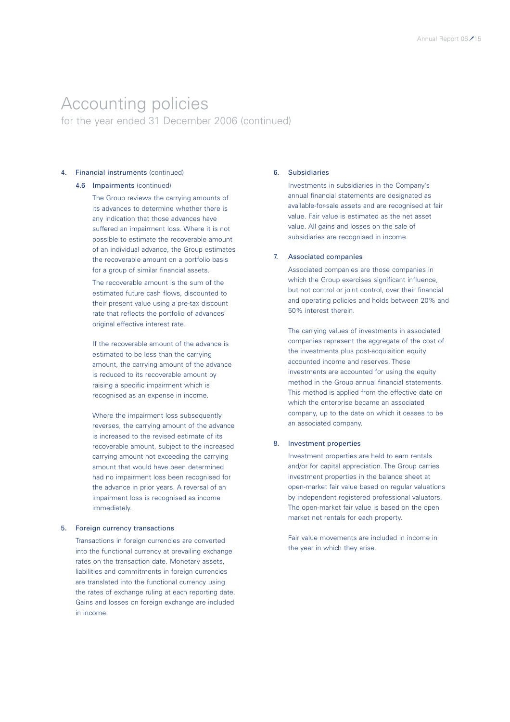for the year ended 31 December 2006 (continued)

### 4. Financial instruments (continued)

### 4.6 Impairments (continued)

The Group reviews the carrying amounts of its advances to determine whether there is any indication that those advances have suffered an impairment loss. Where it is not possible to estimate the recoverable amount of an individual advance, the Group estimates the recoverable amount on a portfolio basis for a group of similar financial assets.

The recoverable amount is the sum of the estimated future cash flows, discounted to their present value using a pre-tax discount rate that reflects the portfolio of advances' original effective interest rate.

If the recoverable amount of the advance is estimated to be less than the carrying amount, the carrying amount of the advance is reduced to its recoverable amount by raising a specific impairment which is recognised as an expense in income.

Where the impairment loss subsequently reverses, the carrying amount of the advance is increased to the revised estimate of its recoverable amount, subject to the increased carrying amount not exceeding the carrying amount that would have been determined had no impairment loss been recognised for the advance in prior years. A reversal of an impairment loss is recognised as income immediately.

#### 5. Foreign currency transactions

Transactions in foreign currencies are converted into the functional currency at prevailing exchange rates on the transaction date. Monetary assets, liabilities and commitments in foreign currencies are translated into the functional currency using the rates of exchange ruling at each reporting date. Gains and losses on foreign exchange are included in income.

### 6. Subsidiaries

Investments in subsidiaries in the Company's annual financial statements are designated as available-for-sale assets and are recognised at fair value. Fair value is estimated as the net asset value. All gains and losses on the sale of subsidiaries are recognised in income.

### 7. Associated companies

Associated companies are those companies in which the Group exercises significant influence. but not control or joint control, over their financial and operating policies and holds between 20% and 50% interest therein.

The carrying values of investments in associated companies represent the aggregate of the cost of the investments plus post-acquisition equity accounted income and reserves. These investments are accounted for using the equity method in the Group annual financial statements. This method is applied from the effective date on which the enterprise became an associated company, up to the date on which it ceases to be an associated company.

#### 8. Investment properties

Investment properties are held to earn rentals and/or for capital appreciation. The Group carries investment properties in the balance sheet at open-market fair value based on regular valuations by independent registered professional valuators. The open-market fair value is based on the open market net rentals for each property.

Fair value movements are included in income in the year in which they arise.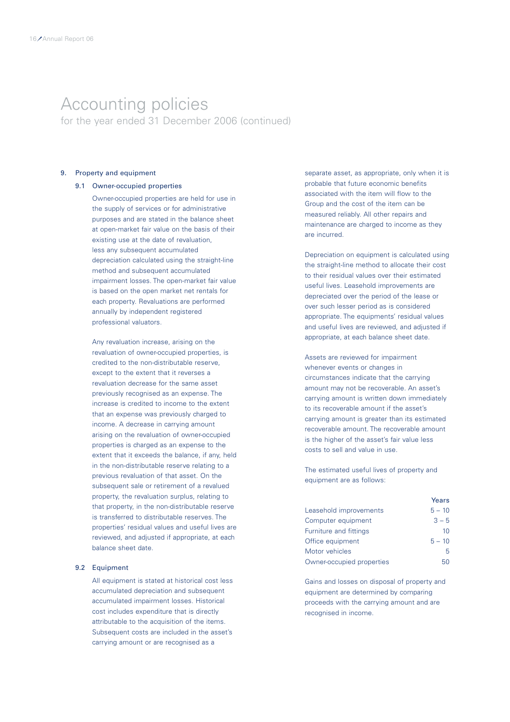for the year ended 31 December 2006 (continued)

### 9. Property and equipment

### 9.1 Owner-occupied properties

Owner-occupied properties are held for use in the supply of services or for administrative purposes and are stated in the balance sheet at open-market fair value on the basis of their existing use at the date of revaluation, less any subsequent accumulated depreciation calculated using the straight-line method and subsequent accumulated impairment losses. The open-market fair value is based on the open market net rentals for each property. Revaluations are performed annually by independent registered professional valuators.

Any revaluation increase, arising on the revaluation of owner-occupied properties, is credited to the non-distributable reserve, except to the extent that it reverses a revaluation decrease for the same asset previously recognised as an expense. The increase is credited to income to the extent that an expense was previously charged to income. A decrease in carrying amount arising on the revaluation of owner-occupied properties is charged as an expense to the extent that it exceeds the balance, if any, held in the non-distributable reserve relating to a previous revaluation of that asset. On the subsequent sale or retirement of a revalued property, the revaluation surplus, relating to that property, in the non-distributable reserve is transferred to distributable reserves. The properties' residual values and useful lives are reviewed, and adjusted if appropriate, at each balance sheet date.

### 9.2 Equipment

All equipment is stated at historical cost less accumulated depreciation and subsequent accumulated impairment losses. Historical cost includes expenditure that is directly attributable to the acquisition of the items. Subsequent costs are included in the asset's carrying amount or are recognised as a

separate asset, as appropriate, only when it is probable that future economic benefits associated with the item will flow to the Group and the cost of the item can be measured reliably. All other repairs and maintenance are charged to income as they are incurred.

Depreciation on equipment is calculated using the straight-line method to allocate their cost to their residual values over their estimated useful lives. Leasehold improvements are depreciated over the period of the lease or over such lesser period as is considered appropriate. The equipments' residual values and useful lives are reviewed, and adjusted if appropriate, at each balance sheet date.

Assets are reviewed for impairment whenever events or changes in circumstances indicate that the carrying amount may not be recoverable. An asset's carrying amount is written down immediately to its recoverable amount if the asset's carrying amount is greater than its estimated recoverable amount. The recoverable amount is the higher of the asset's fair value less costs to sell and value in use.

The estimated useful lives of property and equipment are as follows:

|                           | Years    |
|---------------------------|----------|
| Leasehold improvements    | $5 - 10$ |
| Computer equipment        | $3 - 5$  |
| Furniture and fittings    | 10       |
| Office equipment          | $5 - 10$ |
| Motor vehicles            | 5        |
| Owner-occupied properties | 50       |

Gains and losses on disposal of property and equipment are determined by comparing proceeds with the carrying amount and are recognised in income.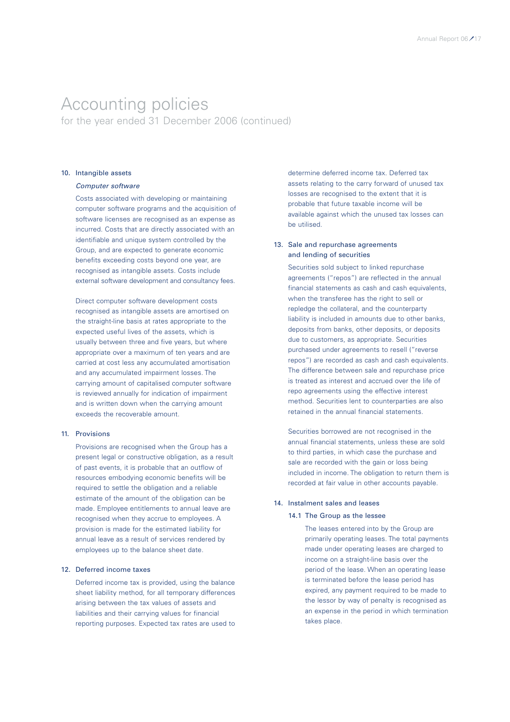for the year ended 31 December 2006 (continued)

### 10. Intangible assets

### *Computer software*

Costs associated with developing or maintaining computer software programs and the acquisition of software licenses are recognised as an expense as incurred. Costs that are directly associated with an identifiable and unique system controlled by the Group, and are expected to generate economic benefits exceeding costs beyond one year, are recognised as intangible assets. Costs include external software development and consultancy fees.

Direct computer software development costs recognised as intangible assets are amortised on the straight-line basis at rates appropriate to the expected useful lives of the assets, which is usually between three and five years, but where appropriate over a maximum of ten years and are carried at cost less any accumulated amortisation and any accumulated impairment losses. The carrying amount of capitalised computer software is reviewed annually for indication of impairment and is written down when the carrying amount exceeds the recoverable amount.

### 11. Provisions

Provisions are recognised when the Group has a present legal or constructive obligation, as a result of past events, it is probable that an outflow of resources embodying economic benefits will be required to settle the obligation and a reliable estimate of the amount of the obligation can be made. Employee entitlements to annual leave are recognised when they accrue to employees. A provision is made for the estimated liability for annual leave as a result of services rendered by employees up to the balance sheet date.

#### 12. Deferred income taxes

Deferred income tax is provided, using the balance sheet liability method, for all temporary differences arising between the tax values of assets and liabilities and their carrying values for financial reporting purposes. Expected tax rates are used to determine deferred income tax. Deferred tax assets relating to the carry forward of unused tax losses are recognised to the extent that it is probable that future taxable income will be available against which the unused tax losses can be utilised.

### 13. Sale and repurchase agreements and lending of securities

Securities sold subject to linked repurchase agreements ("repos") are reflected in the annual financial statements as cash and cash equivalents, when the transferee has the right to sell or repledge the collateral, and the counterparty liability is included in amounts due to other banks, deposits from banks, other deposits, or deposits due to customers, as appropriate. Securities purchased under agreements to resell ("reverse repos") are recorded as cash and cash equivalents. The difference between sale and repurchase price is treated as interest and accrued over the life of repo agreements using the effective interest method. Securities lent to counterparties are also retained in the annual financial statements.

Securities borrowed are not recognised in the annual financial statements, unless these are sold to third parties, in which case the purchase and sale are recorded with the gain or loss being included in income. The obligation to return them is recorded at fair value in other accounts payable.

### 14. Instalment sales and leases

### 14.1 The Group as the lessee

The leases entered into by the Group are primarily operating leases. The total payments made under operating leases are charged to income on a straight-line basis over the period of the lease. When an operating lease is terminated before the lease period has expired, any payment required to be made to the lessor by way of penalty is recognised as an expense in the period in which termination takes place.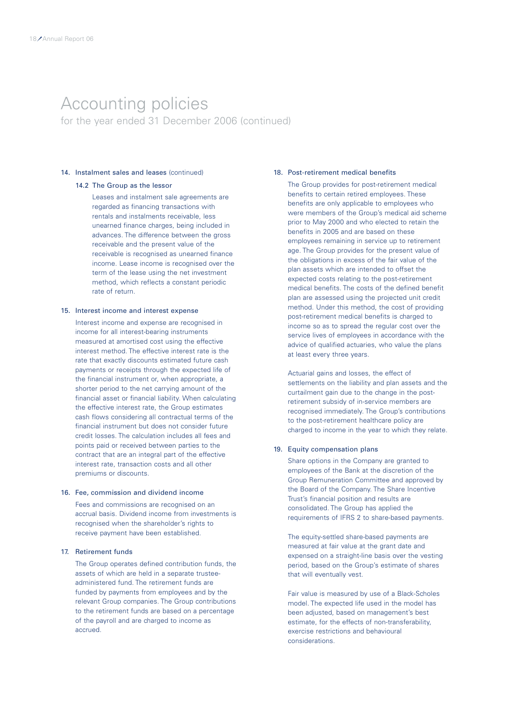for the year ended 31 December 2006 (continued)

### 14. Instalment sales and leases (continued)

### 14.2 The Group as the lessor

Leases and instalment sale agreements are regarded as financing transactions with rentals and instalments receivable, less unearned finance charges, being included in advances. The difference between the gross receivable and the present value of the receivable is recognised as unearned finance income. Lease income is recognised over the term of the lease using the net investment method, which reflects a constant periodic rate of return.

#### 15. Interest income and interest expense

Interest income and expense are recognised in income for all interest-bearing instruments measured at amortised cost using the effective interest method. The effective interest rate is the rate that exactly discounts estimated future cash payments or receipts through the expected life of the financial instrument or, when appropriate, a shorter period to the net carrying amount of the financial asset or financial liability. When calculating the effective interest rate, the Group estimates cash flows considering all contractual terms of the financial instrument but does not consider future credit losses. The calculation includes all fees and points paid or received between parties to the contract that are an integral part of the effective interest rate, transaction costs and all other premiums or discounts.

#### 16. Fee, commission and dividend income

Fees and commissions are recognised on an accrual basis. Dividend income from investments is recognised when the shareholder's rights to receive payment have been established.

### 17. Retirement funds

The Group operates defined contribution funds, the assets of which are held in a separate trusteeadministered fund. The retirement funds are funded by payments from employees and by the relevant Group companies. The Group contributions to the retirement funds are based on a percentage of the payroll and are charged to income as accrued.

### 18. Post-retirement medical benefits

The Group provides for post-retirement medical benefits to certain retired employees. These benefits are only applicable to employees who were members of the Group's medical aid scheme prior to May 2000 and who elected to retain the benefits in 2005 and are based on these employees remaining in service up to retirement age. The Group provides for the present value of the obligations in excess of the fair value of the plan assets which are intended to offset the expected costs relating to the post-retirement medical benefits. The costs of the defined benefit plan are assessed using the projected unit credit method. Under this method, the cost of providing post-retirement medical benefits is charged to income so as to spread the regular cost over the service lives of employees in accordance with the advice of qualified actuaries, who value the plans at least every three years.

Actuarial gains and losses, the effect of settlements on the liability and plan assets and the curtailment gain due to the change in the postretirement subsidy of in-service members are recognised immediately. The Group's contributions to the post-retirement healthcare policy are charged to income in the year to which they relate.

#### 19. Equity compensation plans

Share options in the Company are granted to employees of the Bank at the discretion of the Group Remuneration Committee and approved by the Board of the Company. The Share Incentive Trust's financial position and results are consolidated. The Group has applied the requirements of IFRS 2 to share-based payments.

The equity-settled share-based payments are measured at fair value at the grant date and expensed on a straight-line basis over the vesting period, based on the Group's estimate of shares that will eventually vest.

Fair value is measured by use of a Black-Scholes model. The expected life used in the model has been adjusted, based on management's best estimate, for the effects of non-transferability, exercise restrictions and behavioural considerations.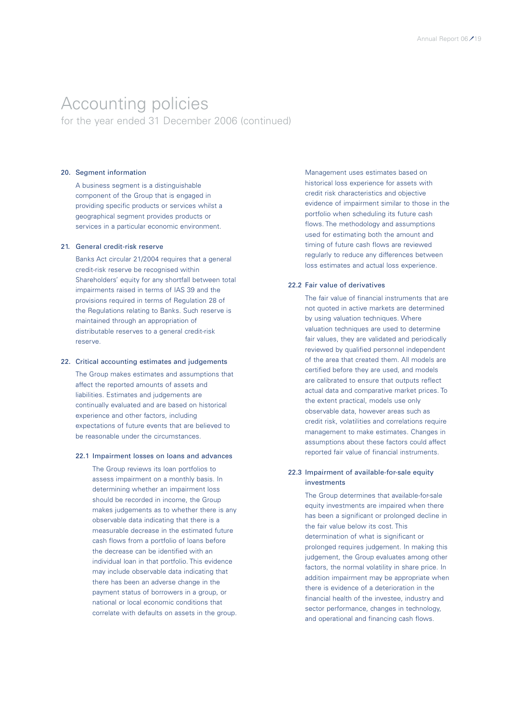for the year ended 31 December 2006 (continued)

### 20. Segment information

A business segment is a distinguishable component of the Group that is engaged in providing specific products or services whilst a geographical segment provides products or services in a particular economic environment.

#### 21. General credit-risk reserve

Banks Act circular 21/2004 requires that a general credit-risk reserve be recognised within Shareholders' equity for any shortfall between total impairments raised in terms of IAS 39 and the provisions required in terms of Regulation 28 of the Regulations relating to Banks. Such reserve is maintained through an appropriation of distributable reserves to a general credit-risk reserve.

### 22. Critical accounting estimates and judgements

The Group makes estimates and assumptions that affect the reported amounts of assets and liabilities. Estimates and judgements are continually evaluated and are based on historical experience and other factors, including expectations of future events that are believed to be reasonable under the circumstances.

### 22.1 Impairment losses on loans and advances

The Group reviews its loan portfolios to assess impairment on a monthly basis. In determining whether an impairment loss should be recorded in income, the Group makes judgements as to whether there is any observable data indicating that there is a measurable decrease in the estimated future cash flows from a portfolio of loans before the decrease can be identified with an individual loan in that portfolio. This evidence may include observable data indicating that there has been an adverse change in the payment status of borrowers in a group, or national or local economic conditions that correlate with defaults on assets in the group. Management uses estimates based on historical loss experience for assets with credit risk characteristics and objective evidence of impairment similar to those in the portfolio when scheduling its future cash flows. The methodology and assumptions used for estimating both the amount and timing of future cash flows are reviewed regularly to reduce any differences between loss estimates and actual loss experience.

#### 22.2 Fair value of derivatives

The fair value of financial instruments that are not quoted in active markets are determined by using valuation techniques. Where valuation techniques are used to determine fair values, they are validated and periodically reviewed by qualified personnel independent of the area that created them. All models are certified before they are used, and models are calibrated to ensure that outputs reflect actual data and comparative market prices. To the extent practical, models use only observable data, however areas such as credit risk, volatilities and correlations require management to make estimates. Changes in assumptions about these factors could affect reported fair value of financial instruments.

### 22.3 Impairment of available-for-sale equity investments

The Group determines that available-for-sale equity investments are impaired when there has been a significant or prolonged decline in the fair value below its cost. This determination of what is significant or prolonged requires judgement. In making this judgement, the Group evaluates among other factors, the normal volatility in share price. In addition impairment may be appropriate when there is evidence of a deterioration in the financial health of the investee, industry and sector performance, changes in technology, and operational and financing cash flows.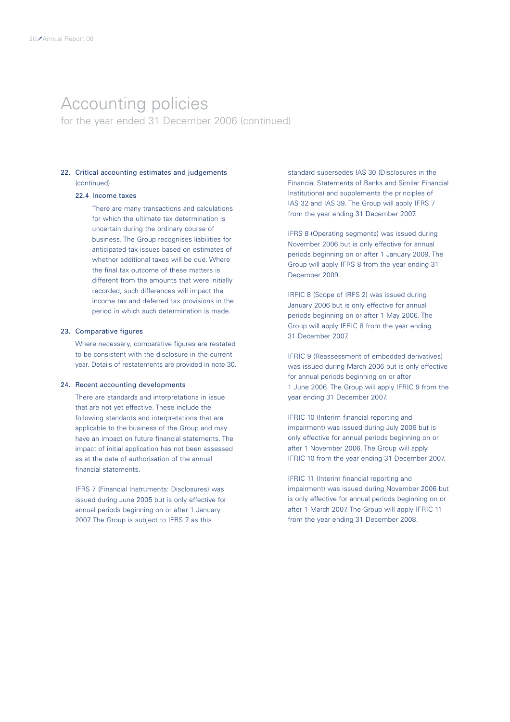for the year ended 31 December 2006 (continued)

### 22. Critical accounting estimates and judgements (continued)

### 22.4 Income taxes

There are many transactions and calculations for which the ultimate tax determination is uncertain during the ordinary course of business. The Group recognises liabilities for anticipated tax issues based on estimates of whether additional taxes will be due. Where the final tax outcome of these matters is different from the amounts that were initially recorded, such differences will impact the income tax and deferred tax provisions in the period in which such determination is made.

#### 23. Comparative figures

Where necessary, comparative figures are restated to be consistent with the disclosure in the current year. Details of restatements are provided in note 30.

### 24. Recent accounting developments

There are standards and interpretations in issue that are not yet effective. These include the following standards and interpretations that are applicable to the business of the Group and may have an impact on future financial statements. The impact of initial application has not been assessed as at the date of authorisation of the annual financial statements.

IFRS 7 (Financial Instruments: Disclosures) was issued during June 2005 but is only effective for annual periods beginning on or after 1 January 2007. The Group is subject to IFRS 7 as this

standard supersedes IAS 30 (Disclosures in the Financial Statements of Banks and Similar Financial Institutions) and supplements the principles of IAS 32 and IAS 39. The Group will apply IFRS 7 from the year ending 31 December 2007.

IFRS 8 (Operating segments) was issued during November 2006 but is only effective for annual periods beginning on or after 1 January 2009. The Group will apply IFRS 8 from the year ending 31 December 2009.

IRFIC 8 (Scope of IRFS 2) was issued during January 2006 but is only effective for annual periods beginning on or after 1 May 2006. The Group will apply IFRIC 8 from the year ending 31 December 2007.

IFRIC 9 (Reassessment of embedded derivatives) was issued during March 2006 but is only effective for annual periods beginning on or after 1 June 2006. The Group will apply IFRIC 9 from the year ending 31 December 2007.

IFRIC 10 (Interim financial reporting and impairment) was issued during July 2006 but is only effective for annual periods beginning on or after 1 November 2006. The Group will apply IFRIC 10 from the year ending 31 December 2007.

IFRIC 11 (Interim financial reporting and impairment) was issued during November 2006 but is only effective for annual periods beginning on or after 1 March 2007. The Group will apply IFRIC 11 from the year ending 31 December 2008.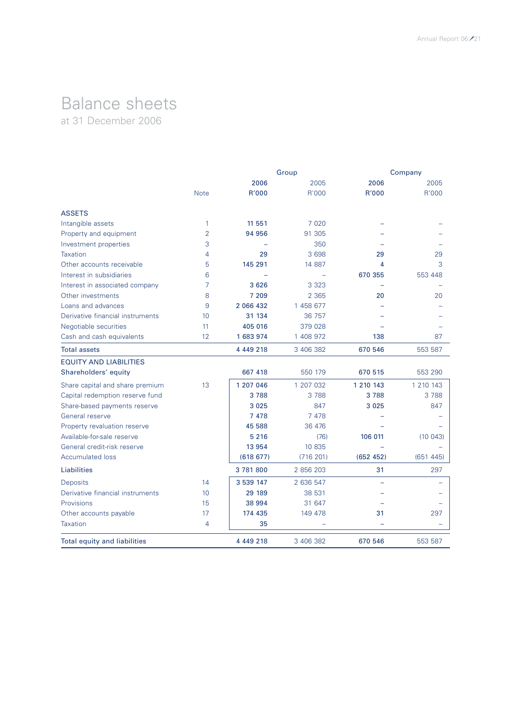### Balance sheets at 31 December 2006

|                                     |                |               | Group                    |               | Company       |
|-------------------------------------|----------------|---------------|--------------------------|---------------|---------------|
|                                     | <b>Note</b>    | 2006<br>R'000 | 2005<br>R'000            | 2006<br>R'000 | 2005<br>R'000 |
|                                     |                |               |                          |               |               |
| <b>ASSETS</b>                       |                |               |                          |               |               |
| Intangible assets                   | 1              | 11 551        | 7 0 2 0                  |               |               |
| Property and equipment              | $\overline{2}$ | 94 956        | 91 305                   |               |               |
| Investment properties               | 3              |               | 350                      |               |               |
| <b>Taxation</b>                     | 4              | 29            | 3 6 9 8                  | 29            | 29            |
| Other accounts receivable           | 5              | 145 291       | 14 887                   | 4             | 3             |
| Interest in subsidiaries            | 6              |               | $\overline{\phantom{0}}$ | 670 355       | 553 448       |
| Interest in associated company      | 7              | 3 6 2 6       | 3 3 2 3                  |               |               |
| Other investments                   | 8              | 7 209         | 2 3 6 5                  | 20            | 20            |
| Loans and advances                  | 9              | 2 066 432     | 1 458 677                |               |               |
| Derivative financial instruments    | 10             | 31 134        | 36 757                   |               |               |
| Negotiable securities               | 11             | 405 016       | 379 028                  |               |               |
| Cash and cash equivalents           | 12             | 1 683 974     | 1 408 972                | 138           | 87            |
| <b>Total assets</b>                 |                | 4 4 4 9 2 1 8 | 3 406 382                | 670 546       | 553 587       |
| <b>EQUITY AND LIABILITIES</b>       |                |               |                          |               |               |
| Shareholders' equity                |                | 667 418       | 550 179                  | 670 515       | 553 290       |
| Share capital and share premium     | 13             | 1 207 046     | 1 207 032                | 1 2 1 0 1 4 3 | 1 210 143     |
| Capital redemption reserve fund     |                | 3788          | 3788                     | 3788          | 3788          |
| Share-based payments reserve        |                | 3 0 2 5       | 847                      | 3 0 2 5       | 847           |
| General reserve                     |                | 7 4 7 8       | 7 4 7 8                  |               |               |
| Property revaluation reserve        |                | 45 588        | 36 476                   |               |               |
| Available-for-sale reserve          |                | 5 2 1 6       | (76)                     | 106 011       | (10043)       |
| General credit-risk reserve         |                | 13 954        | 10 835                   |               |               |
| <b>Accumulated loss</b>             |                | (618677)      | (716 201)                | (652 452)     | (651445)      |
| Liabilities                         |                | 3781800       | 2 856 203                | 31            | 297           |
| Deposits                            | 14             | 3 539 147     | 2 636 547                |               |               |
| Derivative financial instruments    | 10             | 29 189        | 38 531                   |               |               |
| <b>Provisions</b>                   | 15             | 38 994        | 31 647                   |               |               |
| Other accounts payable              | 17             | 174 435       | 149 478                  | 31            | 297           |
| Taxation                            | 4              | 35            |                          |               |               |
| <b>Total equity and liabilities</b> |                | 4 4 4 9 2 1 8 | 3 406 382                | 670 546       | 553 587       |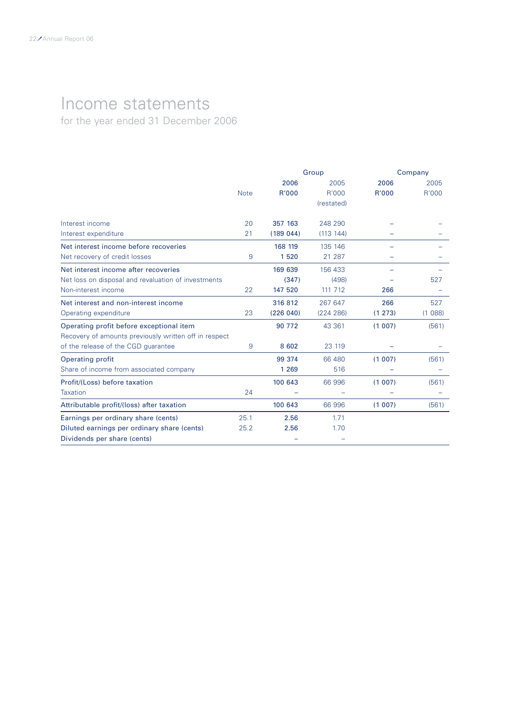# Income statements

for the year ended 31 December 2006

|                                                       |             | Group    |            |         | Company |  |  |
|-------------------------------------------------------|-------------|----------|------------|---------|---------|--|--|
|                                                       |             | 2006     | 2005       | 2006    | 2005    |  |  |
|                                                       | <b>Note</b> | R'000    | R'000      | R'000   | R'000   |  |  |
|                                                       |             |          | (restated) |         |         |  |  |
| Interest income                                       | 20          | 357 163  | 248 290    |         |         |  |  |
| Interest expenditure                                  | 21          | (189044) | (113 144)  |         |         |  |  |
| Net interest income before recoveries                 |             | 168 119  | 135 146    |         |         |  |  |
| Net recovery of credit losses                         | 9           | 1520     | 21 287     |         |         |  |  |
| Net interest income after recoveries                  |             | 169 639  | 156 433    |         |         |  |  |
| Net loss on disposal and revaluation of investments   |             | (347)    | (498)      |         | 527     |  |  |
| Non-interest income                                   | 22          | 147 520  | 111 712    | 266     |         |  |  |
| Net interest and non-interest income                  |             | 316812   | 267 647    | 266     | 527     |  |  |
| Operating expenditure                                 | 23          | (226040) | (224 286)  | (1 273) | (1088)  |  |  |
| Operating profit before exceptional item              |             | 90 772   | 43 361     | (1007)  | (561)   |  |  |
| Recovery of amounts previously written off in respect |             |          |            |         |         |  |  |
| of the release of the CGD quarantee                   | 9           | 8 6 0 2  | 23 119     |         |         |  |  |
| <b>Operating profit</b>                               |             | 99 374   | 66 480     | (1007)  | (561)   |  |  |
| Share of income from associated company               |             | 1 2 6 9  | 516        |         |         |  |  |
| Profit/(Loss) before taxation                         |             | 100 643  | 66 996     | (1007)  | (561)   |  |  |
| Taxation                                              | 24          |          |            |         |         |  |  |
| Attributable profit/(loss) after taxation             |             | 100 643  | 66 996     | (1007)  | (561)   |  |  |
| Earnings per ordinary share (cents)                   | 25.1        | 2.56     | 1.71       |         |         |  |  |
| Diluted earnings per ordinary share (cents)           | 25.2        | 2.56     | 1.70       |         |         |  |  |
| Dividends per share (cents)                           |             |          |            |         |         |  |  |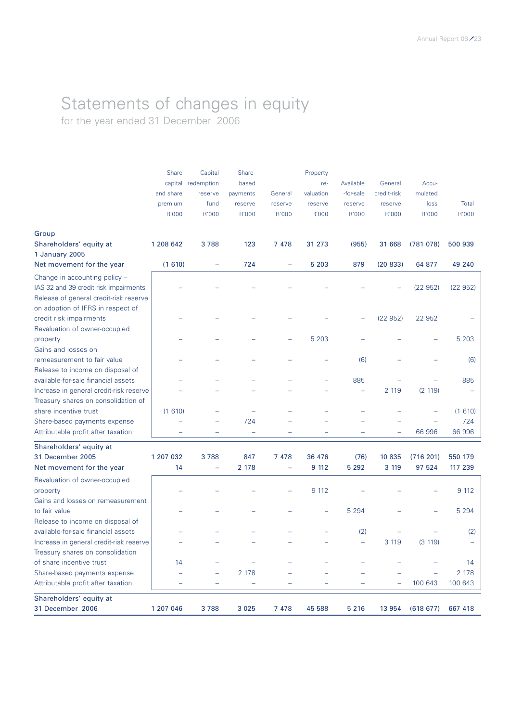### Statements of changes in equity for the year ended 31 December 2006

|                                         | Share                    | Capital                  | Share-            |                          | Property  |           |             |           |         |
|-----------------------------------------|--------------------------|--------------------------|-------------------|--------------------------|-----------|-----------|-------------|-----------|---------|
|                                         | capital                  | redemption               | based             |                          | re-       | Available | General     | Accu-     |         |
|                                         | and share                | reserve                  | payments          | General                  | valuation | -for-sale | credit-risk | mulated   |         |
|                                         | premium                  | fund                     | reserve           | reserve                  | reserve   | reserve   | reserve     | loss      | Total   |
|                                         | R'000                    | R'000                    | R'000             | R'000                    | R'000     | R'000     | R'000       | R'000     | R'000   |
| Group                                   |                          |                          |                   |                          |           |           |             |           |         |
| Shareholders' equity at                 | 1 208 642                | 3788                     | 123               | 7 4 7 8                  | 31 273    | (955)     | 31 668      | (781078)  | 500 939 |
| 1 January 2005                          |                          |                          |                   |                          |           |           |             |           |         |
| Net movement for the year               | (1610)                   |                          | 724               |                          | 5 2 0 3   | 879       | (20833)     | 64 877    | 49 240  |
| Change in accounting policy -           |                          |                          |                   |                          |           |           |             |           |         |
| IAS 32 and 39 credit risk impairments   |                          |                          |                   |                          |           |           |             | (22952)   | (22952) |
| Release of general credit-risk reserve  |                          |                          |                   |                          |           |           |             |           |         |
| on adoption of IFRS in respect of       |                          |                          |                   |                          |           |           |             |           |         |
| credit risk impairments                 |                          |                          |                   |                          |           |           | (22952)     | 22 952    |         |
| Revaluation of owner-occupied           |                          |                          |                   |                          |           |           |             |           |         |
| property                                |                          |                          |                   |                          | 5 2 0 3   |           |             |           | 5 2 0 3 |
| Gains and losses on                     |                          |                          |                   |                          |           |           |             |           |         |
| remeasurement to fair value             |                          |                          |                   |                          |           | (6)       |             |           | (6)     |
| Release to income on disposal of        |                          |                          |                   |                          |           |           |             |           |         |
| available-for-sale financial assets     |                          |                          |                   |                          |           | 885       |             |           | 885     |
| Increase in general credit-risk reserve |                          |                          |                   |                          |           |           | 2 1 1 9     | (2 119)   |         |
| Treasury shares on consolidation of     |                          |                          |                   |                          |           |           |             |           |         |
| share incentive trust                   | (1610)                   |                          |                   |                          |           |           |             |           | (1610)  |
| Share-based payments expense            |                          |                          | 724               |                          |           |           |             |           | 724     |
| Attributable profit after taxation      | $\overline{\phantom{0}}$ |                          | $\qquad \qquad -$ |                          |           |           | ÷           | 66 996    | 66 996  |
| Shareholders' equity at                 |                          |                          |                   |                          |           |           |             |           |         |
| 31 December 2005                        | 1 207 032                | 3788                     | 847               | 7 4 7 8                  | 36 476    | (76)      | 10 835      | (716 201) | 550 179 |
| Net movement for the year               | 14                       | $\overline{\phantom{0}}$ | 2 178             | $\overline{\phantom{0}}$ | 9 112     | 5 2 9 2   | 3 1 1 9     | 97 524    | 117 239 |
| Revaluation of owner-occupied           |                          |                          |                   |                          |           |           |             |           |         |
| property                                |                          |                          |                   |                          | 9 1 1 2   |           |             |           | 9 112   |
| Gains and losses on remeasurement       |                          |                          |                   |                          |           |           |             |           |         |
| to fair value                           |                          |                          |                   |                          |           | 5 2 9 4   |             |           | 5 2 9 4 |
| Release to income on disposal of        |                          |                          |                   |                          |           |           |             |           |         |
| available-for-sale financial assets     |                          |                          |                   |                          |           | (2)       |             |           | (2)     |
| Increase in general credit-risk reserve |                          |                          |                   |                          |           | ÷,        | 3 1 1 9     | (3 119)   |         |
| Treasury shares on consolidation        |                          |                          |                   |                          |           |           |             |           |         |
| of share incentive trust                | 14                       |                          |                   |                          |           |           |             |           | 14      |
| Share-based payments expense            |                          |                          | 2 178             |                          |           |           |             |           | 2 1 7 8 |
| Attributable profit after taxation      | -                        |                          | ÷                 |                          |           |           |             | 100 643   | 100 643 |
| Shareholders' equity at                 |                          |                          |                   |                          |           |           |             |           |         |
| 31 December 2006                        | 1 207 046                | 3788                     | 3 0 2 5           | 7 4 7 8                  | 45 588    | 5 2 1 6   | 13 954      | (618677)  | 667 418 |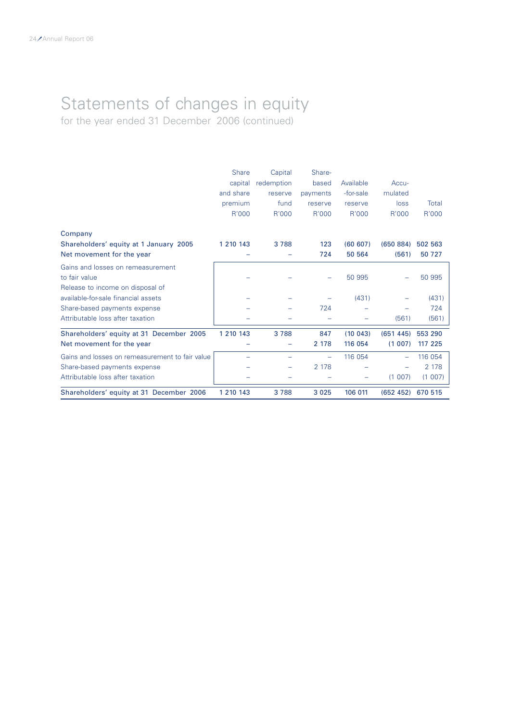### Statements of changes in equity for the year ended 31 December 2006 (continued)

|                                                                                        | <b>Share</b><br>capital<br>and share<br>premium<br>R'000 | Capital<br>redemption<br>reserve<br>fund<br>R'000 | Share-<br>based<br>payments<br>reserve<br>R'000 | Available<br>-for-sale<br>reserve<br>R'000 | Accu-<br>mulated<br>loss<br>R'000 | Total<br>R'000    |
|----------------------------------------------------------------------------------------|----------------------------------------------------------|---------------------------------------------------|-------------------------------------------------|--------------------------------------------|-----------------------------------|-------------------|
| Company                                                                                |                                                          |                                                   |                                                 |                                            |                                   |                   |
| Shareholders' equity at 1 January 2005<br>Net movement for the year                    | 1 210 143                                                | 3 7 8 8                                           | 123<br>724                                      | (60 607)<br>50 564                         | (650 884)<br>(561)                | 502 563<br>50 727 |
| Gains and losses on remeasurement<br>to fair value<br>Release to income on disposal of |                                                          |                                                   |                                                 | 50 995                                     |                                   | 50 995            |
| available-for-sale financial assets                                                    |                                                          |                                                   |                                                 | (431)                                      |                                   | (431)             |
| Share-based payments expense                                                           |                                                          |                                                   | 724                                             |                                            |                                   | 724               |
| Attributable loss after taxation                                                       |                                                          |                                                   |                                                 |                                            | (561)                             | (561)             |
| Shareholders' equity at 31 December 2005                                               | 1 210 143                                                | 3788                                              | 847                                             | (10043)                                    | (651445)                          | 553 290           |
| Net movement for the year                                                              |                                                          |                                                   | 2 1 7 8                                         | 116 054                                    | (1 007)                           | 117 225           |
| Gains and losses on remeasurement to fair value                                        |                                                          |                                                   |                                                 | 116 054                                    |                                   | 116 054           |
| Share-based payments expense                                                           |                                                          |                                                   | 2 1 7 8                                         |                                            |                                   | 2 1 7 8           |
| Attributable loss after taxation                                                       |                                                          |                                                   |                                                 |                                            | (1 007)                           | (1 007)           |
| Shareholders' equity at 31 December 2006                                               | 1 210 143                                                | 3788                                              | 3 0 2 5                                         | 106 011                                    | (652 452)                         | 670 515           |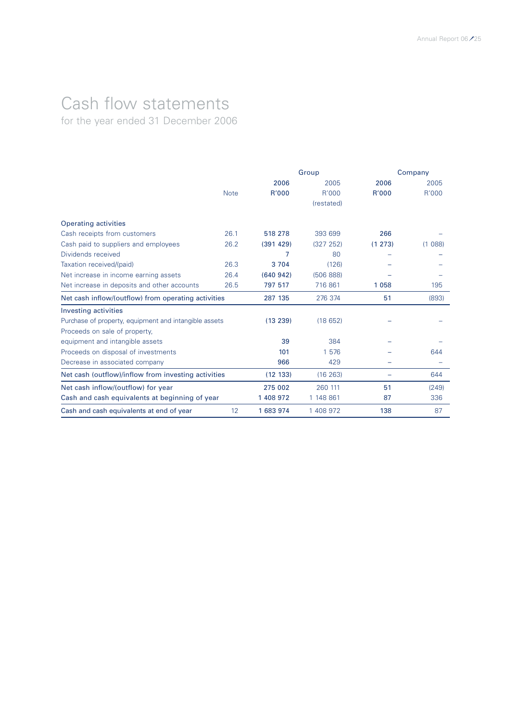# Cash flow statements

for the year ended 31 December 2006

|                                                       |             |           | Group      |        | Company |  |
|-------------------------------------------------------|-------------|-----------|------------|--------|---------|--|
|                                                       |             | 2006      | 2005       | 2006   | 2005    |  |
|                                                       | <b>Note</b> | R'000     | R'000      | R'000  | R'000   |  |
|                                                       |             |           | (restated) |        |         |  |
| <b>Operating activities</b>                           |             |           |            |        |         |  |
| Cash receipts from customers                          | 26.1        | 518 278   | 393 699    | 266    |         |  |
| Cash paid to suppliers and employees                  | 26.2        | (391 429) | (327 252)  | (1273) | (1088)  |  |
| Dividends received                                    |             | 7         | 80         |        |         |  |
| Taxation received/(paid)                              | 26.3        | 3 7 0 4   | (126)      |        |         |  |
| Net increase in income earning assets                 | 26.4        | (640942)  | (506 888)  |        |         |  |
| Net increase in deposits and other accounts           | 26.5        | 797 517   | 716 861    | 1058   | 195     |  |
| Net cash inflow/(outflow) from operating activities   |             | 287 135   | 276 374    | 51     | (893)   |  |
| <b>Investing activities</b>                           |             |           |            |        |         |  |
| Purchase of property, equipment and intangible assets |             | (13 239)  | (18652)    |        |         |  |
| Proceeds on sale of property,                         |             |           |            |        |         |  |
| equipment and intangible assets                       |             | 39        | 384        |        |         |  |
| Proceeds on disposal of investments                   |             | 101       | 1 576      |        | 644     |  |
| Decrease in associated company                        |             | 966       | 429        |        |         |  |
| Net cash (outflow)/inflow from investing activities   |             | (12 133)  | (16 263)   |        | 644     |  |
| Net cash inflow/(outflow) for year                    |             | 275 002   | 260 111    | 51     | (249)   |  |
| Cash and cash equivalents at beginning of year        |             | 1 408 972 | 1 148 861  | 87     | 336     |  |
| Cash and cash equivalents at end of year              | 12          | 1 683 974 | 1 408 972  | 138    | 87      |  |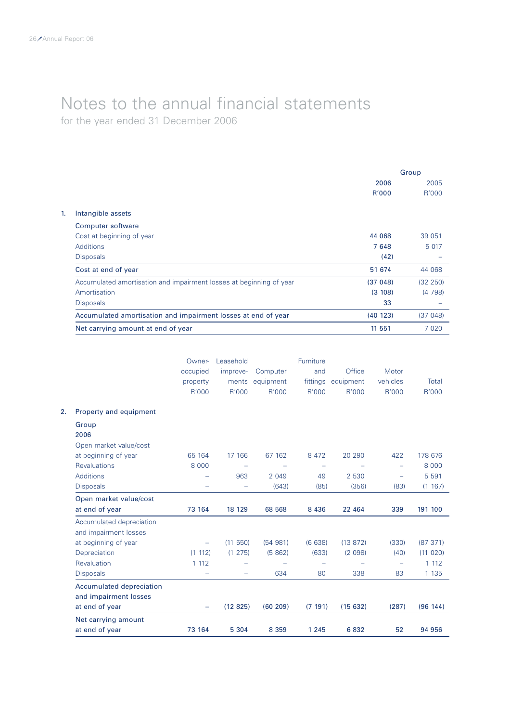for the year ended 31 December 2006

|                                                                     | Group        |          |
|---------------------------------------------------------------------|--------------|----------|
|                                                                     | 2006         | 2005     |
|                                                                     | <b>R'000</b> | R'000    |
| Intangible assets                                                   |              |          |
| Computer software                                                   |              |          |
| Cost at beginning of year                                           | 44 068       | 39 051   |
| Additions                                                           | 7648         | 5 017    |
| <b>Disposals</b>                                                    | (42)         |          |
| Cost at end of year                                                 | 51 674       | 44 068   |
| Accumulated amortisation and impairment losses at beginning of year | (37048)      | (32 250) |
| Amortisation                                                        | (3 108)      | (4798)   |
| <b>Disposals</b>                                                    | 33           |          |
| Accumulated amortisation and impairment losses at end of year       | (40123)      | (37048)  |
| Net carrying amount at end of year                                  | 11 551       | 7 0 2 0  |

|                                                          | Owner-<br>occupied<br>property<br>R'000 | Leasehold<br>improve-<br>ments<br>R'000 | Computer<br>equipment<br>R'000 | Furniture<br>and<br>fittings<br>R'000 | Office<br>equipment<br>R'000 | Motor<br>vehicles<br>R'000 | Total<br>R'000 |
|----------------------------------------------------------|-----------------------------------------|-----------------------------------------|--------------------------------|---------------------------------------|------------------------------|----------------------------|----------------|
| Property and equipment                                   |                                         |                                         |                                |                                       |                              |                            |                |
| Group<br>2006                                            |                                         |                                         |                                |                                       |                              |                            |                |
| Open market value/cost<br>at beginning of year           | 65 164                                  | 17 166                                  | 67 162                         | 8 4 7 2                               | 20 290                       | 422                        | 178 676        |
| <b>Revaluations</b>                                      | 8 0 0 0                                 |                                         |                                | -                                     |                              | $\overline{\phantom{0}}$   | 8 0 0 0        |
| <b>Additions</b>                                         |                                         | 963                                     | 2 0 4 9                        | 49                                    | 2 5 3 0                      | $\overline{\phantom{0}}$   | 5 5 9 1        |
| <b>Disposals</b>                                         |                                         | ÷                                       | (643)                          | (85)                                  | (356)                        | (83)                       | (1 167)        |
| Open market value/cost                                   |                                         |                                         |                                |                                       |                              |                            |                |
| at end of year                                           | 73 164                                  | 18 129                                  | 68 568                         | 8 4 3 6                               | 22 4 64                      | 339                        | 191 100        |
| Accumulated depreciation<br>and impairment losses        |                                         |                                         |                                |                                       |                              |                            |                |
| at beginning of year                                     | ÷                                       | (11 550)                                | (54981)                        | (6638)                                | (13 872)                     | (330)                      | (87371)        |
| Depreciation                                             | (1 112)                                 | (1 275)                                 | (5862)                         | (633)                                 | (2 098)                      | (40)                       | (11 020)       |
| Revaluation                                              | 1 1 1 2                                 |                                         |                                |                                       |                              | -                          | 1 1 1 2        |
| <b>Disposals</b>                                         |                                         | $\overline{\phantom{0}}$                | 634                            | 80                                    | 338                          | 83                         | 1 1 3 5        |
| <b>Accumulated depreciation</b><br>and impairment losses |                                         |                                         |                                |                                       |                              |                            |                |
| at end of year                                           |                                         | (12825)                                 | (60 209)                       | (7 191)                               | (15632)                      | (287)                      | (96 144)       |
| Net carrying amount<br>at end of year                    | 73 164                                  | 5 3 0 4                                 | 8 3 5 9                        | 1 2 4 5                               | 6832                         | 52                         | 94 956         |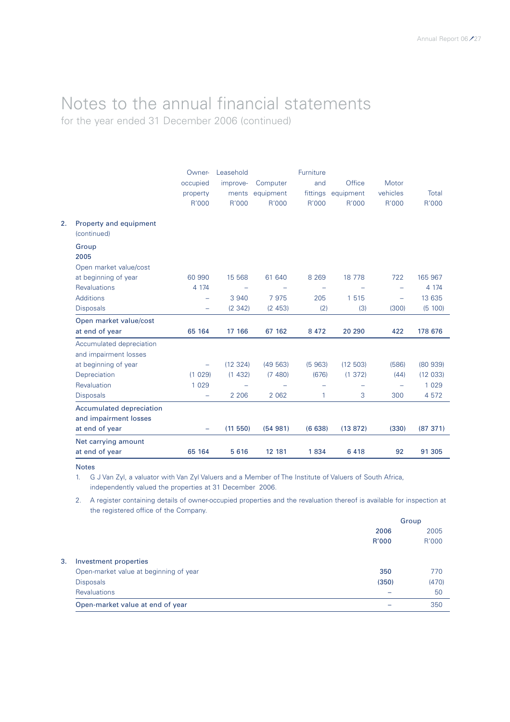### Notes to the annual financial statements for the year ended 31 December 2006 (continued)

|                                                          | Owner-<br>occupied<br>property<br>R'000 | Leasehold<br>improve-<br>ments<br>R'000 | Computer<br>equipment<br>R'000 | Furniture<br>and<br>fittings<br>R'000 | Office<br>equipment<br>R'000 | Motor<br>vehicles<br>R'000 | Total<br>R'000 |
|----------------------------------------------------------|-----------------------------------------|-----------------------------------------|--------------------------------|---------------------------------------|------------------------------|----------------------------|----------------|
| Property and equipment<br>(continued)                    |                                         |                                         |                                |                                       |                              |                            |                |
| Group<br>2005                                            |                                         |                                         |                                |                                       |                              |                            |                |
| Open market value/cost                                   |                                         |                                         |                                |                                       |                              |                            |                |
| at beginning of year                                     | 60 990                                  | 15 5 68                                 | 61 640                         | 8 2 6 9                               | 18 7 78                      | 722                        | 165 967        |
| <b>Revaluations</b>                                      | 4 1 7 4                                 | $\overline{\phantom{0}}$                |                                | $\overline{\phantom{0}}$              |                              | $\rightarrow$              | 4 1 7 4        |
| <b>Additions</b>                                         | ÷                                       | 3 9 4 0                                 | 7975                           | 205                                   | 1 5 1 5                      | $\overline{\phantom{0}}$   | 13 635         |
| <b>Disposals</b>                                         | -                                       | (2342)                                  | (2453)                         | (2)                                   | (3)                          | (300)                      | (5 100)        |
| Open market value/cost                                   |                                         |                                         |                                |                                       |                              |                            |                |
| at end of year                                           | 65 164                                  | 17 166                                  | 67 162                         | 8 4 7 2                               | 20 290                       | 422                        | 178 676        |
| Accumulated depreciation<br>and impairment losses        |                                         |                                         |                                |                                       |                              |                            |                |
| at beginning of year                                     | $\overline{\phantom{m}}$                | (12 324)                                | (49563)                        | (5963)                                | (12 503)                     | (586)                      | (80939)        |
| Depreciation                                             | (1 029)                                 | (1432)                                  | (7480)                         | (676)                                 | (1 372)                      | (44)                       | (12 033)       |
| Revaluation                                              | 1 0 2 9                                 |                                         |                                |                                       |                              | $\equiv$                   | 1 0 2 9        |
| <b>Disposals</b>                                         | $\equiv$                                | 2 2 0 6                                 | 2 0 6 2                        | $\mathbf{1}$                          | 3                            | 300                        | 4 5 7 2        |
| <b>Accumulated depreciation</b><br>and impairment losses |                                         |                                         |                                |                                       |                              |                            |                |
| at end of year                                           | ÷,                                      | (11550)                                 | (54981)                        | (6638)                                | (13872)                      | (330)                      | (87 371)       |
| Net carrying amount                                      |                                         |                                         |                                |                                       |                              |                            |                |
| at end of year                                           | 65 164                                  | 5 6 1 6                                 | 12 181                         | 1834                                  | 6 4 1 8                      | 92                         | 91 305         |

Notes

1. G J Van Zyl, a valuator with Van Zyl Valuers and a Member of The Institute of Valuers of South Africa, independently valued the properties at 31 December 2006.

2. A register containing details of owner-occupied properties and the revaluation thereof is available for inspection at the registered office of the Company.

|    |                                        |       | Group |
|----|----------------------------------------|-------|-------|
|    |                                        | 2006  | 2005  |
|    |                                        | R'000 | R'000 |
| 3. | Investment properties                  |       |       |
|    | Open-market value at beginning of year | 350   | 770   |
|    | <b>Disposals</b>                       | (350) | (470) |
|    | <b>Revaluations</b>                    |       | 50    |
|    | Open-market value at end of year       |       | 350   |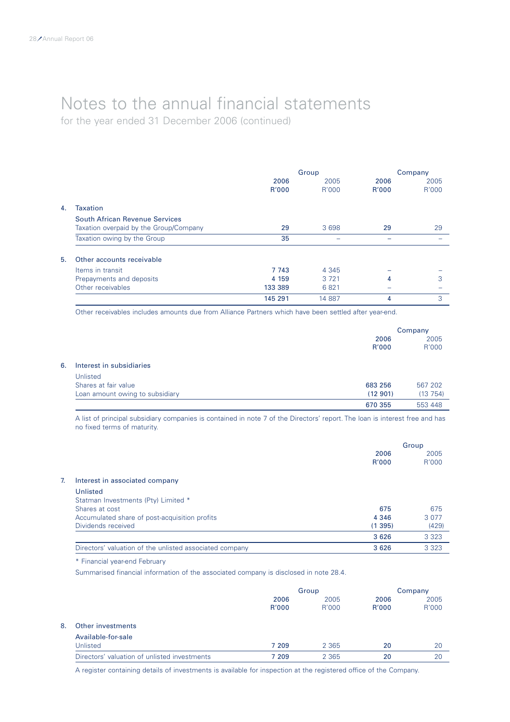for the year ended 31 December 2006 (continued)

|    |                                                                          | 2006<br>R'000 | Group<br>2005<br>R'000 | 2006<br><b>R'000</b> | Company<br>2005<br>R'000 |
|----|--------------------------------------------------------------------------|---------------|------------------------|----------------------|--------------------------|
| 4. | <b>Taxation</b>                                                          |               |                        |                      |                          |
|    | South African Revenue Services<br>Taxation overpaid by the Group/Company | 29            | 3698                   | 29                   | 29                       |
|    | Taxation owing by the Group                                              | 35            |                        |                      |                          |
| 5. | Other accounts receivable                                                |               |                        |                      |                          |
|    | Items in transit                                                         | 7 743         | 4 3 4 5                |                      |                          |
|    | Prepayments and deposits                                                 | 4 1 5 9       | 3 7 2 1                | 4                    | 3                        |
|    | Other receivables                                                        | 133 389       | 6821                   |                      |                          |
|    |                                                                          | 145 291       | 14 887                 | 4                    | 3                        |

Other receivables includes amounts due from Alliance Partners which have been settled after year-end.

|    |                                 |               | Company       |  |
|----|---------------------------------|---------------|---------------|--|
|    |                                 | 2006<br>R'000 | 2005<br>R'000 |  |
| 6. | Interest in subsidiaries        |               |               |  |
|    | Unlisted                        |               |               |  |
|    | Shares at fair value            | 683 256       | 567 202       |  |
|    | Loan amount owing to subsidiary | (12901)       | (13754)       |  |
|    |                                 | 670 355       | 553 448       |  |

A list of principal subsidiary companies is contained in note 7 of the Directors' report. The loan is interest free and has no fixed terms of maturity.

|                                                         |         | Group   |
|---------------------------------------------------------|---------|---------|
|                                                         | 2006    | 2005    |
|                                                         | R'000   | R'000   |
| Interest in associated company                          |         |         |
| Unlisted                                                |         |         |
| Statman Investments (Pty) Limited *                     |         |         |
| Shares at cost                                          | 675     | 675     |
| Accumulated share of post-acquisition profits           | 4 3 4 6 | 3 0 7 7 |
| Dividends received                                      | (1395)  | (429)   |
|                                                         | 3 6 2 6 | 3 3 2 3 |
| Directors' valuation of the unlisted associated company | 3626    | 3 3 2 3 |
|                                                         |         |         |

\* Financial year-end February

Summarised financial information of the associated company is disclosed in note 28.4.

|    |                                              | Group         |               | Company       |               |
|----|----------------------------------------------|---------------|---------------|---------------|---------------|
|    |                                              | 2006<br>R'000 | 2005<br>R'000 | 2006<br>R'000 | 2005<br>R'000 |
| 8. | Other investments                            |               |               |               |               |
|    | Available-for-sale<br>Unlisted               | 7 209         | 2 3 6 5       | 20            | 20            |
|    | Directors' valuation of unlisted investments | 7 209         | 2 3 6 5       | 20            | 20            |

A register containing details of investments is available for inspection at the registered office of the Company.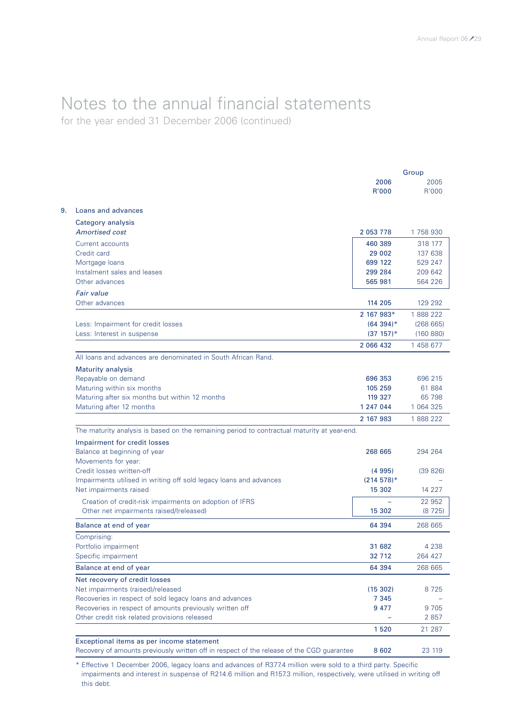### Notes to the annual financial statements for the year ended 31 December 2006 (continued)

Group 2006 2005 R'000 R'000 9. Loans and advances Category analysis *Amortised cost* 2 053 778 1 758 930 Current accounts 460 389 318 177 Credit card 29 002 137 638 Mortgage loans 699 122 529 247 Instalment sales and leases 299 284 209 642 Other advances 564 226 *Fair value* Other advances 114 205 129 292 2 167 983\* 1 888 222 Less: Impairment for credit losses (64 394)\* (268 665) Less: Interest in suspense (37 157)\* (160 880) 2 066 432 1 458 677 All loans and advances are denominated in South African Rand. Maturity analysis Repayable on demand **696 353** 696 215 Maturing within six months 105 259 61 884 Maturing after six months but within 12 months 119 327 65 798 Maturing after 12 months 1 247 044 1 064 325 2 167 983 1 888 222 The maturity analysis is based on the remaining period to contractual maturity at year-end. Impairment for credit losses Balance at beginning of year 264 204 264 264 205 294 264 205 206 206 207 208 208 208 208 208 208 208 208 208 20 Movements for year: Credit losses written-off (4 995) (39 826) Impairments utilised in writing off sold legacy loans and advances (214 578)\* (214 578)\* Net impairments raised 15 302 14 227 Creation of credit-risk impairments on adoption of IFRS  $\overline{22952}$ Other net impairments raised/(released) 15 302 (8 725) Balance at end of year 64 394 268 665 Comprising: Portfolio impairment 4 238 Specific impairment 32 712 264 427 Balance at end of year 64 394 268 665 Net recovery of credit losses Net impairments (raised)/released (15 302) 8 725

1 520 21 287 Exceptional items as per income statement Recovery of amounts previously written off in respect of the release of the CGD guarantee 8 602 23 119

Recoveries in respect of amounts previously written off **947 9705** 9705 Other credit risk related provisions released – 2 857

Recoveries in respect of sold legacy loans and advances 7 345

\* Effective 1 December 2006, legacy loans and advances of R377.4 million were sold to a third party. Specific impairments and interest in suspense of R214.6 million and R157.3 million, respectively, were utilised in writing off this debt.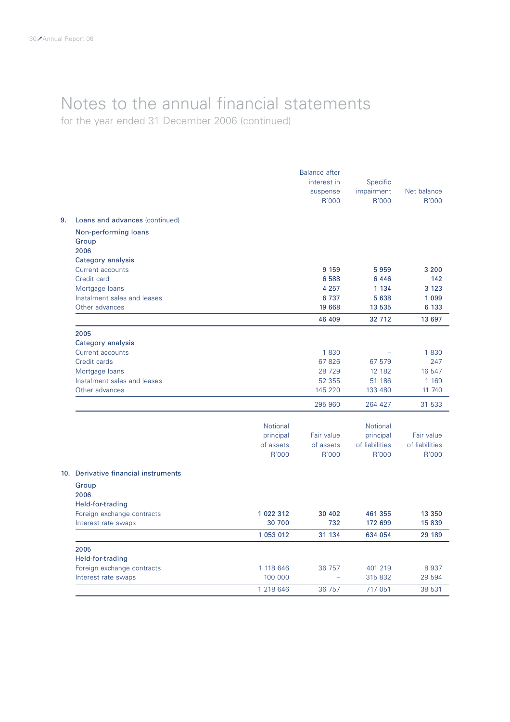for the year ended 31 December 2006 (continued)

|    |                                      |                    | <b>Balance after</b> |                         |                         |
|----|--------------------------------------|--------------------|----------------------|-------------------------|-------------------------|
|    |                                      |                    | interest in          | Specific                |                         |
|    |                                      |                    | suspense             | impairment              | Net balance             |
|    |                                      |                    | R'000                | R'000                   | R'000                   |
| 9. | Loans and advances (continued)       |                    |                      |                         |                         |
|    | Non-performing loans                 |                    |                      |                         |                         |
|    | Group                                |                    |                      |                         |                         |
|    | 2006                                 |                    |                      |                         |                         |
|    | Category analysis                    |                    |                      |                         |                         |
|    | Current accounts                     |                    | 9 1 5 9              | 5959                    | 3 200                   |
|    | Credit card                          |                    | 6 5 8 8              | 6 4 4 6                 | 142                     |
|    | Mortgage loans                       |                    | 4 2 5 7              | 1 1 3 4                 | 3 1 2 3                 |
|    | Instalment sales and leases          |                    | 6 7 3 7              | 5 638                   | 1 0 9 9                 |
|    | Other advances                       |                    | 19 668               | 13 535                  | 6 133                   |
|    |                                      |                    | 46 409               | 32 7 12                 | 13 697                  |
|    | 2005                                 |                    |                      |                         |                         |
|    | Category analysis                    |                    |                      |                         |                         |
|    | Current accounts                     |                    | 1830                 |                         | 1830                    |
|    | Credit cards                         |                    | 67826                | 67 579                  | 247                     |
|    | Mortgage loans                       |                    | 28 7 29              | 12 182                  | 16 547                  |
|    | Instalment sales and leases          |                    | 52 355               | 51 186                  | 1 1 6 9                 |
|    | Other advances                       |                    | 145 220              | 133 480                 | 11 740                  |
|    |                                      |                    | 295 960              | 264 427                 | 31 533                  |
|    |                                      |                    |                      |                         |                         |
|    |                                      | Notional           |                      | <b>Notional</b>         |                         |
|    |                                      | principal          | Fair value           | principal               | Fair value              |
|    |                                      | of assets<br>R'000 | of assets<br>R'000   | of liabilities<br>R'000 | of liabilities<br>R'000 |
|    |                                      |                    |                      |                         |                         |
|    | 10. Derivative financial instruments |                    |                      |                         |                         |
|    | Group                                |                    |                      |                         |                         |
|    | 2006                                 |                    |                      |                         |                         |
|    | Held-for-trading                     |                    |                      |                         |                         |
|    | Foreign exchange contracts           | 1 022 312          | 30 402               | 461 355                 | 13 350                  |
|    | Interest rate swaps                  | 30 700             | 732                  | 172 699                 | 15 839                  |
|    |                                      | 1 053 012          | 31 134               | 634 054                 | 29 189                  |
|    | 2005                                 |                    |                      |                         |                         |
|    | Held-for-trading                     |                    |                      |                         |                         |
|    | Foreign exchange contracts           | 1 118 646          | 36 757               | 401 219                 | 8937                    |
|    | Interest rate swaps                  | 100 000            |                      | 315 832                 | 29 594                  |
|    |                                      | 1 218 646          | 36 757               | 717 051                 | 38 531                  |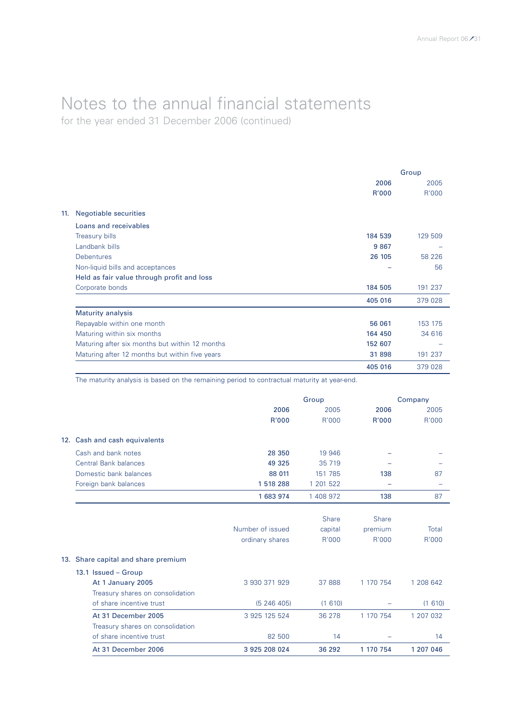### Notes to the annual financial statements for the year ended 31 December 2006 (continued)

Group 2006 2005 R'000 R'000 11. Negotiable securities Loans and receivables Treasury bills 129 509 129 Street (184 539 129 Street (184 539 129 Street (184 539 129 Street (184 539 129 Street (184 Street (184 Street (184 Street (184 Street (184 Street (185 Street (185 Street (185 Street (185 Street Landbank bills 9 867 – Debentures 26 105 58 226 Non-liquid bills and acceptances – 56 Held as fair value through profit and loss Corporate bonds 184 505 191 237 405 016 379 028 Maturity analysis Repayable within one month 66 061 153 175 Maturing within six months 164 450 34 616 Maturing after six months but within 12 months 152 607 and 152 607 Maturing after 12 months but within five years 31 898 191 237 405 016 379 028

The maturity analysis is based on the remaining period to contractual maturity at year-end.

|                                     | Group            |              | Company      |           |
|-------------------------------------|------------------|--------------|--------------|-----------|
|                                     | 2006             | 2005         | 2006         | 2005      |
|                                     | R'000            | R'000        | R'000        | R'000     |
| 12. Cash and cash equivalents       |                  |              |              |           |
| Cash and bank notes                 | 28 350           | 19 946       |              |           |
| <b>Central Bank balances</b>        | 49 325           | 35 719       |              |           |
| Domestic bank balances              | 88 011           | 151 785      | 138          | 87        |
| Foreign bank balances               | 1518288          | 1 201 522    |              |           |
|                                     | 1 683 974        | 1 408 972    | 138          | 87        |
|                                     |                  |              |              |           |
|                                     |                  | <b>Share</b> | <b>Share</b> |           |
|                                     | Number of issued | capital      | premium      | Total     |
|                                     | ordinary shares  | R'000        | R'000        | R'000     |
| 13. Share capital and share premium |                  |              |              |           |
| 13.1 Issued - Group                 |                  |              |              |           |
| At 1 January 2005                   | 3 930 371 929    | 37 888       | 1 170 754    | 1 208 642 |
| Treasury shares on consolidation    |                  |              |              |           |
| of share incentive trust            | (5246405)        | (1 610)      |              | (1 610)   |
| At 31 December 2005                 | 3 925 125 524    | 36 278       | 1 170 754    | 1 207 032 |
| Treasury shares on consolidation    |                  |              |              |           |
| of share incentive trust            | 82 500           | 14           |              | 14        |
| At 31 December 2006                 | 3 925 208 024    | 36 29 2      | 1 170 754    | 1 207 046 |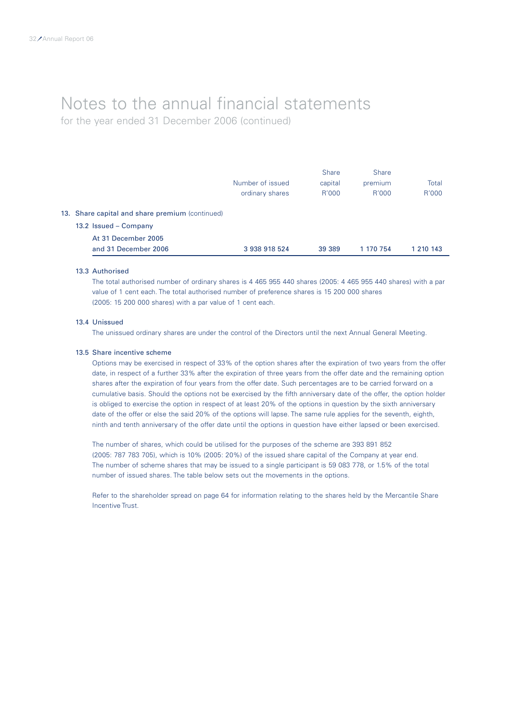for the year ended 31 December 2006 (continued)

|                                                 |                  | <b>Share</b> | <b>Share</b> |           |
|-------------------------------------------------|------------------|--------------|--------------|-----------|
|                                                 | Number of issued | capital      | premium      | Total     |
|                                                 | ordinary shares  | R'000        | R'000        | R'000     |
| 13. Share capital and share premium (continued) |                  |              |              |           |
| 13.2 Issued - Company                           |                  |              |              |           |
| At 31 December 2005                             |                  |              |              |           |
| and 31 December 2006                            | 3 938 918 524    | 39 389       | 1 170 754    | 1 210 143 |
|                                                 |                  |              |              |           |

#### 13.3 Authorised

The total authorised number of ordinary shares is 4 465 955 440 shares (2005: 4 465 955 440 shares) with a par value of 1 cent each. The total authorised number of preference shares is 15 200 000 shares (2005: 15 200 000 shares) with a par value of 1 cent each.

### 13.4 Unissued

The unissued ordinary shares are under the control of the Directors until the next Annual General Meeting.

### 13.5 Share incentive scheme

Options may be exercised in respect of 33% of the option shares after the expiration of two years from the offer date, in respect of a further 33% after the expiration of three years from the offer date and the remaining option shares after the expiration of four years from the offer date. Such percentages are to be carried forward on a cumulative basis. Should the options not be exercised by the fifth anniversary date of the offer, the option holder is obliged to exercise the option in respect of at least 20% of the options in question by the sixth anniversary date of the offer or else the said 20% of the options will lapse. The same rule applies for the seventh, eighth, ninth and tenth anniversary of the offer date until the options in question have either lapsed or been exercised.

The number of shares, which could be utilised for the purposes of the scheme are 393 891 852 (2005: 787 783 705), which is 10% (2005: 20%) of the issued share capital of the Company at year end. The number of scheme shares that may be issued to a single participant is 59 083 778, or 1.5% of the total number of issued shares. The table below sets out the movements in the options.

Refer to the shareholder spread on page 64 for information relating to the shares held by the Mercantile Share Incentive Trust.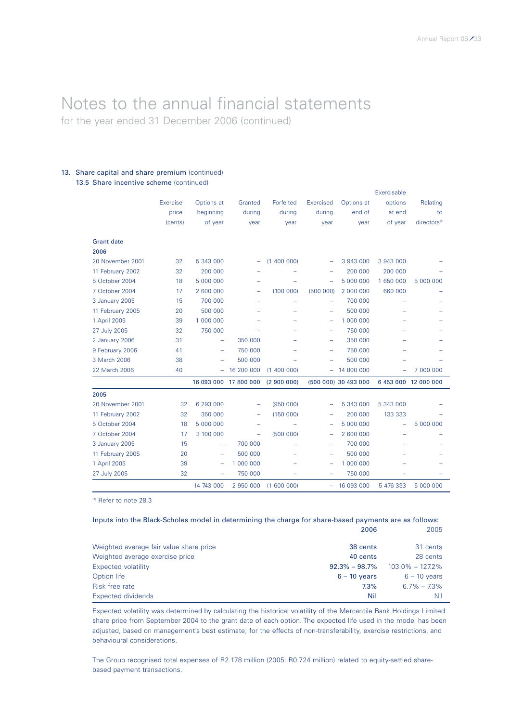### Notes to the annual financial statements for the year ended 31 December 2006 (continued)

### 13. Share capital and share premium (continued) 13.5 Share incentive scheme (continued)

|                   |          |                          |                       |           |           |                      | Exercisable              |                          |
|-------------------|----------|--------------------------|-----------------------|-----------|-----------|----------------------|--------------------------|--------------------------|
|                   | Exercise | Options at               | Granted               | Forfeited | Exercised | Options at           | options                  | Relating                 |
|                   | price    | beginning                | during                | during    | during    | end of               | at end                   | to                       |
|                   | (cents)  | of year                  | year                  | year      | year      | year                 | of year                  | directors <sup>(1)</sup> |
| <b>Grant date</b> |          |                          |                       |           |           |                      |                          |                          |
| 2006              |          |                          |                       |           |           |                      |                          |                          |
| 20 November 2001  | 32       | 5 343 000                | -                     | (1400000) | -         | 3 943 000            | 3 943 000                |                          |
| 11 February 2002  | 32       | 200 000                  |                       |           | -         | 200 000              | 200 000                  |                          |
| 5 October 2004    | 18       | 5 000 000                |                       |           | ۰         | 5 000 000            | 1 650 000                | 5 000 000                |
| 7 October 2004    | 17       | 2 600 000                |                       | (100000)  | (500000)  | 2 000 000            | 660 000                  |                          |
| 3 January 2005    | 15       | 700 000                  |                       |           | -         | 700 000              |                          |                          |
| 11 February 2005  | 20       | 500 000                  |                       |           | ۰         | 500 000              |                          |                          |
| 1 April 2005      | 39       | 1 000 000                |                       |           | -         | 1 000 000            | -                        |                          |
| 27 July 2005      | 32       | 750 000                  |                       |           | ÷         | 750 000              |                          |                          |
| 2 January 2006    | 31       | ÷                        | 350 000               |           | ۰         | 350 000              |                          |                          |
| 9 February 2006   | 41       | -                        | 750 000               |           | -         | 750 000              |                          |                          |
| 3 March 2006      | 38       | -                        | 500 000               |           | -         | 500 000              |                          |                          |
| 22 March 2006     | 40       | -                        | 16 200 000            | (1400000) |           | $-14800000$          |                          | 7 000 000                |
|                   |          |                          | 16 093 000 17 800 000 | (2900000) |           | (500 000) 30 493 000 |                          | 6 453 000 12 000 000     |
| 2005              |          |                          |                       |           |           |                      |                          |                          |
| 20 November 2001  | 32       | 6 293 000                | -                     | (95000)   | ۰         | 5 343 000            | 5 343 000                |                          |
| 11 February 2002  | 32       | 350 000                  | ÷                     | (150000)  | ۰         | 200 000              | 133 333                  |                          |
| 5 October 2004    | 18       | 5 000 000                | -                     | ۰         | -         | 5 000 000            | $\overline{\phantom{0}}$ | 5 000 000                |
| 7 October 2004    | 17       | 3 100 000                | ÷                     | (500000)  | -         | 2 600 000            |                          |                          |
| 3 January 2005    | 15       | $\overline{\phantom{0}}$ | 700 000               | ۳         | -         | 700 000              |                          |                          |
| 11 February 2005  | 20       | $\overline{\phantom{0}}$ | 500 000               |           | -         | 500 000              |                          |                          |
| 1 April 2005      | 39       | -                        | 1 000 000             |           | -         | 1 000 000            |                          |                          |
| 27 July 2005      | 32       | ÷                        | 750 000               |           | -         | 750 000              |                          |                          |
|                   |          | 14 743 000               | 2 950 000             | (1600000) |           | $-16093000$          | 5 476 333                | 5 000 000                |

(1) Refer to note 28.3

### Inputs into the Black-Scholes model in determining the charge for share-based payments are as follows: 2006 2005

| Weighted average fair value share price | 38 cents          | 31 cents            |
|-----------------------------------------|-------------------|---------------------|
| Weighted average exercise price         | 40 cents          | 28 cents            |
| Expected volatility                     | $92.3\% - 98.7\%$ | $103.0\% - 127.2\%$ |
| Option life                             | $6 - 10$ vears    | $6 - 10$ years      |
| Risk free rate                          | 7.3%              | $6.7\% - 7.3\%$     |
| Expected dividends                      | Nil               | Nil                 |

Expected volatility was determined by calculating the historical volatility of the Mercantile Bank Holdings Limited share price from September 2004 to the grant date of each option. The expected life used in the model has been adjusted, based on management's best estimate, for the effects of non-transferability, exercise restrictions, and behavioural considerations.

The Group recognised total expenses of R2.178 million (2005: R0.724 million) related to equity-settled sharebased payment transactions.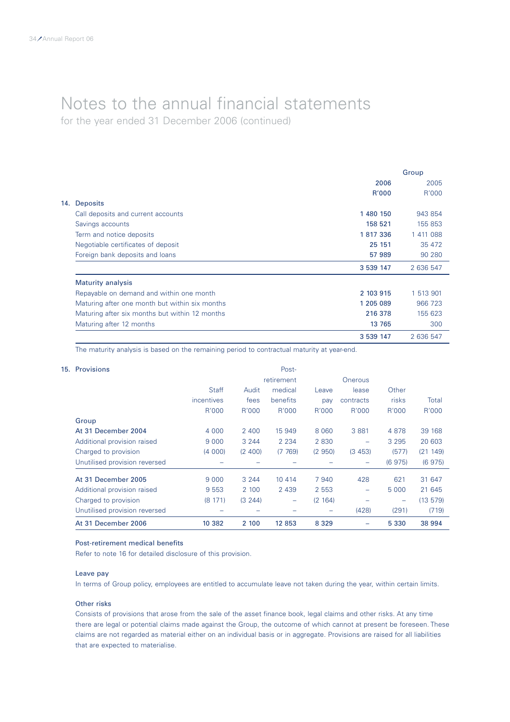for the year ended 31 December 2006 (continued)

|                                                | Group        |           |
|------------------------------------------------|--------------|-----------|
|                                                | 2006         | 2005      |
|                                                | <b>R'000</b> | R'000     |
| <b>Deposits</b><br>14.                         |              |           |
| Call deposits and current accounts             | 1 480 150    | 943 854   |
| Savings accounts                               | 158 521      | 155 853   |
| Term and notice deposits                       | 1817336      | 1 411 088 |
| Negotiable certificates of deposit             | 25 151       | 35 472    |
| Foreign bank deposits and loans                | 57 989       | 90 280    |
|                                                | 3 539 147    | 2 636 547 |
| <b>Maturity analysis</b>                       |              |           |
| Repayable on demand and within one month       | 2 103 915    | 1 513 901 |
| Maturing after one month but within six months | 1 205 089    | 966 723   |
| Maturing after six months but within 12 months | 216 378      | 155 623   |
| Maturing after 12 months                       | 13 765       | 300       |
|                                                | 3 539 147    | 2 636 547 |

The maturity analysis is based on the remaining period to contractual maturity at year-end.

| 15. Provisions                |              |          | Post-                    |         |                          |                          |         |
|-------------------------------|--------------|----------|--------------------------|---------|--------------------------|--------------------------|---------|
|                               |              |          | retirement               |         | Onerous                  |                          |         |
|                               | <b>Staff</b> | Audit    | medical                  | Leave   | lease                    | Other                    |         |
|                               | incentives   | fees     | benefits                 | pay     | contracts                | risks                    | Total   |
|                               | R'000        | R'000    | R'000                    | R'000   | R'000                    | R'000                    | R'000   |
| Group                         |              |          |                          |         |                          |                          |         |
| At 31 December 2004           | 4 0 0 0      | 2 4 0 0  | 15 949                   | 8 0 6 0 | 3 8 8 1                  | 4878                     | 39 168  |
| Additional provision raised   | 9 0 0 0      | 3 2 4 4  | 2 2 3 4                  | 2 8 3 0 | $\overline{\phantom{m}}$ | 3 2 9 5                  | 20 603  |
| Charged to provision          | (4000)       | (2, 400) | (7769)                   | (2950)  | (3453)                   | (577)                    | (21149) |
| Unutilised provision reversed |              |          |                          |         |                          | (6975)                   | (6975)  |
| At 31 December 2005           | 9 0 0 0      | 3 2 4 4  | 10 4 14                  | 7 9 4 0 | 428                      | 621                      | 31 647  |
| Additional provision raised   | 9 5 5 3      | 2 100    | 2 4 3 9                  | 2 5 5 3 | $\overline{\phantom{0}}$ | 5 0 0 0                  | 21 645  |
| Charged to provision          | (8171)       | (3 244)  | $\overline{\phantom{0}}$ | (2 164) |                          | $\overline{\phantom{0}}$ | (13579) |
| Unutilised provision reversed |              |          |                          |         | (428)                    | (291)                    | (719)   |
| At 31 December 2006           | 10 382       | 2 100    | 12 853                   | 8 3 2 9 |                          | 5 3 3 0                  | 38 994  |

### Post-retirement medical benefits

Refer to note 16 for detailed disclosure of this provision.

### Leave pay

In terms of Group policy, employees are entitled to accumulate leave not taken during the year, within certain limits.

### Other risks

Consists of provisions that arose from the sale of the asset finance book, legal claims and other risks. At any time there are legal or potential claims made against the Group, the outcome of which cannot at present be foreseen. These claims are not regarded as material either on an individual basis or in aggregate. Provisions are raised for all liabilities that are expected to materialise.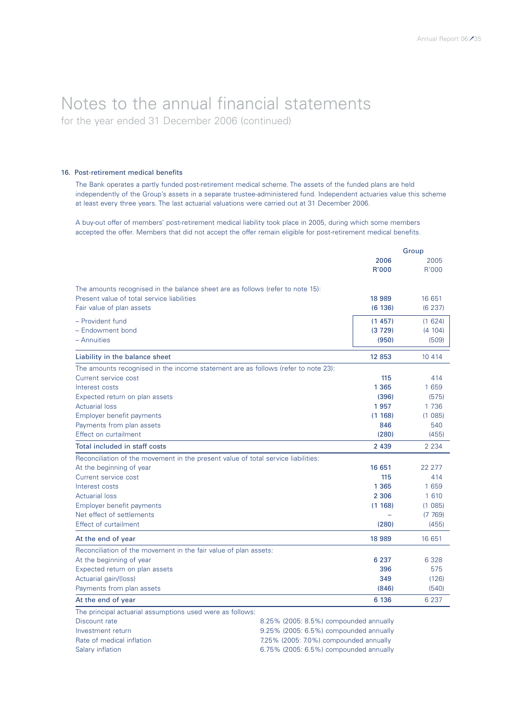for the year ended 31 December 2006 (continued)

### 16. Post-retirement medical benefits

The Bank operates a partly funded post-retirement medical scheme. The assets of the funded plans are held independently of the Group's assets in a separate trustee-administered fund. Independent actuaries value this scheme at least every three years. The last actuarial valuations were carried out at 31 December 2006.

A buy-out offer of members' post-retirement medical liability took place in 2005, during which some members accepted the offer. Members that did not accept the offer remain eligible for post-retirement medical benefits.

|                                                                                   |               | Group         |
|-----------------------------------------------------------------------------------|---------------|---------------|
|                                                                                   | 2006<br>R'000 | 2005<br>R'000 |
| The amounts recognised in the balance sheet are as follows (refer to note 15):    |               |               |
| Present value of total service liabilities                                        | 18 989        | 16 651        |
| Fair value of plan assets                                                         | (6136)        | (6237)        |
| - Provident fund                                                                  | (1457)        | (1624)        |
| - Endowment bond                                                                  | (3729)        | (4 104)       |
| - Annuities                                                                       | (950)         | (509)         |
| Liability in the balance sheet                                                    | 12 853        | 10 4 14       |
| The amounts recognised in the income statement are as follows (refer to note 23): |               |               |
| Current service cost                                                              | 115           | 414           |
| Interest costs                                                                    | 1 3 6 5       | 1 659         |
| Expected return on plan assets                                                    | (396)         | (575)         |
| <b>Actuarial loss</b>                                                             | 1957          | 1 7 3 6       |
| Employer benefit payments                                                         | (1168)        | (1085)        |
| Payments from plan assets                                                         | 846           | 540           |
| Effect on curtailment                                                             | (280)         | (455)         |
| Total included in staff costs                                                     | 2 4 3 9       | 2 2 3 4       |
| Reconciliation of the movement in the present value of total service liabilities: |               |               |
| At the beginning of year                                                          | 16 651        | 22 277        |
| Current service cost                                                              | 115           | 414           |
| Interest costs                                                                    | 1 3 6 5       | 1 659         |
| <b>Actuarial loss</b>                                                             | 2 3 0 6       | 1 6 1 0       |
| Employer benefit payments                                                         | (1168)        | (1085)        |
| Net effect of settlements                                                         |               | (7769)        |
| <b>Effect of curtailment</b>                                                      | (280)         | (455)         |
| At the end of year                                                                | 18 989        | 16 651        |
| Reconciliation of the movement in the fair value of plan assets:                  |               |               |
| At the beginning of year                                                          | 6 2 3 7       | 6 3 2 8       |
| Expected return on plan assets                                                    | 396           | 575           |
| Actuarial gain/(loss)                                                             | 349           | (126)         |
| Payments from plan assets                                                         | (846)         | (540)         |
| At the end of year                                                                | 6 136         | 6 2 3 7       |
| The principal actuarial assumptions used were as follows:                         |               |               |

Discount rate 8.25% (2005: 8.5%) compounded annually Investment return 9.25% (2005: 6.5%) compounded annually Rate of medical inflation Table 1.25% (2005: 7.0%) compounded annually Salary inflation 6.75% (2005: 6.5%) compounded annually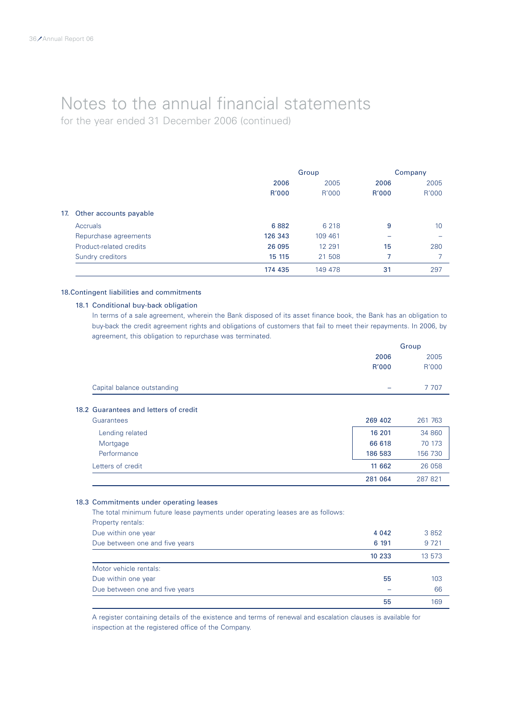for the year ended 31 December 2006 (continued)

|     |                         | Group   |          | Company |       |
|-----|-------------------------|---------|----------|---------|-------|
|     |                         | 2006    | 2005     | 2006    | 2005  |
|     |                         | R'000   | R'000    | R'000   | R'000 |
| 17. | Other accounts payable  |         |          |         |       |
|     | <b>Accruals</b>         | 6882    | 6 2 1 8  | 9       | 10    |
|     | Repurchase agreements   | 126 343 | 109 461  |         |       |
|     | Product-related credits | 26 095  | 12 2 9 1 | 15      | 280   |
|     | Sundry creditors        | 15 115  | 21 508   |         |       |
|     |                         | 174 435 | 149 478  | 31      | 297   |

### 18.Contingent liabilities and commitments

### 18.1 Conditional buy-back obligation

In terms of a sale agreement, wherein the Bank disposed of its asset finance book, the Bank has an obligation to buy-back the credit agreement rights and obligations of customers that fail to meet their repayments. In 2006, by agreement, this obligation to repurchase was terminated.

|                             |                          | Group   |  |
|-----------------------------|--------------------------|---------|--|
|                             | 2006                     | 2005    |  |
|                             | R'000                    | R'000   |  |
| Capital balance outstanding | $\overline{\phantom{0}}$ | 7 7 0 7 |  |
|                             |                          |         |  |

### 18.2 Guarantees and letters of credit

| Guarantees        | 269 402 | 261 763 |
|-------------------|---------|---------|
| Lending related   | 16 201  | 34 860  |
| Mortgage          | 66 618  | 70 173  |
| Performance       | 186 583 | 156 730 |
| Letters of credit | 11 662  | 26 058  |
|                   | 281 064 | 287821  |

### 18.3 Commitments under operating leases

| The total minimum future lease payments under operating leases are as follows: |         |         |
|--------------------------------------------------------------------------------|---------|---------|
| Property rentals:                                                              |         |         |
| Due within one year                                                            | 4 0 4 2 | 3852    |
| Due between one and five years                                                 | 6 191   | 9 7 2 1 |
|                                                                                | 10 233  | 13 573  |
| Motor vehicle rentals:                                                         |         |         |
| Due within one year                                                            | 55      | 103     |
| Due between one and five years                                                 |         | 66      |
|                                                                                | 55      | 169     |

A register containing details of the existence and terms of renewal and escalation clauses is available for inspection at the registered office of the Company.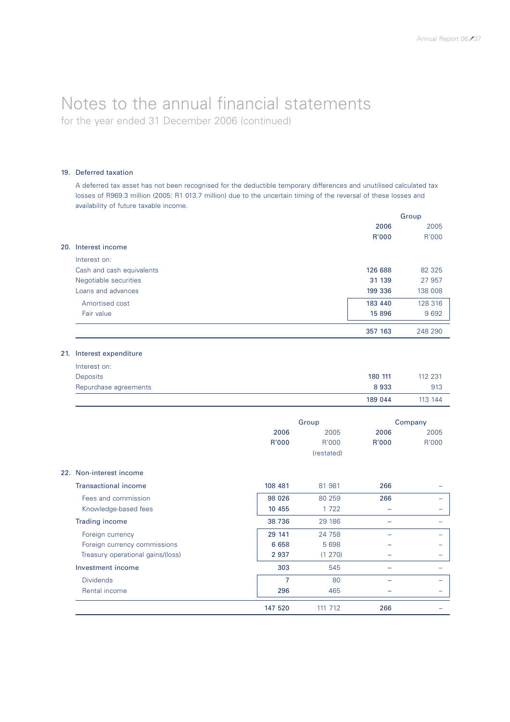for the year ended 31 December 2006 (continued)

### 19. Deferred taxation

A deferred tax asset has not been recognised for the deductible temporary differences and unutilised calculated tax losses of R969.3 million (2005: R1 013.7 million) due to the uncertain timing of the reversal of these losses and availability of future taxable income.

|                           |         | Group   |
|---------------------------|---------|---------|
|                           | 2006    | 2005    |
|                           | R'000   | R'000   |
| Interest income<br>20.    |         |         |
| Interest on:              |         |         |
| Cash and cash equivalents | 126 688 | 82 325  |
| Negotiable securities     | 31 139  | 27 957  |
| Loans and advances        | 199 336 | 138 008 |
| Amortised cost            | 183 440 | 128 316 |
| Fair value                | 15 896  | 9 6 9 2 |
|                           | 357 163 | 248 290 |

### 21. Interest expenditure

|                       | 189 044 | 113 144 |
|-----------------------|---------|---------|
| Repurchase agreements | 8933    | 913     |
| Deposits              | 180 111 | 112 231 |
| Interest on:          |         |         |

|                             |         | Group      |       | Company                  |
|-----------------------------|---------|------------|-------|--------------------------|
|                             | 2006    | 2005       |       | 2005                     |
|                             | R'000   | R'000      | R'000 | R'000                    |
|                             |         | (restated) |       |                          |
| 22. Non-interest income     |         |            |       |                          |
| <b>Transactional income</b> | 108 481 | 81 981     | 266   | -                        |
| Fees and commission         | 98 0 26 | 80 259     | 266   | $\overline{\phantom{0}}$ |
| Knowledge-based fees        | 10 455  | 1722       |       |                          |

| <b>Trading income</b>             | 38 7 36 | 29 186  |     |  |
|-----------------------------------|---------|---------|-----|--|
| Foreign currency                  | 29 141  | 24 758  |     |  |
| Foreign currency commissions      | 6 6 5 8 | 5 6 9 8 |     |  |
| Treasury operational gains/(loss) | 2 9 3 7 | (1 270) |     |  |
| Investment income                 | 303     | 545     |     |  |
| <b>Dividends</b>                  |         | 80      |     |  |
| Rental income                     | 296     | 465     |     |  |
|                                   | 147 520 | 111 712 | 266 |  |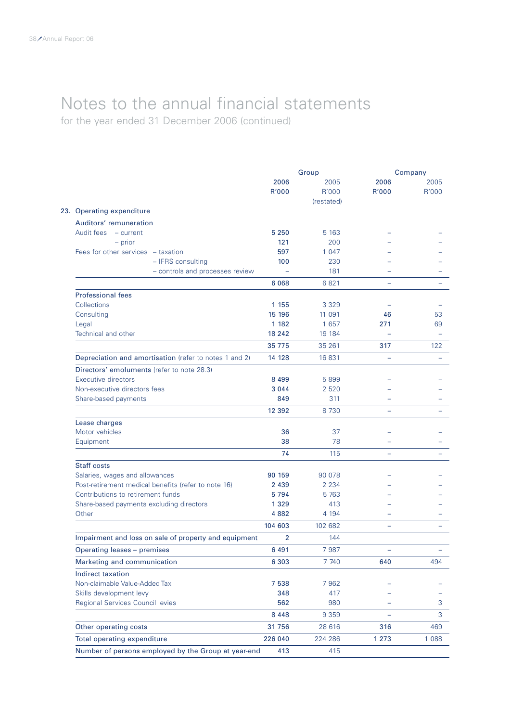for the year ended 31 December 2006 (continued)

|                                                        | Group         |               |                          | Company       |
|--------------------------------------------------------|---------------|---------------|--------------------------|---------------|
|                                                        | 2006<br>R'000 | 2005<br>R'000 | 2006<br>R'000            | 2005<br>R'000 |
| 23. Operating expenditure                              |               | (restated)    |                          |               |
| Auditors' remuneration                                 |               |               |                          |               |
| Audit fees<br>- current                                | 5 2 5 0       | 5 1 6 3       |                          |               |
| $-$ prior                                              | 121           | 200           |                          |               |
| Fees for other services - taxation                     | 597           | 1 0 4 7       |                          |               |
| - IFRS consulting                                      | 100           | 230           |                          |               |
| - controls and processes review                        |               | 181           |                          |               |
|                                                        | 6 0 68        | 6821          | $\overline{\phantom{0}}$ |               |
| <b>Professional fees</b>                               |               |               |                          |               |
| Collections                                            | 1 1 5 5       | 3 3 2 9       |                          |               |
| Consulting                                             | 15 196        | 11 091        | 46                       | 53            |
| Legal                                                  | 1 1 8 2       | 1 657         | 271                      | 69            |
| Technical and other                                    | 18 24 2       | 19 184        |                          |               |
|                                                        | 35 775        | 35 261        | 317                      | 122           |
| Depreciation and amortisation (refer to notes 1 and 2) | 14 128        | 16 831        | $\equiv$                 |               |
| Directors' emoluments (refer to note 28.3)             |               |               |                          |               |
| <b>Executive directors</b>                             | 8 4 9 9       | 5 8 9 9       |                          |               |
| Non-executive directors fees                           | 3 0 4 4       | 2 5 2 0       |                          |               |
| Share-based payments                                   | 849           | 311           |                          |               |
|                                                        | 12 3 9 2      | 8 7 3 0       |                          |               |
| Lease charges                                          |               |               |                          |               |
| Motor vehicles                                         | 36            | 37            |                          |               |
| Equipment                                              | 38            | 78            |                          |               |
|                                                        | 74            | 115           |                          |               |
| <b>Staff costs</b>                                     |               |               |                          |               |
| Salaries, wages and allowances                         | 90 159        | 90 078        |                          |               |
| Post-retirement medical benefits (refer to note 16)    | 2 4 3 9       | 2 2 3 4       |                          |               |
| Contributions to retirement funds                      | 5794          | 5 7 63        |                          |               |
| Share-based payments excluding directors               | 1 3 2 9       | 413           |                          |               |
| Other                                                  | 4 8 8 2       | 4 1 9 4       |                          |               |
|                                                        | 104 603       | 102 682       | $\overline{\phantom{0}}$ |               |
| Impairment and loss on sale of property and equipment  | 2             | 144           |                          |               |
| Operating leases - premises                            | 6 4 9 1       | 7 9 8 7       |                          |               |
| Marketing and communication                            | 6 3 0 3       | 7 740         | 640                      | 494           |
| Indirect taxation                                      |               |               |                          |               |
| Non-claimable Value-Added Tax                          | 7 5 38        | 7 9 6 2       |                          |               |
| Skills development levy                                | 348           | 417           |                          |               |
| Regional Services Council levies                       | 562           | 980           |                          | З             |
|                                                        | 8 4 4 8       | 9 3 5 9       |                          | 3             |
| Other operating costs                                  | 31756         | 28 616        | 316                      | 469           |
| <b>Total operating expenditure</b>                     | 226 040       | 224 286       | 1 2 7 3                  | 1 0 8 8       |
| Number of persons employed by the Group at year-end    | 413           | 415           |                          |               |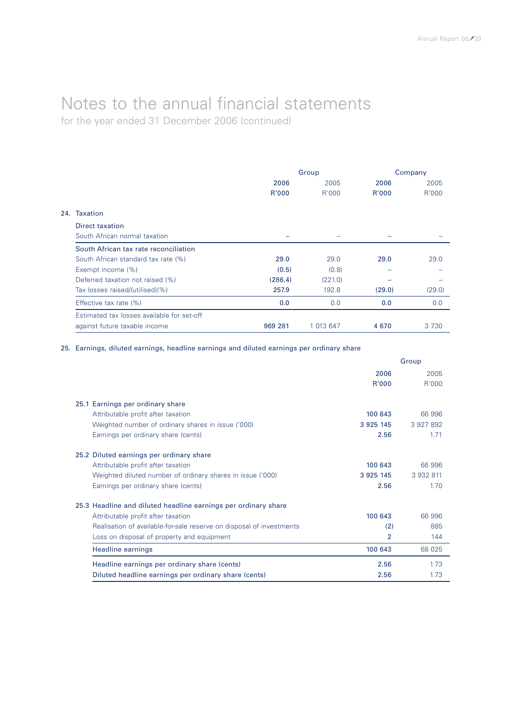for the year ended 31 December 2006 (continued)

|     |                                            | Group   |           | Company      |         |  |
|-----|--------------------------------------------|---------|-----------|--------------|---------|--|
|     |                                            | 2006    | 2005      | 2006         | 2005    |  |
|     |                                            | R'000   | R'000     | <b>R'000</b> | R'000   |  |
| 24. | <b>Taxation</b>                            |         |           |              |         |  |
|     | Direct taxation                            |         |           |              |         |  |
|     | South African normal taxation              |         |           |              |         |  |
|     | South African tax rate reconciliation      |         |           |              |         |  |
|     | South African standard tax rate (%)        | 29.0    | 29.0      | 29.0         | 29.0    |  |
|     | Exempt income (%)                          | (0.5)   | (0.8)     |              |         |  |
|     | Deferred taxation not raised (%)           | (286.4) | (221.0)   |              |         |  |
|     | Tax losses raised/(utilised)(%)            | 257.9   | 192.8     | (29.0)       | (29.0)  |  |
|     | Effective tax rate (%)                     | 0.0     | 0.0       | 0.0          | 0.0     |  |
|     | Estimated tax losses available for set-off |         |           |              |         |  |
|     | against future taxable income              | 969 281 | 1 013 647 | 4670         | 3 7 3 0 |  |

25. Earnings, diluted earnings, headline earnings and diluted earnings per ordinary share

|                                                                      | Group         |           |  |
|----------------------------------------------------------------------|---------------|-----------|--|
|                                                                      | 2006          | 2005      |  |
|                                                                      | R'000         | R'000     |  |
| 25.1 Earnings per ordinary share                                     |               |           |  |
| Attributable profit after taxation                                   | 100 643       | 66 996    |  |
| Weighted number of ordinary shares in issue ('000)                   | 3 9 2 5 1 4 5 | 3 927 892 |  |
| Earnings per ordinary share (cents)                                  | 2.56          | 1.71      |  |
| 25.2 Diluted earnings per ordinary share                             |               |           |  |
| Attributable profit after taxation                                   | 100 643       | 66 996    |  |
| Weighted diluted number of ordinary shares in issue ('000)           | 3 9 2 5 1 4 5 | 3 932 811 |  |
| Earnings per ordinary share (cents)                                  | 2.56          | 1.70      |  |
| 25.3 Headline and diluted headline earnings per ordinary share       |               |           |  |
| Attributable profit after taxation                                   | 100 643       | 66 996    |  |
| Realisation of available-for-sale reserve on disposal of investments | (2)           | 885       |  |
| Loss on disposal of property and equipment                           | 2             | 144       |  |
| Headline earnings                                                    | 100 643       | 68 025    |  |
| Headline earnings per ordinary share (cents)                         | 2.56          | 1.73      |  |
| Diluted headline earnings per ordinary share (cents)                 | 2.56          | 1.73      |  |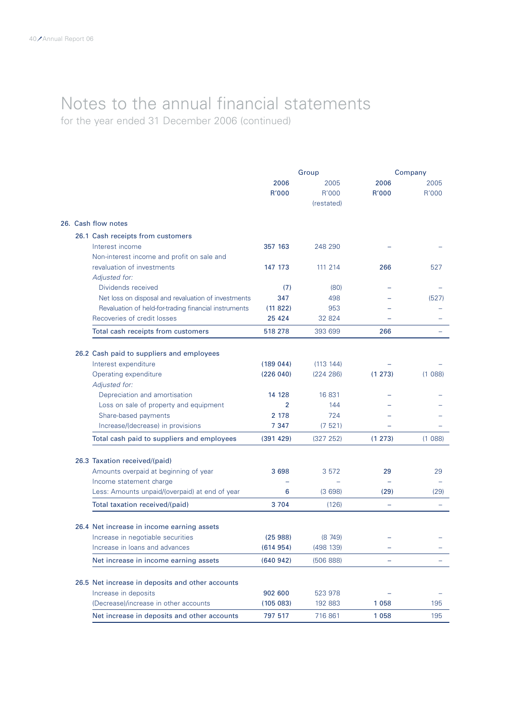for the year ended 31 December 2006 (continued)

|  |                                                           |                           | Group                       |               | Company       |
|--|-----------------------------------------------------------|---------------------------|-----------------------------|---------------|---------------|
|  |                                                           | 2006<br>R'000             | 2005<br>R'000<br>(restated) | 2006<br>R'000 | 2005<br>R'000 |
|  | 26. Cash flow notes                                       |                           |                             |               |               |
|  | 26.1 Cash receipts from customers                         |                           |                             |               |               |
|  | Interest income                                           | 357 163                   | 248 290                     |               |               |
|  | Non-interest income and profit on sale and                |                           |                             |               |               |
|  | revaluation of investments                                | 147 173                   | 111 214                     | 266           | 527           |
|  | Adjusted for:                                             |                           |                             |               |               |
|  | Dividends received                                        | (7)                       | (80)                        |               |               |
|  | Net loss on disposal and revaluation of investments       | 347                       | 498                         |               | (527)         |
|  | Revaluation of held-for-trading financial instruments     | (11822)                   | 953                         |               |               |
|  | Recoveries of credit losses                               | 25 4 24                   | 32 824                      |               |               |
|  | Total cash receipts from customers                        | 518 278                   | 393 699                     | 266           |               |
|  |                                                           |                           |                             |               |               |
|  | 26.2 Cash paid to suppliers and employees                 |                           |                             |               |               |
|  | Interest expenditure                                      | (189044)                  | (113 144)                   |               |               |
|  | Operating expenditure                                     | (226040)                  | (224 286)                   | (1 273)       | (1088)        |
|  | Adjusted for:                                             |                           |                             |               |               |
|  | Depreciation and amortisation                             | 14 128                    | 16 831                      |               |               |
|  | Loss on sale of property and equipment                    | $\overline{2}$<br>2 1 7 8 | 144<br>724                  |               |               |
|  | Share-based payments<br>Increase/(decrease) in provisions | 7 3 4 7                   | (7521)                      |               |               |
|  | Total cash paid to suppliers and employees                | (391 429)                 | (327 252)                   | (1 273)       | (1088)        |
|  |                                                           |                           |                             |               |               |
|  | 26.3 Taxation received/(paid)                             |                           |                             |               |               |
|  | Amounts overpaid at beginning of year                     | 3698                      | 3 5 7 2                     | 29            | 29            |
|  | Income statement charge                                   |                           |                             |               |               |
|  | Less: Amounts unpaid/(overpaid) at end of year            | 6                         | (3698)                      | (29)          | (29)          |
|  | Total taxation received/(paid)                            | 3 7 0 4                   | (126)                       | $\equiv$      |               |
|  |                                                           |                           |                             |               |               |
|  | 26.4 Net increase in income earning assets                |                           |                             |               |               |
|  | Increase in negotiable securities                         | (25988)                   | (8749)                      |               |               |
|  | Increase in loans and advances                            | (614954)                  | (498 139)                   |               |               |
|  | Net increase in income earning assets                     | (640942)                  | (506 888)                   |               |               |
|  | 26.5 Net increase in deposits and other accounts          |                           |                             |               |               |
|  | Increase in deposits                                      | 902 600                   | 523 978                     |               |               |
|  | (Decrease)/increase in other accounts                     | (105 083)                 | 192 883                     | 1058          | 195           |
|  | Net increase in deposits and other accounts               | 797 517                   | 716 861                     | 1058          | 195           |
|  |                                                           |                           |                             |               |               |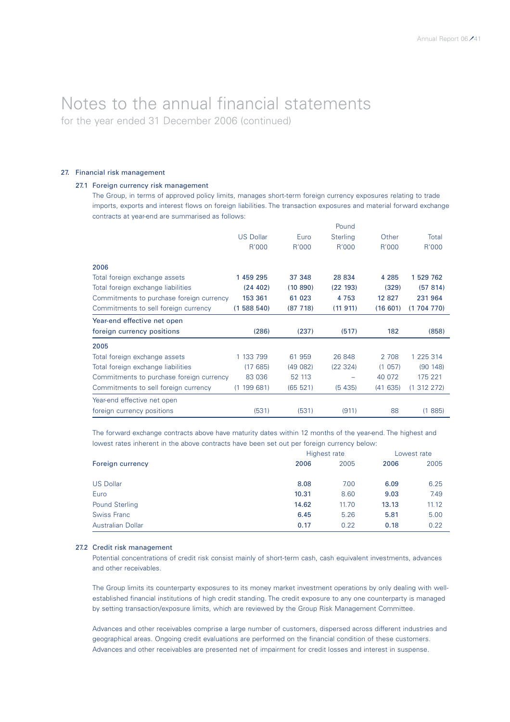for the year ended 31 December 2006 (continued)

### 27. Financial risk management

### 27.1 Foreign currency risk management

The Group, in terms of approved policy limits, manages short-term foreign currency exposures relating to trade imports, exports and interest flows on foreign liabilities. The transaction exposures and material forward exchange contracts at year-end are summarised as follows:

|                                          |                  |           | Pound           |         |             |
|------------------------------------------|------------------|-----------|-----------------|---------|-------------|
|                                          | <b>US Dollar</b> | Euro      | <b>Sterling</b> | Other   | Total       |
|                                          | R'000            | R'000     | R'000           | R'000   | R'000       |
| 2006                                     |                  |           |                 |         |             |
| Total foreign exchange assets            | 1 459 295        | 37 348    | 28 834          | 4 2 8 5 | 1 529 762   |
| Total foreign exchange liabilities       | (24 402)         | (10, 890) | (22 193)        | (329)   | (57 814)    |
| Commitments to purchase foreign currency | 153 361          | 61 023    | 4753            | 12 827  | 231 964     |
| Commitments to sell foreign currency     | (1588540)        | (87718)   | (11911)         | (16601) | (1704770)   |
| Year-end effective net open              |                  |           |                 |         |             |
| foreign currency positions               | (286)            | (237)     | (517)           | 182     | (858)       |
| 2005                                     |                  |           |                 |         |             |
| Total foreign exchange assets            | 1 133 799        | 61 959    | 26 848          | 2 708   | 1 225 314   |
| Total foreign exchange liabilities       | (17685)          | (49082)   | (22 324)        | (1057)  | (90148)     |
| Commitments to purchase foreign currency | 83 036           | 52 113    |                 | 40 072  | 175 221     |
| Commitments to sell foreign currency     | 199 681)<br>(1)  | (65 521)  | (5435)          | (41635) | (1 312 272) |
| Year-end effective net open              |                  |           |                 |         |             |
| foreign currency positions               | (531)            | (531)     | (911)           | 88      | 885)<br>(1) |

The forward exchange contracts above have maturity dates within 12 months of the year-end. The highest and lowest rates inherent in the above contracts have been set out per foreign currency below:

|                          | Highest rate | Lowest rate |       |       |
|--------------------------|--------------|-------------|-------|-------|
| Foreign currency         | 2006         | 2005        | 2006  | 2005  |
| <b>US Dollar</b>         | 8.08         | 7.00        | 6.09  | 6.25  |
|                          |              |             |       |       |
| Euro                     | 10.31        | 8.60        | 9.03  | 7.49  |
| <b>Pound Sterling</b>    | 14.62        | 11.70       | 13.13 | 11.12 |
| <b>Swiss Franc</b>       | 6.45         | 5.26        | 5.81  | 5.00  |
| <b>Australian Dollar</b> | 0.17         | 0.22        | 0.18  | 0.22  |

### 27.2 Credit risk management

Potential concentrations of credit risk consist mainly of short-term cash, cash equivalent investments, advances and other receivables.

The Group limits its counterparty exposures to its money market investment operations by only dealing with wellestablished financial institutions of high credit standing. The credit exposure to any one counterparty is managed by setting transaction/exposure limits, which are reviewed by the Group Risk Management Committee.

Advances and other receivables comprise a large number of customers, dispersed across different industries and geographical areas. Ongoing credit evaluations are performed on the financial condition of these customers. Advances and other receivables are presented net of impairment for credit losses and interest in suspense.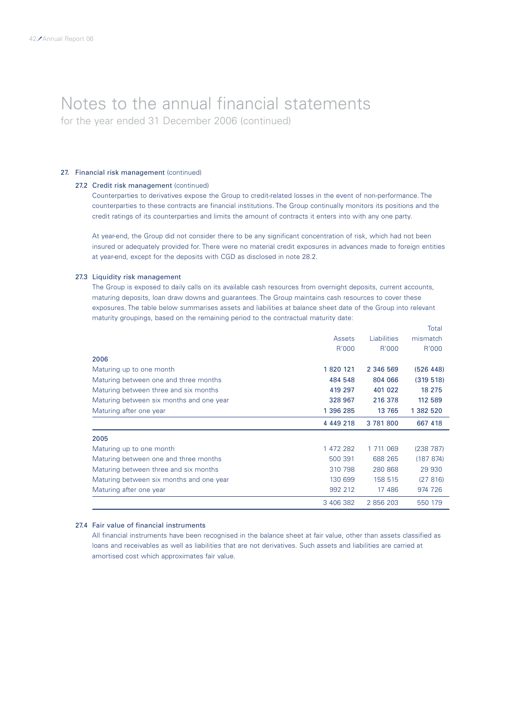for the year ended 31 December 2006 (continued)

### 27. Financial risk management (continued)

### 27.2 Credit risk management (continued)

Counterparties to derivatives expose the Group to credit-related losses in the event of non-performance. The counterparties to these contracts are financial institutions. The Group continually monitors its positions and the credit ratings of its counterparties and limits the amount of contracts it enters into with any one party.

At year-end, the Group did not consider there to be any significant concentration of risk, which had not been insured or adequately provided for. There were no material credit exposures in advances made to foreign entities at year-end, except for the deposits with CGD as disclosed in note 28.2.

### 27.3 Liquidity risk management

The Group is exposed to daily calls on its available cash resources from overnight deposits, current accounts, maturing deposits, loan draw downs and guarantees. The Group maintains cash resources to cover these exposures. The table below summarises assets and liabilities at balance sheet date of the Group into relevant maturity groupings, based on the remaining period to the contractual maturity date:

Total

|                                          |           |             | TOtal     |
|------------------------------------------|-----------|-------------|-----------|
|                                          | Assets    | Liabilities | mismatch  |
|                                          | R'000     | R'000       | R'000     |
| 2006                                     |           |             |           |
| Maturing up to one month                 | 1820 121  | 2 346 569   | (526 448) |
| Maturing between one and three months    | 484 548   | 804 066     | (319 518) |
| Maturing between three and six months    | 419 297   | 401 022     | 18 275    |
| Maturing between six months and one year | 328 967   | 216 378     | 112 589   |
| Maturing after one year                  | 1 396 285 | 13 765      | 1 382 520 |
|                                          | 4 449 218 | 3781800     | 667 418   |
| 2005                                     |           |             |           |
| Maturing up to one month                 | 1 472 282 | 1 711 069   | (238 787) |
| Maturing between one and three months    | 500 391   | 688 265     | (187 874) |
| Maturing between three and six months    | 310 798   | 280 868     | 29 930    |
| Maturing between six months and one year | 130 699   | 158 515     | (27816)   |
| Maturing after one year                  | 992 212   | 17 486      | 974 726   |
|                                          | 3 406 382 | 2 856 203   | 550 179   |

### 27.4 Fair value of financial instruments

All financial instruments have been recognised in the balance sheet at fair value, other than assets classified as loans and receivables as well as liabilities that are not derivatives. Such assets and liabilities are carried at amortised cost which approximates fair value.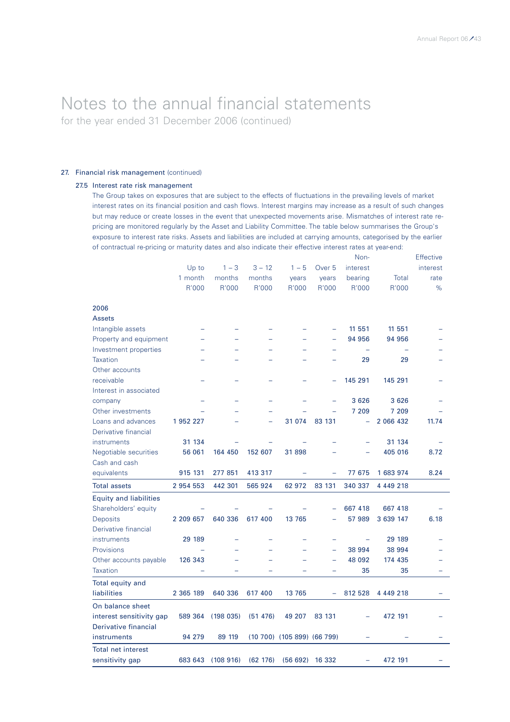for the year ended 31 December 2006 (continued)

### 27. Financial risk management (continued)

### 27.5 Interest rate risk management

The Group takes on exposures that are subject to the effects of fluctuations in the prevailing levels of market interest rates on its financial position and cash flows. Interest margins may increase as a result of such changes but may reduce or create losses in the event that unexpected movements arise. Mismatches of interest rate repricing are monitored regularly by the Asset and Liability Committee. The table below summarises the Group's exposure to interest rate risks. Assets and liabilities are included at carrying amounts, categorised by the earlier of contractual re-pricing or maturity dates and also indicate their effective interest rates at year-end:

|                               |           |          |          |                             |                          | Non-                     |           | Effective |
|-------------------------------|-----------|----------|----------|-----------------------------|--------------------------|--------------------------|-----------|-----------|
|                               | Up to     | $1 - 3$  | $3 - 12$ | $1 - 5$                     | Over <sub>5</sub>        | interest                 |           | interest  |
|                               | 1 month   | months   | months   | years                       | years                    | bearing                  | Total     | rate      |
|                               | R'000     | R'000    | R'000    | R'000                       | R'000                    | R'000                    | R'000     | %         |
|                               |           |          |          |                             |                          |                          |           |           |
| 2006                          |           |          |          |                             |                          |                          |           |           |
| <b>Assets</b>                 |           |          |          |                             |                          |                          |           |           |
| Intangible assets             |           |          |          |                             |                          | 11 551                   | 11 551    |           |
| Property and equipment        |           |          |          |                             | $\equiv$                 | 94 956                   | 94 956    |           |
| Investment properties         |           |          |          |                             |                          | $\overline{\phantom{0}}$ |           |           |
| <b>Taxation</b>               |           |          |          |                             |                          | 29                       | 29        |           |
| Other accounts                |           |          |          |                             |                          |                          |           |           |
| receivable                    |           |          |          |                             |                          | 145 291                  | 145 291   |           |
| Interest in associated        |           |          |          |                             |                          |                          |           |           |
| company                       |           |          |          |                             |                          | 3 6 2 6                  | 3626      |           |
| Other investments             |           |          |          |                             |                          | 7 209                    | 7 209     |           |
| Loans and advances            | 1 952 227 |          |          | 31 074                      | 83 131                   | ÷                        | 2 066 432 | 11.74     |
| Derivative financial          |           |          |          |                             |                          |                          |           |           |
| instruments                   | 31 134    |          |          |                             |                          | $\equiv$                 | 31 134    |           |
| Negotiable securities         | 56 061    | 164 450  | 152 607  | 31898                       |                          |                          | 405 016   | 8.72      |
| Cash and cash                 |           |          |          |                             |                          |                          |           |           |
| equivalents                   | 915 131   | 277 851  | 413 317  |                             |                          | 77 675                   | 1 683 974 | 8.24      |
| <b>Total assets</b>           | 2 954 553 | 442 301  | 565 924  | 62 972                      | 83 131                   | 340 337                  | 4 449 218 |           |
| <b>Equity and liabilities</b> |           |          |          |                             |                          |                          |           |           |
| Shareholders' equity          |           |          |          |                             | ۳                        | 667 418                  | 667 418   |           |
| <b>Deposits</b>               | 2 209 657 | 640 336  | 617 400  | 13 765                      |                          | 57 989                   | 3 639 147 | 6.18      |
| Derivative financial          |           |          |          |                             |                          |                          |           |           |
| instruments                   | 29 189    |          |          |                             |                          |                          | 29 189    |           |
| Provisions                    |           |          |          |                             | $\overline{\phantom{0}}$ | 38 994                   | 38 994    |           |
| Other accounts payable        | 126 343   |          |          |                             |                          | 48 092                   | 174 435   |           |
| <b>Taxation</b>               |           |          | $\equiv$ |                             | $\overline{\phantom{0}}$ | 35                       | 35        |           |
| Total equity and              |           |          |          |                             |                          |                          |           |           |
| liabilities                   | 2 365 189 | 640 336  | 617 400  | 13 765                      | ÷                        | 812 528                  | 4 449 218 |           |
| On balance sheet              |           |          |          |                             |                          |                          |           |           |
| interest sensitivity gap      | 589 364   | (198035) | (51 476) | 49 207                      | 83 131                   |                          | 472 191   |           |
| Derivative financial          |           |          |          |                             |                          |                          |           |           |
| instruments                   | 94 279    | 89 119   |          | (10 700) (105 899) (66 799) |                          | ÷                        |           |           |
| <b>Total net interest</b>     |           |          |          |                             |                          |                          |           |           |
| sensitivity gap               | 683 643   | (108916) | (62 176) | (56692)                     | 16 332                   |                          | 472 191   |           |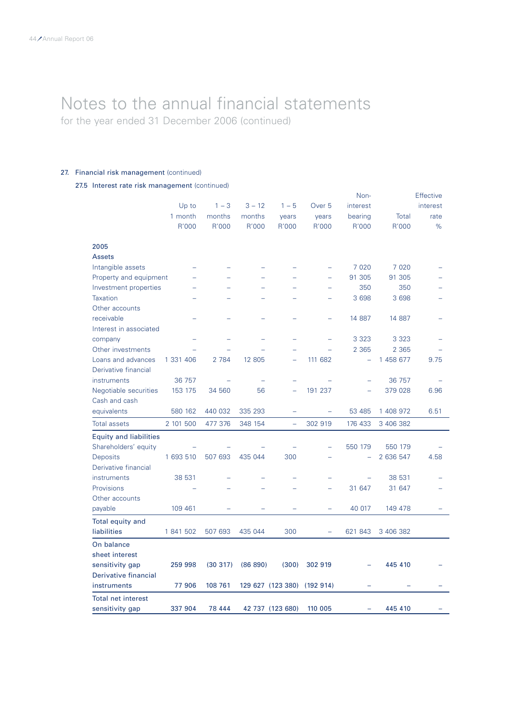for the year ended 31 December 2006 (continued)

### 27. Financial risk management (continued)

27.5 Interest rate risk management (continued)

|                               |           |         |          |                          |                   | Non-                     |           | <b>Effective</b> |
|-------------------------------|-----------|---------|----------|--------------------------|-------------------|--------------------------|-----------|------------------|
|                               | Up to     | $1 - 3$ | $3 - 12$ | $1 - 5$                  | Over <sub>5</sub> | interest                 |           | interest         |
|                               | 1 month   | months  | months   | years                    | years             | bearing                  | Total     | rate             |
|                               | R'000     | R'000   | R'000    | R'000                    | R'000             | R'000                    | R'000     | $\%$             |
| 2005                          |           |         |          |                          |                   |                          |           |                  |
| <b>Assets</b>                 |           |         |          |                          |                   |                          |           |                  |
| Intangible assets             |           |         |          |                          |                   | 7 0 20                   | 7 0 2 0   |                  |
| Property and equipment        |           |         |          |                          | ÷                 | 91 305                   | 91 305    |                  |
| Investment properties         |           |         |          |                          |                   | 350                      | 350       |                  |
| <b>Taxation</b>               |           |         |          |                          |                   | 3 6 9 8                  | 3 6 9 8   |                  |
| Other accounts                |           |         |          |                          |                   |                          |           |                  |
| receivable                    |           |         |          |                          |                   | 14 887                   | 14 887    |                  |
| Interest in associated        |           |         |          |                          |                   |                          |           |                  |
| company                       |           |         |          |                          |                   | 3 3 2 3                  | 3 3 2 3   |                  |
| Other investments             |           |         |          |                          |                   | 2 3 6 5                  | 2 3 6 5   |                  |
| Loans and advances            | 1 331 406 | 2 7 8 4 | 12 805   | $\overline{\phantom{0}}$ | 111 682           | $\overline{\phantom{0}}$ | 1 458 677 | 9.75             |
| Derivative financial          |           |         |          |                          |                   |                          |           |                  |
| instruments                   | 36 757    |         |          |                          |                   |                          | 36 757    |                  |
| Negotiable securities         | 153 175   | 34 560  | 56       | $\equiv$                 | 191 237           |                          | 379 028   | 6.96             |
| Cash and cash                 |           |         |          |                          |                   |                          |           |                  |
| equivalents                   | 580 162   | 440 032 | 335 293  | -                        | -                 | 53 485                   | 1 408 972 | 6.51             |
| <b>Total assets</b>           | 2 101 500 | 477 376 | 348 154  | $\overline{a}$           | 302 919           | 176 433                  | 3 406 382 |                  |
| <b>Equity and liabilities</b> |           |         |          |                          |                   |                          |           |                  |
| Shareholders' equity          |           |         |          |                          |                   | 550 179                  | 550 179   |                  |
| Deposits                      | 1 693 510 | 507 693 | 435 044  | 300                      |                   |                          | 2 636 547 | 4.58             |
| Derivative financial          |           |         |          |                          |                   |                          |           |                  |
| instruments                   | 38 531    |         |          |                          |                   |                          | 38 531    |                  |
| Provisions                    |           |         |          |                          |                   | 31 647                   | 31 647    |                  |
| Other accounts                |           |         |          |                          |                   |                          |           |                  |
| payable                       | 109 461   |         |          |                          |                   | 40 017                   | 149 478   |                  |
| <b>Total equity and</b>       |           |         |          |                          |                   |                          |           |                  |
| liabilities                   | 1 841 502 | 507 693 | 435 044  | 300                      | $\equiv$          | 621 843                  | 3 406 382 |                  |
| On balance                    |           |         |          |                          |                   |                          |           |                  |
| sheet interest                |           |         |          |                          |                   |                          |           |                  |
| sensitivity gap               | 259 998   | (30317) | (86 890) | (300)                    | 302 919           |                          | 445 410   |                  |
| Derivative financial          |           |         |          |                          |                   |                          |           |                  |
| instruments                   | 77 906    | 108 761 |          | 129 627 (123 380)        | (192914)          |                          |           |                  |
| <b>Total net interest</b>     |           |         |          |                          |                   |                          |           |                  |
| sensitivity gap               | 337 904   | 78 444  |          | 42 737 (123 680)         | 110 005           |                          | 445 410   |                  |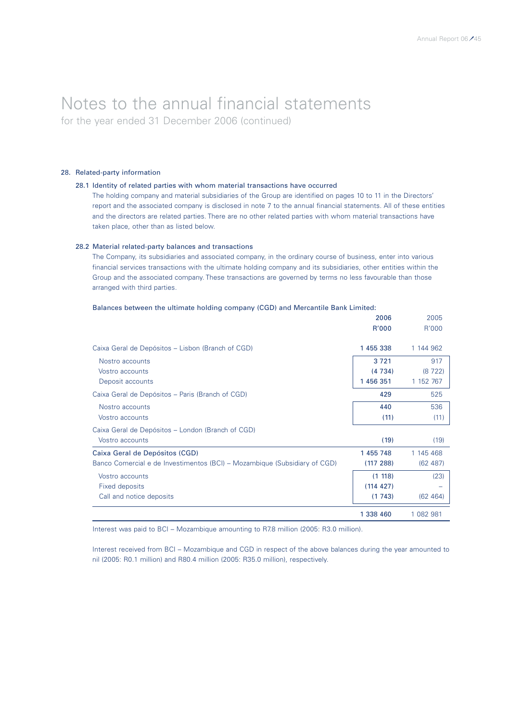for the year ended 31 December 2006 (continued)

### 28. Related-party information

### 28.1 Identity of related parties with whom material transactions have occurred

The holding company and material subsidiaries of the Group are identified on pages 10 to 11 in the Directors' report and the associated company is disclosed in note 7 to the annual financial statements. All of these entities and the directors are related parties. There are no other related parties with whom material transactions have taken place, other than as listed below.

### 28.2 Material related-party balances and transactions

The Company, its subsidiaries and associated company, in the ordinary course of business, enter into various financial services transactions with the ultimate holding company and its subsidiaries, other entities within the Group and the associated company. These transactions are governed by terms no less favourable than those arranged with third parties.

|                                                                           | 2006      | 2005      |
|---------------------------------------------------------------------------|-----------|-----------|
|                                                                           | R'000     | R'000     |
| Caixa Geral de Depósitos – Lisbon (Branch of CGD)                         | 1 455 338 | 1 144 962 |
| Nostro accounts                                                           | 3721      | 917       |
| Vostro accounts                                                           | (4734)    | (8722)    |
| Deposit accounts                                                          | 1456351   | 1 152 767 |
| Caixa Geral de Depósitos - Paris (Branch of CGD)                          | 429       | 525       |
| Nostro accounts                                                           | 440       | 536       |
| Vostro accounts                                                           | (11)      | (11)      |
| Caixa Geral de Depósitos - London (Branch of CGD)                         |           |           |
| Vostro accounts                                                           | (19)      | (19)      |
| Caixa Geral de Depósitos (CGD)                                            | 1 455 748 | 1 145 468 |
| Banco Comercial e de Investimentos (BCI) - Mozambique (Subsidiary of CGD) | (117 288) | (62, 487) |
| Vostro accounts                                                           | (1 118)   | (23)      |
| Fixed deposits                                                            | (114 427) |           |
| Call and notice deposits                                                  | (1743)    | (62 464)  |
|                                                                           | 1 338 460 | 1 082 981 |

### Balances between the ultimate holding company (CGD) and Mercantile Bank Limited:

Interest was paid to BCI – Mozambique amounting to R7.8 million (2005: R3.0 million).

Interest received from BCI – Mozambique and CGD in respect of the above balances during the year amounted to nil (2005: R0.1 million) and R80.4 million (2005: R35.0 million), respectively.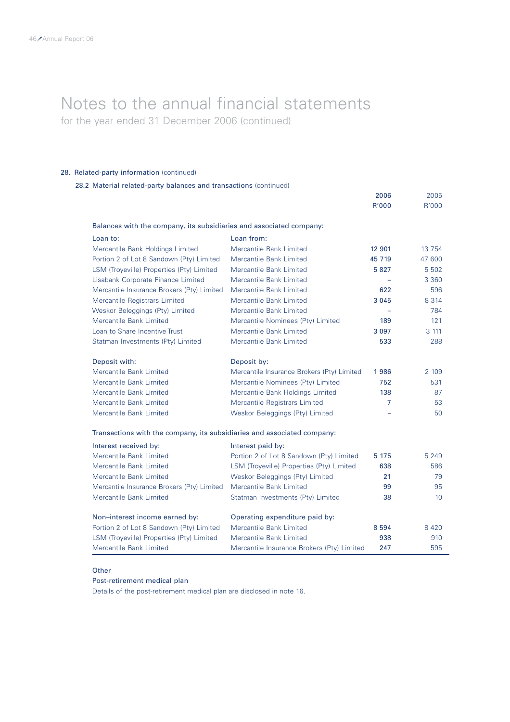for the year ended 31 December 2006 (continued)

### 28. Related-party information (continued)

|  |  | 28.2 Material related-party balances and transactions (continued) |  |  |  |  |
|--|--|-------------------------------------------------------------------|--|--|--|--|
|--|--|-------------------------------------------------------------------|--|--|--|--|

|                                                                         |                                            | 2006<br>R'000 | 2005<br>R'000   |
|-------------------------------------------------------------------------|--------------------------------------------|---------------|-----------------|
| Balances with the company, its subsidiaries and associated company:     |                                            |               |                 |
| Loan to:                                                                | Loan from:                                 |               |                 |
| Mercantile Bank Holdings Limited                                        | <b>Mercantile Bank Limited</b>             | 12 901        | 13 7 54         |
| Portion 2 of Lot 8 Sandown (Pty) Limited                                | Mercantile Bank Limited                    | 45 7 19       | 47 600          |
| LSM (Troyeville) Properties (Pty) Limited                               | Mercantile Bank Limited                    | 5827          | 5 5 0 2         |
| Lisabank Corporate Finance Limited                                      | Mercantile Bank Limited                    | $\equiv$      | 3 3 6 0         |
| Mercantile Insurance Brokers (Pty) Limited                              | Mercantile Bank Limited                    | 622           | 596             |
| Mercantile Registrars Limited                                           | <b>Mercantile Bank Limited</b>             | 3 0 4 5       | 8 3 1 4         |
| Weskor Beleggings (Pty) Limited                                         | <b>Mercantile Bank Limited</b>             |               | 784             |
| Mercantile Bank Limited                                                 | Mercantile Nominees (Pty) Limited          | 189           | 121             |
| Loan to Share Incentive Trust                                           | <b>Mercantile Bank Limited</b>             | 3 0 9 7       | 3 111           |
| Statman Investments (Pty) Limited                                       | Mercantile Bank Limited                    | 533           | 288             |
|                                                                         |                                            |               |                 |
| Deposit with:                                                           | Deposit by:                                |               |                 |
| Mercantile Bank Limited                                                 | Mercantile Insurance Brokers (Pty) Limited | 1986          | 2 109           |
| <b>Mercantile Bank Limited</b>                                          | Mercantile Nominees (Pty) Limited          | 752           | 531             |
| <b>Mercantile Bank Limited</b>                                          | Mercantile Bank Holdings Limited           | 138           | 87              |
| <b>Mercantile Bank Limited</b>                                          | Mercantile Registrars Limited              | 7             | 53              |
| <b>Mercantile Bank Limited</b>                                          | Weskor Beleggings (Pty) Limited            |               | 50              |
| Transactions with the company, its subsidiaries and associated company: |                                            |               |                 |
| Interest received by:                                                   | Interest paid by:                          |               |                 |
| Mercantile Bank Limited                                                 | Portion 2 of Lot 8 Sandown (Pty) Limited   | 5 1 7 5       | 5 2 4 9         |
| Mercantile Bank Limited                                                 | LSM (Troyeville) Properties (Pty) Limited  | 638           | 586             |
| <b>Mercantile Bank Limited</b>                                          | Weskor Beleggings (Pty) Limited            | 21            | 79              |
| Mercantile Insurance Brokers (Pty) Limited                              | Mercantile Bank Limited                    | 99            | 95              |
| <b>Mercantile Bank Limited</b>                                          | Statman Investments (Pty) Limited          | 38            | 10 <sup>°</sup> |
| Non-interest income earned by:                                          | Operating expenditure paid by:             |               |                 |
| Portion 2 of Lot 8 Sandown (Pty) Limited                                | <b>Mercantile Bank Limited</b>             | 8 5 9 4       | 8 4 2 0         |
| LSM (Troyeville) Properties (Pty) Limited                               | Mercantile Bank Limited                    | 938           | 910             |
| <b>Mercantile Bank Limited</b>                                          | Mercantile Insurance Brokers (Pty) Limited | 247           | 595             |

### **Other**

### Post-retirement medical plan

Details of the post-retirement medical plan are disclosed in note 16.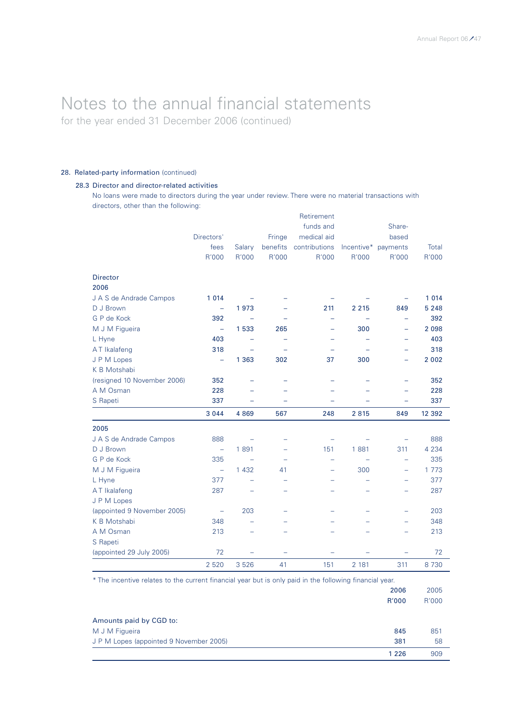for the year ended 31 December 2006 (continued)

### 28. Related-party information (continued)

### 28.3 Director and director-related activities

No loans were made to directors during the year under review. There were no material transactions with directors, other than the following:

|                             |                          |                          |                | Retirement               |                          |                          |         |
|-----------------------------|--------------------------|--------------------------|----------------|--------------------------|--------------------------|--------------------------|---------|
|                             |                          |                          |                | funds and                |                          | Share-                   |         |
|                             | Directors'               |                          | Fringe         | medical aid              |                          | based                    |         |
|                             | fees                     | Salary                   | benefits       | contributions            | Incentive*               | payments                 | Total   |
|                             | R'000                    | R'000                    | R'000          | R'000                    | R'000                    | R'000                    | R'000   |
| <b>Director</b>             |                          |                          |                |                          |                          |                          |         |
| 2006                        |                          |                          |                |                          |                          |                          |         |
| J A S de Andrade Campos     | 1 0 1 4                  |                          |                |                          |                          |                          | 1 0 1 4 |
| D J Brown                   | ÷,                       | 1973                     |                | 211                      | 2 2 1 5                  | 849                      | 5 2 4 8 |
| G P de Kock                 | 392                      | $\overline{\phantom{m}}$ |                | ÷                        | $\overline{\phantom{0}}$ | $\equiv$                 | 392     |
| M J M Figueira              | $\equiv$                 | 1 533                    | 265            | $\overline{\phantom{0}}$ | 300                      | ÷                        | 2 0 9 8 |
| L Hyne                      | 403                      |                          |                |                          |                          |                          | 403     |
| AT Ikalafeng                | 318                      |                          |                |                          |                          |                          | 318     |
| J P M Lopes                 | $\overline{\phantom{0}}$ | 1 3 6 3                  | 302            | 37                       | 300                      | -                        | 2 0 0 2 |
| K B Motshabi                |                          |                          |                |                          |                          |                          |         |
| (resigned 10 November 2006) | 352                      |                          |                |                          |                          |                          | 352     |
| A M Osman                   | 228                      |                          |                |                          |                          |                          | 228     |
| S Rapeti                    | 337                      | $\overline{\phantom{0}}$ |                | $\overline{\phantom{0}}$ |                          | ÷                        | 337     |
|                             | 3 0 4 4                  | 4 8 6 9                  | 567            | 248                      | 2815                     | 849                      | 12 392  |
| 2005                        |                          |                          |                |                          |                          |                          |         |
| J A S de Andrade Campos     | 888                      | $\overline{\phantom{a}}$ |                |                          |                          |                          | 888     |
| D J Brown                   | $\overline{\phantom{m}}$ | 1891                     |                | 151                      | 1881                     | 311                      | 4 2 3 4 |
| G P de Kock                 | 335                      | $\equiv$                 |                | $\equiv$                 |                          | ÷                        | 335     |
| M J M Figueira              | $\overline{\phantom{0}}$ | 1 4 3 2                  | 41             | -                        | 300                      | $\overline{\phantom{0}}$ | 1 773   |
| L Hyne                      | 377                      | $\overline{\phantom{0}}$ | ۰              | $\overline{\phantom{0}}$ | $\overline{\phantom{0}}$ | $\overline{\phantom{0}}$ | 377     |
| AT Ikalafeng                | 287                      |                          |                |                          |                          |                          | 287     |
| J P M Lopes                 |                          |                          |                |                          |                          |                          |         |
| (appointed 9 November 2005) | $\equiv$                 | 203                      | $\overline{a}$ | $\overline{\phantom{0}}$ | $\overline{\phantom{0}}$ | $\overline{a}$           | 203     |
| K B Motshabi                | 348                      | $\overline{a}$           |                |                          |                          | $\overline{\phantom{0}}$ | 348     |
| A M Osman                   | 213                      | $\equiv$                 |                |                          |                          |                          | 213     |
| S Rapeti                    |                          |                          |                |                          |                          |                          |         |
| (appointed 29 July 2005)    | 72                       |                          |                |                          |                          |                          | 72      |
|                             | 2 5 2 0                  | 3 5 2 6                  | 41             | 151                      | 2 1 8 1                  | 311                      | 8 7 3 0 |

\* The incentive relates to the current financial year but is only paid in the following financial year. 2006 2005

|                                         | zuu     | zuuu  |
|-----------------------------------------|---------|-------|
|                                         | R'000   | R'000 |
| Amounts paid by CGD to:                 |         |       |
| M J M Figueira                          | 845     | 851   |
| J P M Lopes (appointed 9 November 2005) | 381     | 58    |
|                                         | 1 2 2 6 | 909   |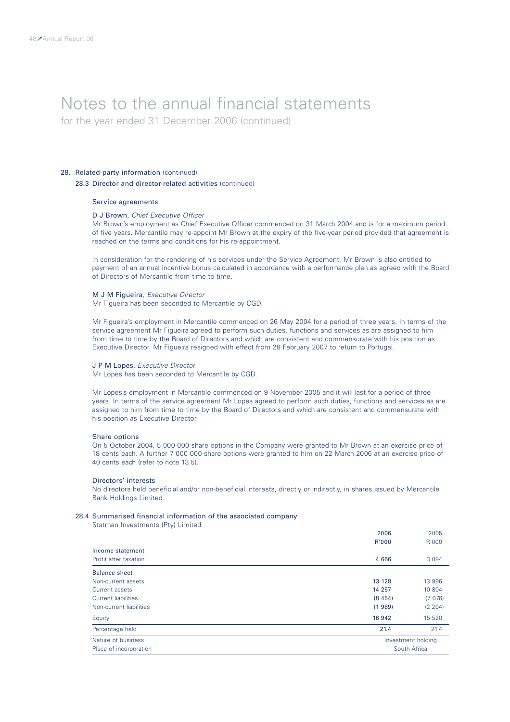for the year ended 31 December 2006 (continued)

### 28. Related-party information (continued)

### 28.3 Director and director-related activities (continued)

### Service agreements

### D J Brown, *Chief Executive Officer*

Mr Brown's employment as Chief Executive Officer commenced on 31 March 2004 and is for a maximum period of five years. Mercantile may re-appoint Mr Brown at the expiry of the five-year period provided that agreement is reached on the terms and conditions for his re-appointment.

In consideration for the rendering of his services under the Service Agreement, Mr Brown is also entitled to payment of an annual incentive bonus calculated in accordance with a performance plan as agreed with the Board of Directors of Mercantile from time to time.

### M J M Figueira, *Executive Director*

Mr Figueira has been seconded to Mercantile by CGD.

Mr Figueira's employment in Mercantile commenced on 26 May 2004 for a period of three years. In terms of the service agreement Mr Figueira agreed to perform such duties, functions and services as are assigned to him from time to time by the Board of Directors and which are consistent and commensurate with his position as Executive Director. Mr Figueira resigned with effect from 28 February 2007 to return to Portugal.

#### J P M Lopes, *Executive Director*

Mr Lopes has been seconded to Mercantile by CGD.

Mr Lopes's employment in Mercantile commenced on 9 November 2005 and it will last for a period of three years. In terms of the service agreement Mr Lopes agreed to perform such duties, functions and services as are assigned to him from time to time by the Board of Directors and which are consistent and commensurate with his position as Executive Director.

#### Share options

On 5 October 2004, 5 000 000 share options in the Company were granted to Mr Brown at an exercise price of 18 cents each. A further 7 000 000 share options were granted to him on 22 March 2006 at an exercise price of 40 cents each (refer to note 13.5).

#### Directors' interests

No directors held beneficial and/or non-beneficial interests, directly or indirectly, in shares issued by Mercantile Bank Holdings Limited.

#### 28.4 Summarised financial information of the associated company

Statman Investments (Pty) Limited

| Nature of business<br>Place of incorporation |          | Investment holding<br>South Africa |
|----------------------------------------------|----------|------------------------------------|
| Percentage held                              | 21.4     | 21.4                               |
| Equity                                       | 16 942   | 15 520                             |
| Non-current liabilities                      | (1989)   | (2 204)                            |
| <b>Current liabilities</b>                   | (8, 454) | (7076)                             |
| Current assets                               | 14 257   | 10 804                             |
| Non-current assets                           | 13 128   | 13 996                             |
| <b>Balance sheet</b>                         |          |                                    |
| Profit after taxation                        | 4 6 6 6  | 3 0 9 4                            |
| Income statement                             |          |                                    |
|                                              | R'000    | R'000                              |
|                                              | 2006     | 2005                               |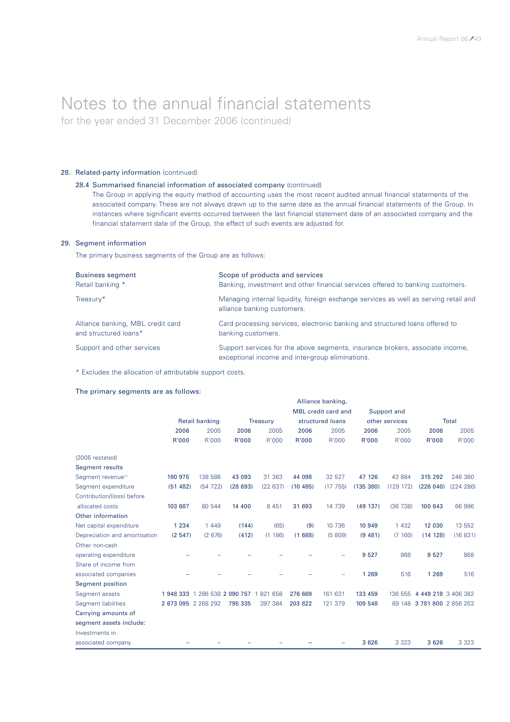for the year ended 31 December 2006 (continued)

### 28. Related-party information (continued)

### 28.4 Summarised financial information of associated company (continued)

The Group in applying the equity method of accounting uses the most recent audited annual financial statements of the associated company. These are not always drawn up to the same date as the annual financial statements of the Group. In instances where significant events occurred between the last financial statement date of an associated company and the financial statement date of the Group, the effect of such events are adjusted for.

### 29. Segment information

The primary business segments of the Group are as follows:

| <b>Business segment</b>           | Scope of products and services                                                                                                    |
|-----------------------------------|-----------------------------------------------------------------------------------------------------------------------------------|
| Retail banking *                  | Banking, investment and other financial services offered to banking customers.                                                    |
| Treasury*                         | Managing internal liquidity, foreign exchange services as well as serving retail and<br>alliance banking customers.               |
| Alliance banking, MBL credit card | Card processing services, electronic banking and structured loans offered to                                                      |
| and structured loans*             | banking customers.                                                                                                                |
| Support and other services        | Support services for the above segments, insurance brokers, associate income,<br>exceptional income and inter-group eliminations. |

\* Excludes the allocation of attributable support costs.

### The primary segments are as follows:

|                                | Alliance banking,   |                              |         |                 |                  |                            |                |             |                            |           |
|--------------------------------|---------------------|------------------------------|---------|-----------------|------------------|----------------------------|----------------|-------------|----------------------------|-----------|
|                                |                     |                              |         |                 |                  | <b>MBL</b> credit card and |                | Support and |                            |           |
|                                |                     | <b>Retail banking</b>        |         | <b>Treasury</b> | structured loans |                            | other services |             | <b>Total</b>               |           |
|                                | 2006                | 2005                         | 2006    | 2005            | 2006             | 2005                       | 2006           | 2005        | 2006                       | 2005      |
|                                | R'000               | R'000                        | R'000   | R'000           | R'000            | R'000                      | R'000          | R'000       | R'000                      | R'000     |
| (2005 restated)                |                     |                              |         |                 |                  |                            |                |             |                            |           |
| <b>Segment results</b>         |                     |                              |         |                 |                  |                            |                |             |                            |           |
| Segment revenue <sup>(1)</sup> | 180 975             | 138 586                      | 43 093  | 31 363          | 44 098           | 32 527                     | 47 126         | 43 884      | 315 292                    | 246 360   |
| Segment expenditure            | (51482)             | (54722)                      | (28693) | (22637)         | (10485)          | (17755)                    | (135 380)      | (129 172)   | (226040)                   | (224 286) |
| Contribution/(loss) before     |                     |                              |         |                 |                  |                            |                |             |                            |           |
| allocated costs                | 103 687             | 80 544                       | 14 400  | 8 4 5 1         | 31 693           | 14 739                     | (49 137)       | (36738)     | 100 643                    | 66 996    |
| Other information              |                     |                              |         |                 |                  |                            |                |             |                            |           |
| Net capital expenditure        | 1 2 3 4             | 1 4 4 9                      | (144)   | (65)            | (9)              | 10 736                     | 10 949         | 1 4 3 2     | 12 030                     | 13 552    |
| Depreciation and amortisation  | (2547)              | (2676)                       | (412)   | (1186)          | (1688)           | (5809)                     | (9 481)        | (7160)      | (14 128)                   | (16831)   |
| Other non-cash                 |                     |                              |         |                 |                  |                            |                |             |                            |           |
| operating expenditure          |                     |                              |         |                 |                  |                            | 9 5 27         | 868         | 9 5 27                     | 868       |
| Share of income from           |                     |                              |         |                 |                  |                            |                |             |                            |           |
| associated companies           |                     |                              |         |                 |                  |                            | 1 2 6 9        | 516         | 1 2 6 9                    | 516       |
| <b>Segment position</b>        |                     |                              |         |                 |                  |                            |                |             |                            |           |
| Segment assets                 |                     | 1948 333 1 286 538 2 090 757 |         | 1821658         | 276 669          | 161 631                    | 133 459        | 136 555     | 4 449 218 3 406 382        |           |
| <b>Segment liabilities</b>     | 2 673 095 2 268 292 |                              | 795 335 | 397 384         | 203 822          | 121 379                    | 109 548        |             | 69 148 3 781 800 2 856 203 |           |
| Carrying amounts of            |                     |                              |         |                 |                  |                            |                |             |                            |           |
| segment assets include:        |                     |                              |         |                 |                  |                            |                |             |                            |           |
| Investments in                 |                     |                              |         |                 |                  |                            |                |             |                            |           |
| associated company             |                     |                              |         |                 |                  |                            | 3 6 2 6        | 3 3 2 3     | 3 6 2 6                    | 3 3 2 3   |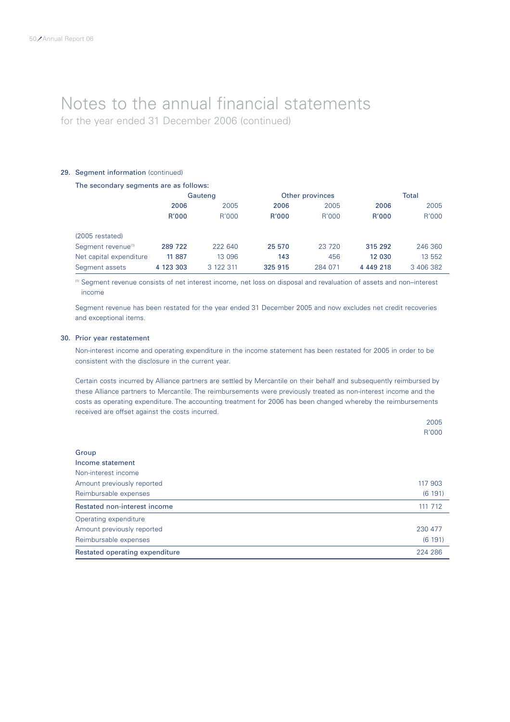for the year ended 31 December 2006 (continued)

### 29. Segment information (continued)

### The secondary segments are as follows:

|                                |           | Gauteng   |         | Other provinces | Total     |           |  |
|--------------------------------|-----------|-----------|---------|-----------------|-----------|-----------|--|
|                                | 2006      | 2005      | 2006    | 2005            | 2006      | 2005      |  |
|                                | R'000     | R'000     | R'000   | R'000           | R'000     | R'000     |  |
| (2005 restated)                |           |           |         |                 |           |           |  |
| Segment revenue <sup>(1)</sup> | 289 722   | 222 640   | 25 570  | 23 720          | 315 292   | 246 360   |  |
| Net capital expenditure        | 11 887    | 13 096    | 143     | 456             | 12 030    | 13 552    |  |
| Segment assets                 | 4 123 303 | 3 122 311 | 325 915 | 284 071         | 4 449 218 | 3 406 382 |  |

(1) Segment revenue consists of net interest income, net loss on disposal and revaluation of assets and non–interest income

Segment revenue has been restated for the year ended 31 December 2005 and now excludes net credit recoveries and exceptional items.

### 30. Prior year restatement

Non-interest income and operating expenditure in the income statement has been restated for 2005 in order to be consistent with the disclosure in the current year.

Certain costs incurred by Alliance partners are settled by Mercantile on their behalf and subsequently reimbursed by these Alliance partners to Mercantile. The reimbursements were previously treated as non-interest income and the costs as operating expenditure. The accounting treatment for 2006 has been changed whereby the reimbursements received are offset against the costs incurred.

2005

|                                                       | R'000             |
|-------------------------------------------------------|-------------------|
| Group<br>Income statement                             |                   |
| Non-interest income<br>Amount previously reported     | 117 903           |
| Reimbursable expenses<br>Restated non-interest income | (6191)<br>111 712 |
| Operating expenditure                                 |                   |
| Amount previously reported                            | 230 477           |
| Reimbursable expenses                                 | (6191)            |
| Restated operating expenditure                        | 224 286           |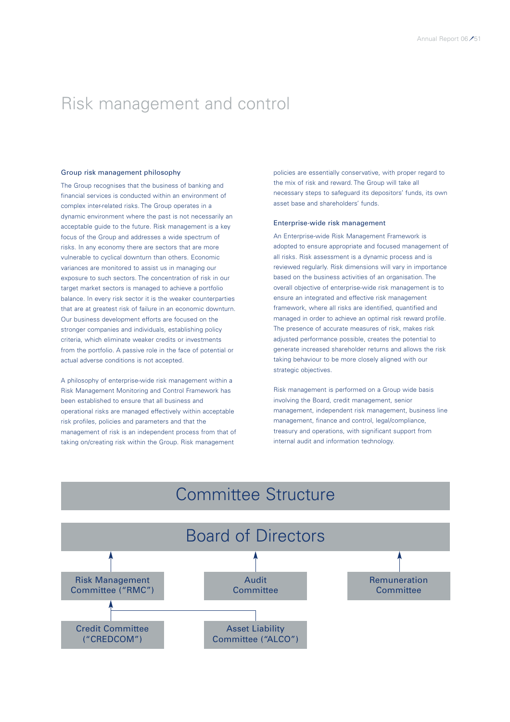### Risk management and control

#### Group risk management philosophy

The Group recognises that the business of banking and financial services is conducted within an environment of complex inter-related risks. The Group operates in a dynamic environment where the past is not necessarily an acceptable guide to the future. Risk management is a key focus of the Group and addresses a wide spectrum of risks. In any economy there are sectors that are more vulnerable to cyclical downturn than others. Economic variances are monitored to assist us in managing our exposure to such sectors. The concentration of risk in our target market sectors is managed to achieve a portfolio balance. In every risk sector it is the weaker counterparties that are at greatest risk of failure in an economic downturn. Our business development efforts are focused on the stronger companies and individuals, establishing policy criteria, which eliminate weaker credits or investments from the portfolio. A passive role in the face of potential or actual adverse conditions is not accepted.

A philosophy of enterprise-wide risk management within a Risk Management Monitoring and Control Framework has been established to ensure that all business and operational risks are managed effectively within acceptable risk profiles, policies and parameters and that the management of risk is an independent process from that of taking on/creating risk within the Group. Risk management

policies are essentially conservative, with proper regard to the mix of risk and reward. The Group will take all necessary steps to safeguard its depositors' funds, its own asset base and shareholders' funds.

### Enterprise-wide risk management

An Enterprise-wide Risk Management Framework is adopted to ensure appropriate and focused management of all risks. Risk assessment is a dynamic process and is reviewed regularly. Risk dimensions will vary in importance based on the business activities of an organisation. The overall objective of enterprise-wide risk management is to ensure an integrated and effective risk management framework, where all risks are identified, quantified and managed in order to achieve an optimal risk reward profile. The presence of accurate measures of risk, makes risk adjusted performance possible, creates the potential to generate increased shareholder returns and allows the risk taking behaviour to be more closely aligned with our strategic objectives.

Risk management is performed on a Group wide basis involving the Board, credit management, senior management, independent risk management, business line management, finance and control, legal/compliance, treasury and operations, with significant support from internal audit and information technology.

### Committee Structure

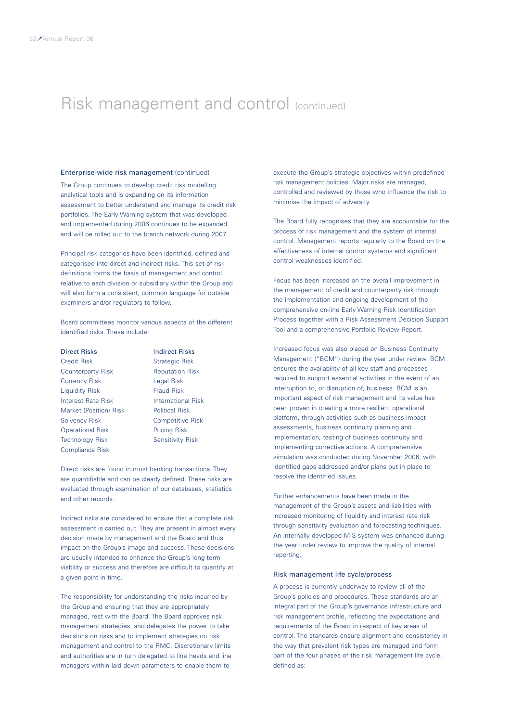### Risk management and control (continued)

### Enterprise-wide risk management (continued)

The Group continues to develop credit risk modelling analytical tools and is expanding on its information assessment to better understand and manage its credit risk portfolios. The Early Warning system that was developed and implemented during 2006 continues to be expanded and will be rolled out to the branch network during 2007.

Principal risk categories have been identified, defined and categorised into direct and indirect risks. This set of risk definitions forms the basis of management and control relative to each division or subsidiary within the Group and will also form a consistent, common language for outside examiners and/or regulators to follow.

Board committees monitor various aspects of the different identified risks. These include:

Credit Risk Strategic Risk Counterparty Risk Reputation Risk Currency Risk Legal Risk Liquidity Risk Fraud Risk **Interest Rate Risk International Risk** Market (Position) Risk Political Risk Solvency Risk Competitive Risk Operational Risk Pricing Risk Technology Risk Sensitivity Risk Compliance Risk

Direct Risks **Indirect Risks** 

Direct risks are found in most banking transactions. They are quantifiable and can be clearly defined. These risks are evaluated through examination of our databases, statistics and other records.

Indirect risks are considered to ensure that a complete risk assessment is carried out. They are present in almost every decision made by management and the Board and thus impact on the Group's image and success. These decisions are usually intended to enhance the Group's long-term viability or success and therefore are difficult to quantify at a given point in time.

The responsibility for understanding the risks incurred by the Group and ensuring that they are appropriately managed, rest with the Board. The Board approves risk management strategies, and delegates the power to take decisions on risks and to implement strategies on risk management and control to the RMC. Discretionary limits and authorities are in turn delegated to line heads and line managers within laid down parameters to enable them to

execute the Group's strategic objectives within predefined risk management policies. Major risks are managed, controlled and reviewed by those who influence the risk to minimise the impact of adversity.

The Board fully recognises that they are accountable for the process of risk management and the system of internal control. Management reports regularly to the Board on the effectiveness of internal control systems and significant control weaknesses identified.

Focus has been increased on the overall improvement in the management of credit and counterparty risk through the implementation and ongoing development of the comprehensive on-line Early Warning Risk Identification Process together with a Risk Assessment Decision Support Tool and a comprehensive Portfolio Review Report.

Increased focus was also placed on Business Continuity Management ("BCM") during the year under review. BCM ensures the availability of all key staff and processes required to support essential activities in the event of an interruption to, or disruption of, business. BCM is an important aspect of risk management and its value has been proven in creating a more resilient operational platform, through activities such as business impact assessments, business continuity planning and implementation, testing of business continuity and implementing corrective actions. A comprehensive simulation was conducted during November 2006, with identified gaps addressed and/or plans put in place to resolve the identified issues.

Further enhancements have been made in the management of the Group's assets and liabilities with increased monitoring of liquidity and interest rate risk through sensitivity evaluation and forecasting techniques. An internally developed MIS system was enhanced during the year under review to improve the quality of internal reporting.

### Risk management life cycle/process

A process is currently underway to review all of the Group's policies and procedures. These standards are an integral part of the Group's governance infrastructure and risk management profile, reflecting the expectations and requirements of the Board in respect of key areas of control. The standards ensure alignment and consistency in the way that prevalent risk types are managed and form part of the four phases of the risk management life cycle, defined as: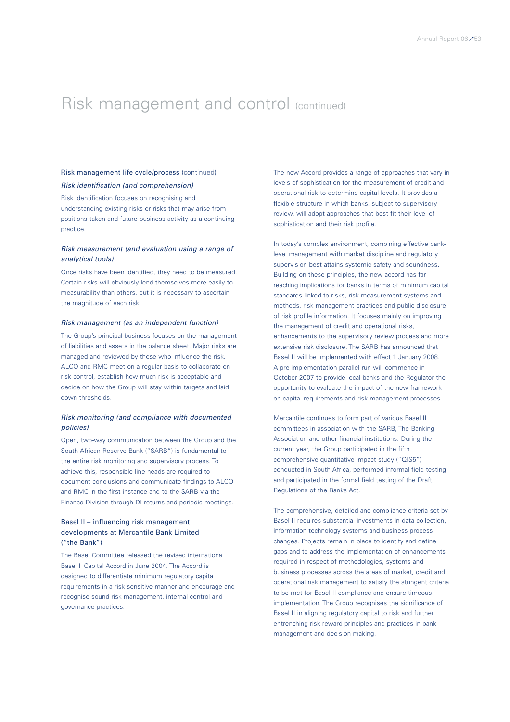### Risk management and control (continued)

### Risk management life cycle/process (continued) *Risk identification (and comprehension)*

Risk identification focuses on recognising and understanding existing risks or risks that may arise from positions taken and future business activity as a continuing practice.

### *Risk measurement (and evaluation using a range of analytical tools)*

Once risks have been identified, they need to be measured. Certain risks will obviously lend themselves more easily to measurability than others, but it is necessary to ascertain the magnitude of each risk.

### *Risk management (as an independent function)*

The Group's principal business focuses on the management of liabilities and assets in the balance sheet. Major risks are managed and reviewed by those who influence the risk. ALCO and RMC meet on a regular basis to collaborate on risk control, establish how much risk is acceptable and decide on how the Group will stay within targets and laid down thresholds.

### *Risk monitoring (and compliance with documented policies)*

Open, two-way communication between the Group and the South African Reserve Bank ("SARB") is fundamental to the entire risk monitoring and supervisory process. To achieve this, responsible line heads are required to document conclusions and communicate findings to ALCO and RMC in the first instance and to the SARB via the Finance Division through DI returns and periodic meetings.

### Basel II – influencing risk management developments at Mercantile Bank Limited ("the Bank")

The Basel Committee released the revised international Basel ll Capital Accord in June 2004. The Accord is designed to differentiate minimum regulatory capital requirements in a risk sensitive manner and encourage and recognise sound risk management, internal control and governance practices.

The new Accord provides a range of approaches that vary in levels of sophistication for the measurement of credit and operational risk to determine capital levels. It provides a flexible structure in which banks, subject to supervisory review, will adopt approaches that best fit their level of sophistication and their risk profile.

In today's complex environment, combining effective banklevel management with market discipline and regulatory supervision best attains systemic safety and soundness. Building on these principles, the new accord has farreaching implications for banks in terms of minimum capital standards linked to risks, risk measurement systems and methods, risk management practices and public disclosure of risk profile information. It focuses mainly on improving the management of credit and operational risks, enhancements to the supervisory review process and more extensive risk disclosure. The SARB has announced that Basel II will be implemented with effect 1 January 2008. A pre-implementation parallel run will commence in October 2007 to provide local banks and the Regulator the opportunity to evaluate the impact of the new framework on capital requirements and risk management processes.

Mercantile continues to form part of various Basel II committees in association with the SARB, The Banking Association and other financial institutions. During the current year, the Group participated in the fifth comprehensive quantitative impact study ("QIS5") conducted in South Africa, performed informal field testing and participated in the formal field testing of the Draft Regulations of the Banks Act.

The comprehensive, detailed and compliance criteria set by Basel II requires substantial investments in data collection, information technology systems and business process changes. Projects remain in place to identify and define gaps and to address the implementation of enhancements required in respect of methodologies, systems and business processes across the areas of market, credit and operational risk management to satisfy the stringent criteria to be met for Basel II compliance and ensure timeous implementation. The Group recognises the significance of Basel II in aligning regulatory capital to risk and further entrenching risk reward principles and practices in bank management and decision making.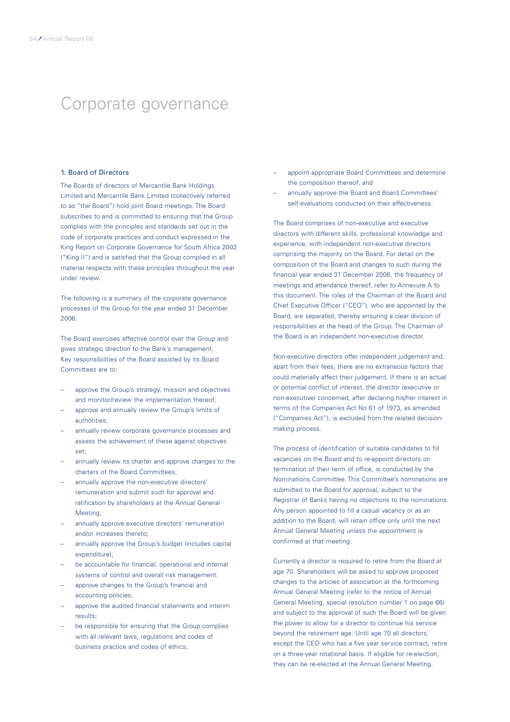### Corporate governance

### 1. Board of Directors

The Boards of directors of Mercantile Bank Holdings Limited and Mercantile Bank Limited (collectively referred to as "the Board") hold joint Board meetings. The Board subscribes to and is committed to ensuring that the Group complies with the principles and standards set out in the code of corporate practices and conduct expressed in the King Report on Corporate Governance for South Africa 2002 ("King II") and is satisfied that the Group complied in all material respects with these principles throughout the year under review.

The following is a summary of the corporate governance processes of the Group for the year ended 31 December 2006:

The Board exercises effective control over the Group and gives strategic direction to the Bank's management. Key responsibilities of the Board assisted by its Board Committees are to:

- approve the Group's strategy, mission and objectives and monitor/review the implementation thereof;
- approve and annually review the Group's limits of authorities;
- annually review corporate governance processes and assess the achievement of these against objectives set;
- annually review its charter and approve changes to the charters of the Board Committees;
- annually approve the non-executive directors' remuneration and submit such for approval and ratification by shareholders at the Annual General Meeting;
- annually approve executive directors' remuneration and/or increases thereto;
- annually approve the Group's budget (includes capital expenditure);
- be accountable for financial, operational and internal systems of control and overall risk management;
- approve changes to the Group's financial and accounting policies;
- approve the audited financial statements and interim results;
- be responsible for ensuring that the Group complies with all relevant laws, regulations and codes of business practice and codes of ethics;
- appoint appropriate Board Committees and determine the composition thereof; and
- annually approve the Board and Board Committees' self-evaluations conducted on their effectiveness.

The Board comprises of non-executive and executive directors with different skills, professional knowledge and experience, with independent non-executive directors comprising the majority on the Board. For detail on the composition of the Board and changes to such during the financial year ended 31 December 2006, the frequency of meetings and attendance thereof, refer to Annexure A to this document. The roles of the Chairman of the Board and Chief Executive Officer ("CEO"), who are appointed by the Board, are separated, thereby ensuring a clear division of responsibilities at the head of the Group. The Chairman of the Board is an independent non-executive director.

Non-executive directors offer independent judgement and, apart from their fees, there are no extraneous factors that could materially affect their judgement. If there is an actual or potential conflict of interest, the director (executive or non-executive) concerned, after declaring his/her interest in terms of the Companies Act No 61 of 1973, as amended ("Companies Act"), is excluded from the related decisionmaking process.

The process of identification of suitable candidates to fill vacancies on the Board and to re-appoint directors on termination of their term of office, is conducted by the Nominations Committee. This Committee's nominations are submitted to the Board for approval, subject to the Registrar of Banks having no objections to the nominations. Any person appointed to fill a casual vacancy or as an addition to the Board, will retain office only until the next Annual General Meeting unless the appointment is confirmed at that meeting.

Currently a director is required to retire from the Board at age 70. Shareholders will be asked to approve proposed changes to the articles of association at the forthcoming Annual General Meeting (refer to the notice of Annual General Meeting, special resolution number 1 on page 66) and subject to the approval of such the Board will be given the power to allow for a director to continue his service beyond the retirement age. Until age 70 all directors, except the CEO who has a five year service contract, retire on a three-year rotational basis. If eligible for re-election, they can be re-elected at the Annual General Meeting.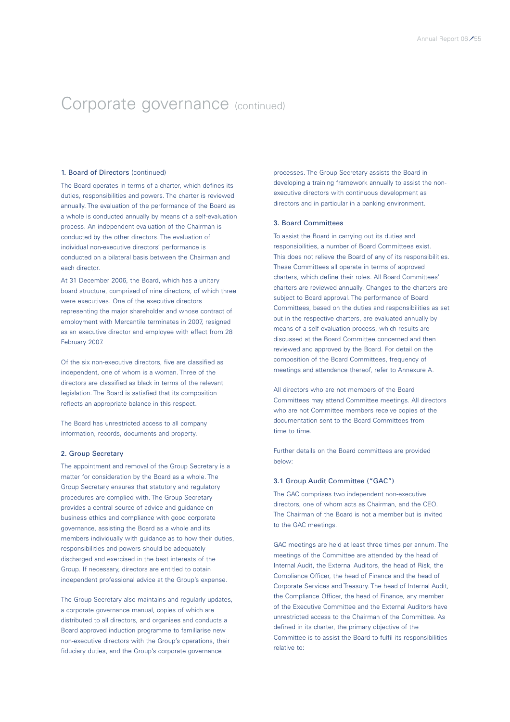### 1. Board of Directors (continued)

The Board operates in terms of a charter, which defines its duties, responsibilities and powers. The charter is reviewed annually. The evaluation of the performance of the Board as a whole is conducted annually by means of a self-evaluation process. An independent evaluation of the Chairman is conducted by the other directors. The evaluation of individual non-executive directors' performance is conducted on a bilateral basis between the Chairman and each director.

At 31 December 2006, the Board, which has a unitary board structure, comprised of nine directors, of which three were executives. One of the executive directors representing the major shareholder and whose contract of employment with Mercantile terminates in 2007, resigned as an executive director and employee with effect from 28 February 2007.

Of the six non-executive directors, five are classified as independent, one of whom is a woman. Three of the directors are classified as black in terms of the relevant legislation. The Board is satisfied that its composition reflects an appropriate balance in this respect.

The Board has unrestricted access to all company information, records, documents and property.

### 2. Group Secretary

The appointment and removal of the Group Secretary is a matter for consideration by the Board as a whole. The Group Secretary ensures that statutory and regulatory procedures are complied with. The Group Secretary provides a central source of advice and guidance on business ethics and compliance with good corporate governance, assisting the Board as a whole and its members individually with guidance as to how their duties, responsibilities and powers should be adequately discharged and exercised in the best interests of the Group. If necessary, directors are entitled to obtain independent professional advice at the Group's expense.

The Group Secretary also maintains and regularly updates. a corporate governance manual, copies of which are distributed to all directors, and organises and conducts a Board approved induction programme to familiarise new non-executive directors with the Group's operations, their fiduciary duties, and the Group's corporate governance

processes. The Group Secretary assists the Board in developing a training framework annually to assist the nonexecutive directors with continuous development as directors and in particular in a banking environment.

#### 3. Board Committees

To assist the Board in carrying out its duties and responsibilities, a number of Board Committees exist. This does not relieve the Board of any of its responsibilities. These Committees all operate in terms of approved charters, which define their roles. All Board Committees' charters are reviewed annually. Changes to the charters are subject to Board approval. The performance of Board Committees, based on the duties and responsibilities as set out in the respective charters, are evaluated annually by means of a self-evaluation process, which results are discussed at the Board Committee concerned and then reviewed and approved by the Board. For detail on the composition of the Board Committees, frequency of meetings and attendance thereof, refer to Annexure A.

All directors who are not members of the Board Committees may attend Committee meetings. All directors who are not Committee members receive copies of the documentation sent to the Board Committees from time to time.

Further details on the Board committees are provided below:

### 3.1 Group Audit Committee ("GAC")

The GAC comprises two independent non-executive directors, one of whom acts as Chairman, and the CEO. The Chairman of the Board is not a member but is invited to the GAC meetings.

GAC meetings are held at least three times per annum. The meetings of the Committee are attended by the head of Internal Audit, the External Auditors, the head of Risk, the Compliance Officer, the head of Finance and the head of Corporate Services and Treasury. The head of Internal Audit, the Compliance Officer, the head of Finance, any member of the Executive Committee and the External Auditors have unrestricted access to the Chairman of the Committee. As defined in its charter, the primary objective of the Committee is to assist the Board to fulfil its responsibilities relative to: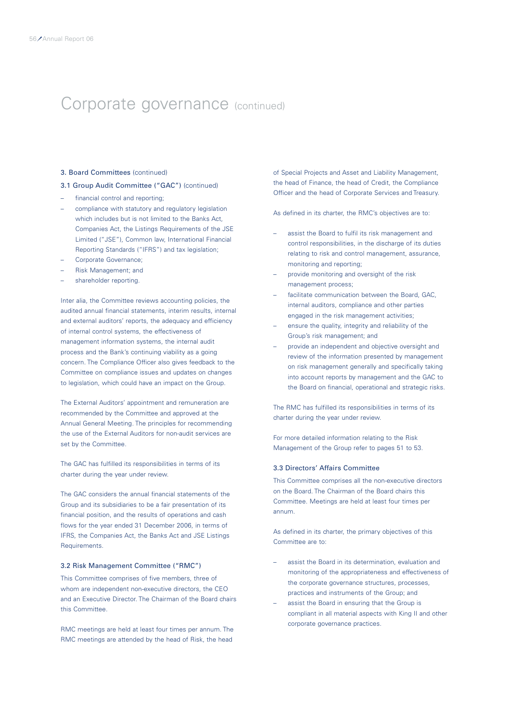### 3. Board Committees (continued)

### 3.1 Group Audit Committee ("GAC") (continued)

- financial control and reporting;
- compliance with statutory and regulatory legislation which includes but is not limited to the Banks Act, Companies Act, the Listings Requirements of the JSE Limited ("JSE"), Common law, International Financial Reporting Standards ("IFRS") and tax legislation;
- Corporate Governance;
- Risk Management; and
- shareholder reporting.

Inter alia, the Committee reviews accounting policies, the audited annual financial statements, interim results, internal and external auditors' reports, the adequacy and efficiency of internal control systems, the effectiveness of management information systems, the internal audit process and the Bank's continuing viability as a going concern. The Compliance Officer also gives feedback to the Committee on compliance issues and updates on changes to legislation, which could have an impact on the Group.

The External Auditors' appointment and remuneration are recommended by the Committee and approved at the Annual General Meeting. The principles for recommending the use of the External Auditors for non-audit services are set by the Committee.

The GAC has fulfilled its responsibilities in terms of its charter during the year under review.

The GAC considers the annual financial statements of the Group and its subsidiaries to be a fair presentation of its financial position, and the results of operations and cash flows for the year ended 31 December 2006, in terms of IFRS, the Companies Act, the Banks Act and JSE Listings Requirements.

### 3.2 Risk Management Committee ("RMC")

This Committee comprises of five members, three of whom are independent non-executive directors, the CEO and an Executive Director. The Chairman of the Board chairs this Committee.

RMC meetings are held at least four times per annum. The RMC meetings are attended by the head of Risk, the head

of Special Projects and Asset and Liability Management, the head of Finance, the head of Credit, the Compliance Officer and the head of Corporate Services and Treasury.

As defined in its charter, the RMC's objectives are to:

- assist the Board to fulfil its risk management and control responsibilities, in the discharge of its duties relating to risk and control management, assurance, monitoring and reporting;
- provide monitoring and oversight of the risk management process;
- facilitate communication between the Board, GAC, internal auditors, compliance and other parties engaged in the risk management activities;
- ensure the quality, integrity and reliability of the Group's risk management; and
- provide an independent and objective oversight and review of the information presented by management on risk management generally and specifically taking into account reports by management and the GAC to the Board on financial, operational and strategic risks.

The RMC has fulfilled its responsibilities in terms of its charter during the year under review.

For more detailed information relating to the Risk Management of the Group refer to pages 51 to 53.

### 3.3 Directors' Affairs Committee

This Committee comprises all the non-executive directors on the Board. The Chairman of the Board chairs this Committee. Meetings are held at least four times per annum.

As defined in its charter, the primary objectives of this Committee are to:

- assist the Board in its determination, evaluation and monitoring of the appropriateness and effectiveness of the corporate governance structures, processes, practices and instruments of the Group; and
- assist the Board in ensuring that the Group is compliant in all material aspects with King II and other corporate governance practices.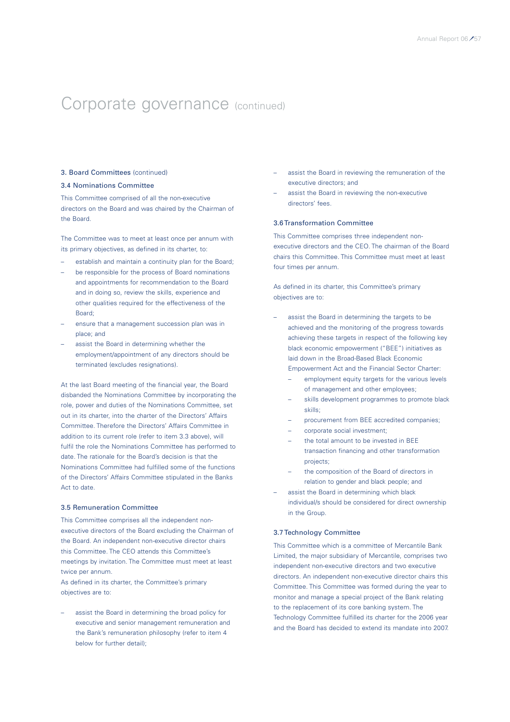### 3. Board Committees (continued)

### 3.4 Nominations Committee

This Committee comprised of all the non-executive directors on the Board and was chaired by the Chairman of the Board.

The Committee was to meet at least once per annum with its primary objectives, as defined in its charter, to:

- establish and maintain a continuity plan for the Board;
- be responsible for the process of Board nominations and appointments for recommendation to the Board and in doing so, review the skills, experience and other qualities required for the effectiveness of the Board;
- ensure that a management succession plan was in place; and
- assist the Board in determining whether the employment/appointment of any directors should be terminated (excludes resignations).

At the last Board meeting of the financial year, the Board disbanded the Nominations Committee by incorporating the role, power and duties of the Nominations Committee, set out in its charter, into the charter of the Directors' Affairs Committee. Therefore the Directors' Affairs Committee in addition to its current role (refer to item 3.3 above), will fulfil the role the Nominations Committee has performed to date. The rationale for the Board's decision is that the Nominations Committee had fulfilled some of the functions of the Directors' Affairs Committee stipulated in the Banks Act to date.

#### 3.5 Remuneration Committee

This Committee comprises all the independent nonexecutive directors of the Board excluding the Chairman of the Board. An independent non-executive director chairs this Committee. The CEO attends this Committee's meetings by invitation. The Committee must meet at least twice per annum.

As defined in its charter, the Committee's primary objectives are to:

assist the Board in determining the broad policy for executive and senior management remuneration and the Bank's remuneration philosophy (refer to item 4 below for further detail);

- assist the Board in reviewing the remuneration of the executive directors; and
- assist the Board in reviewing the non-executive directors' fees.

### 3.6 Transformation Committee

This Committee comprises three independent nonexecutive directors and the CEO. The chairman of the Board chairs this Committee. This Committee must meet at least four times per annum.

As defined in its charter, this Committee's primary objectives are to:

- assist the Board in determining the targets to be achieved and the monitoring of the progress towards achieving these targets in respect of the following key black economic empowerment ("BEE") initiatives as laid down in the Broad-Based Black Economic Empowerment Act and the Financial Sector Charter:
	- employment equity targets for the various levels of management and other employees;
	- skills development programmes to promote black skills;
	- procurement from BEE accredited companies;
	- corporate social investment;
	- the total amount to be invested in BEE transaction financing and other transformation projects;
	- the composition of the Board of directors in relation to gender and black people; and
- assist the Board in determining which black individual/s should be considered for direct ownership in the Group.

### 3.7 Technology Committee

This Committee which is a committee of Mercantile Bank Limited, the major subsidiary of Mercantile, comprises two independent non-executive directors and two executive directors. An independent non-executive director chairs this Committee. This Committee was formed during the year to monitor and manage a special project of the Bank relating to the replacement of its core banking system. The Technology Committee fulfilled its charter for the 2006 year and the Board has decided to extend its mandate into 2007.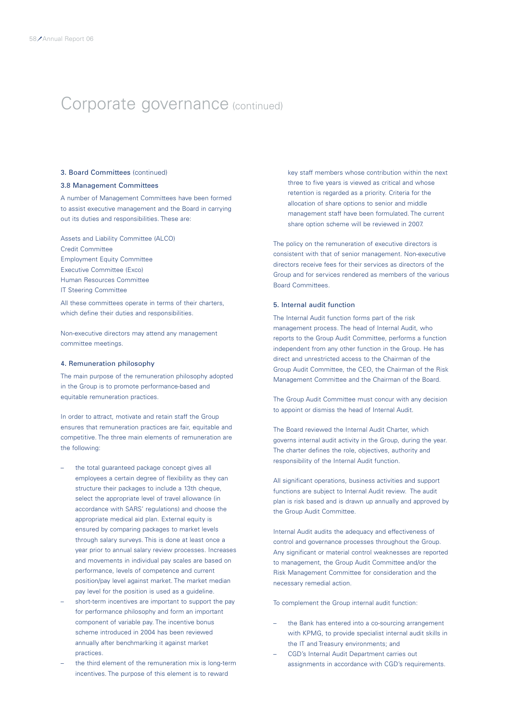### 3. Board Committees (continued)

### 3.8 Management Committees

A number of Management Committees have been formed to assist executive management and the Board in carrying out its duties and responsibilities. These are:

Assets and Liability Committee (ALCO) Credit Committee Employment Equity Committee Executive Committee (Exco) Human Resources Committee IT Steering Committee

All these committees operate in terms of their charters, which define their duties and responsibilities.

Non-executive directors may attend any management committee meetings.

### 4. Remuneration philosophy

The main purpose of the remuneration philosophy adopted in the Group is to promote performance-based and equitable remuneration practices.

In order to attract, motivate and retain staff the Group ensures that remuneration practices are fair, equitable and competitive. The three main elements of remuneration are the following:

- the total guaranteed package concept gives all employees a certain degree of flexibility as they can structure their packages to include a 13th cheque, select the appropriate level of travel allowance (in accordance with SARS' regulations) and choose the appropriate medical aid plan. External equity is ensured by comparing packages to market levels through salary surveys. This is done at least once a year prior to annual salary review processes. Increases and movements in individual pay scales are based on performance, levels of competence and current position/pay level against market. The market median pay level for the position is used as a guideline.
- short-term incentives are important to support the pay for performance philosophy and form an important component of variable pay. The incentive bonus scheme introduced in 2004 has been reviewed annually after benchmarking it against market practices.
- the third element of the remuneration mix is long-term incentives. The purpose of this element is to reward

key staff members whose contribution within the next three to five years is viewed as critical and whose retention is regarded as a priority. Criteria for the allocation of share options to senior and middle management staff have been formulated. The current share option scheme will be reviewed in 2007.

The policy on the remuneration of executive directors is consistent with that of senior management. Non-executive directors receive fees for their services as directors of the Group and for services rendered as members of the various Board Committees.

### 5. Internal audit function

The Internal Audit function forms part of the risk management process. The head of Internal Audit, who reports to the Group Audit Committee, performs a function independent from any other function in the Group. He has direct and unrestricted access to the Chairman of the Group Audit Committee, the CEO, the Chairman of the Risk Management Committee and the Chairman of the Board.

The Group Audit Committee must concur with any decision to appoint or dismiss the head of Internal Audit.

The Board reviewed the Internal Audit Charter, which governs internal audit activity in the Group, during the year. The charter defines the role, objectives, authority and responsibility of the Internal Audit function.

All significant operations, business activities and support functions are subject to Internal Audit review. The audit plan is risk based and is drawn up annually and approved by the Group Audit Committee.

Internal Audit audits the adequacy and effectiveness of control and governance processes throughout the Group. Any significant or material control weaknesses are reported to management, the Group Audit Committee and/or the Risk Management Committee for consideration and the necessary remedial action.

To complement the Group internal audit function:

- the Bank has entered into a co-sourcing arrangement with KPMG, to provide specialist internal audit skills in the IT and Treasury environments; and
- CGD's Internal Audit Department carries out assignments in accordance with CGD's requirements.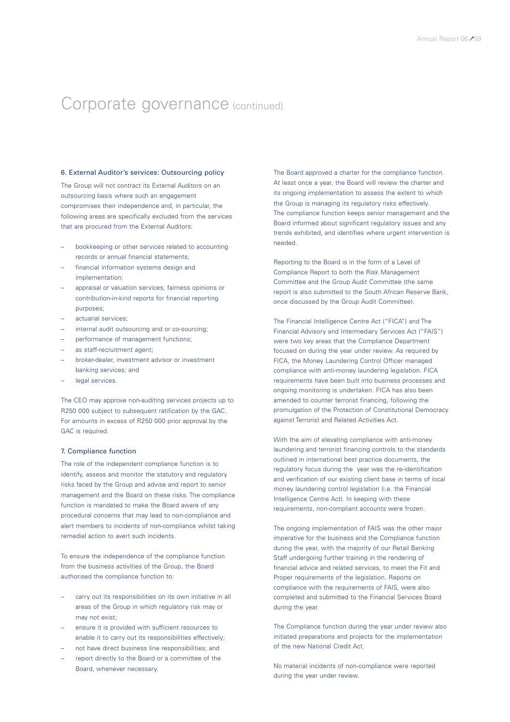### 6. External Auditor's services: Outsourcing policy

The Group will not contract its External Auditors on an outsourcing basis where such an engagement compromises their independence and, in particular, the following areas are specifically excluded from the services that are procured from the External Auditors:

- bookkeeping or other services related to accounting records or annual financial statements;
- financial information systems design and implementation;
- appraisal or valuation services, fairness opinions or contribution-in-kind reports for financial reporting purposes;
- actuarial services;
- internal audit outsourcing and or co-sourcing;
- performance of management functions;
- as staff-recruitment agent;
- broker-dealer, investment advisor or investment banking services; and
- legal services.

The CEO may approve non-auditing services projects up to R250 000 subject to subsequent ratification by the GAC. For amounts in excess of R250 000 prior approval by the GAC is required.

### 7. Compliance function

The role of the independent compliance function is to identify, assess and monitor the statutory and regulatory risks faced by the Group and advise and report to senior management and the Board on these risks. The compliance function is mandated to make the Board aware of any procedural concerns that may lead to non-compliance and alert members to incidents of non-compliance whilst taking remedial action to avert such incidents.

To ensure the independence of the compliance function from the business activities of the Group, the Board authorised the compliance function to:

- carry out its responsibilities on its own initiative in all areas of the Group in which regulatory risk may or may not exist;
- ensure it is provided with sufficient resources to enable it to carry out its responsibilities effectively;
- not have direct business line responsibilities; and
- report directly to the Board or a committee of the Board, whenever necessary.

The Board approved a charter for the compliance function. At least once a year, the Board will review the charter and its ongoing implementation to assess the extent to which the Group is managing its regulatory risks effectively. The compliance function keeps senior management and the Board informed about significant regulatory issues and any trends exhibited, and identifies where urgent intervention is needed.

Reporting to the Board is in the form of a Level of Compliance Report to both the Risk Management Committee and the Group Audit Committee (the same report is also submitted to the South African Reserve Bank, once discussed by the Group Audit Committee).

The Financial Intelligence Centre Act ("FICA") and The Financial Advisory and Intermediary Services Act ("FAIS") were two key areas that the Compliance Department focused on during the year under review. As required by FICA, the Money Laundering Control Officer managed compliance with anti-money laundering legislation. FICA requirements have been built into business processes and ongoing monitoring is undertaken. FICA has also been amended to counter terrorist financing, following the promulgation of the Protection of Constitutional Democracy against Terrorist and Related Activities Act.

With the aim of elevating compliance with anti-money laundering and terrorist financing controls to the standards outlined in international best practice documents, the regulatory focus during the year was the re-identification and verification of our existing client base in terms of local money laundering control legislation (i.e. the Financial Intelligence Centre Act). In keeping with these requirements, non-compliant accounts were frozen.

The ongoing implementation of FAIS was the other major imperative for the business and the Compliance function during the year, with the majority of our Retail Banking Staff undergoing further training in the rendering of financial advice and related services, to meet the Fit and Proper requirements of the legislation. Reports on compliance with the requirements of FAIS, were also completed and submitted to the Financial Services Board during the year.

The Compliance function during the year under review also initiated preparations and projects for the implementation of the new National Credit Act.

No material incidents of non-compliance were reported during the year under review.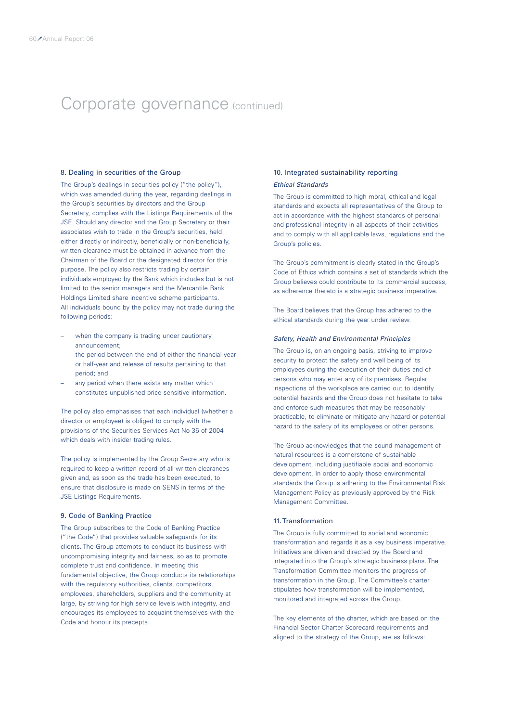### 8. Dealing in securities of the Group

The Group's dealings in securities policy ("the policy"), which was amended during the year, regarding dealings in the Group's securities by directors and the Group Secretary, complies with the Listings Requirements of the JSE. Should any director and the Group Secretary or their associates wish to trade in the Group's securities, held either directly or indirectly, beneficially or non-beneficially, written clearance must be obtained in advance from the Chairman of the Board or the designated director for this purpose. The policy also restricts trading by certain individuals employed by the Bank which includes but is not limited to the senior managers and the Mercantile Bank Holdings Limited share incentive scheme participants. All individuals bound by the policy may not trade during the following periods:

- when the company is trading under cautionary announcement;
- the period between the end of either the financial year or half-year and release of results pertaining to that period; and
- any period when there exists any matter which constitutes unpublished price sensitive information.

The policy also emphasises that each individual (whether a director or employee) is obliged to comply with the provisions of the Securities Services Act No 36 of 2004 which deals with insider trading rules.

The policy is implemented by the Group Secretary who is required to keep a written record of all written clearances given and, as soon as the trade has been executed, to ensure that disclosure is made on SENS in terms of the JSE Listings Requirements.

### 9. Code of Banking Practice

The Group subscribes to the Code of Banking Practice ("the Code") that provides valuable safeguards for its clients. The Group attempts to conduct its business with uncompromising integrity and fairness, so as to promote complete trust and confidence. In meeting this fundamental objective, the Group conducts its relationships with the regulatory authorities, clients, competitors, employees, shareholders, suppliers and the community at large, by striving for high service levels with integrity, and encourages its employees to acquaint themselves with the Code and honour its precepts.

### 10. Integrated sustainability reporting *Ethical Standards*

The Group is committed to high moral, ethical and legal standards and expects all representatives of the Group to act in accordance with the highest standards of personal and professional integrity in all aspects of their activities and to comply with all applicable laws, regulations and the Group's policies.

The Group's commitment is clearly stated in the Group's Code of Ethics which contains a set of standards which the Group believes could contribute to its commercial success, as adherence thereto is a strategic business imperative.

The Board believes that the Group has adhered to the ethical standards during the year under review.

#### *Safety, Health and Environmental Principles*

The Group is, on an ongoing basis, striving to improve security to protect the safety and well being of its employees during the execution of their duties and of persons who may enter any of its premises. Regular inspections of the workplace are carried out to identify potential hazards and the Group does not hesitate to take and enforce such measures that may be reasonably practicable, to eliminate or mitigate any hazard or potential hazard to the safety of its employees or other persons.

The Group acknowledges that the sound management of natural resources is a cornerstone of sustainable development, including justifiable social and economic development. In order to apply those environmental standards the Group is adhering to the Environmental Risk Management Policy as previously approved by the Risk Management Committee.

### 11. Transformation

The Group is fully committed to social and economic transformation and regards it as a key business imperative. Initiatives are driven and directed by the Board and integrated into the Group's strategic business plans. The Transformation Committee monitors the progress of transformation in the Group. The Committee's charter stipulates how transformation will be implemented, monitored and integrated across the Group.

The key elements of the charter, which are based on the Financial Sector Charter Scorecard requirements and aligned to the strategy of the Group, are as follows: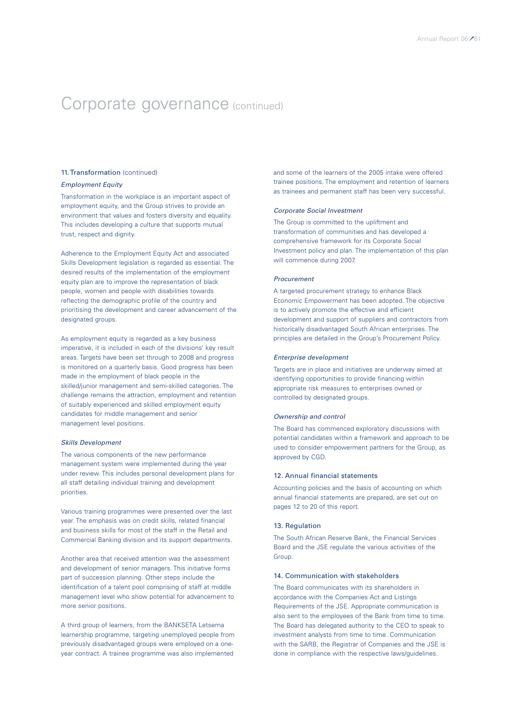### 11. Transformation (continued)

### *Employment Equity*

Transformation in the workplace is an important aspect of employment equity, and the Group strives to provide an environment that values and fosters diversity and equality. This includes developing a culture that supports mutual trust, respect and dignity.

Adherence to the Employment Equity Act and associated Skills Development legislation is regarded as essential. The desired results of the implementation of the employment equity plan are to improve the representation of black people, women and people with disabilities towards reflecting the demographic profile of the country and prioritising the development and career advancement of the designated groups.

As employment equity is regarded as a key business imperative, it is included in each of the divisions' key result areas. Targets have been set through to 2008 and progress is monitored on a quarterly basis. Good progress has been made in the employment of black people in the skilled/junior management and semi-skilled categories. The challenge remains the attraction, employment and retention of suitably experienced and skilled employment equity candidates for middle management and senior management level positions.

#### *Skills Development*

The various components of the new performance management system were implemented during the year under review. This includes personal development plans for all staff detailing individual training and development priorities.

Various training programmes were presented over the last year. The emphasis was on credit skills, related financial and business skills for most of the staff in the Retail and Commercial Banking division and its support departments.

Another area that received attention was the assessment and development of senior managers. This initiative forms part of succession planning. Other steps include the identification of a talent pool comprising of staff at middle management level who show potential for advancement to more senior positions.

A third group of learners, from the BANKSETA Letsema learnership programme, targeting unemployed people from previously disadvantaged groups were employed on a oneyear contract. A trainee programme was also implemented

and some of the learners of the 2005 intake were offered trainee positions. The employment and retention of learners as trainees and permanent staff has been very successful.

### *Corporate Social Investment*

The Group is committed to the upliftment and transformation of communities and has developed a comprehensive framework for its Corporate Social Investment policy and plan. The implementation of this plan will commence during 2007.

#### *Procurement*

A targeted procurement strategy to enhance Black Economic Empowerment has been adopted. The objective is to actively promote the effective and efficient development and support of suppliers and contractors from historically disadvantaged South African enterprises. The principles are detailed in the Group's Procurement Policy.

#### *Enterprise development*

Targets are in place and initiatives are underway aimed at identifying opportunities to provide financing within appropriate risk measures to enterprises owned or controlled by designated groups.

### *Ownership and control*

The Board has commenced exploratory discussions with potential candidates within a framework and approach to be used to consider empowerment partners for the Group, as approved by CGD.

#### 12. Annual financial statements

Accounting policies and the basis of accounting on which annual financial statements are prepared, are set out on pages 12 to 20 of this report.

#### 13. Regulation

The South African Reserve Bank, the Financial Services Board and the JSE regulate the various activities of the Group.

### 14. Communication with stakeholders

The Board communicates with its shareholders in accordance with the Companies Act and Listings Requirements of the JSE. Appropriate communication is also sent to the employees of the Bank from time to time. The Board has delegated authority to the CEO to speak to investment analysts from time to time. Communication with the SARB, the Registrar of Companies and the JSE is done in compliance with the respective laws/guidelines.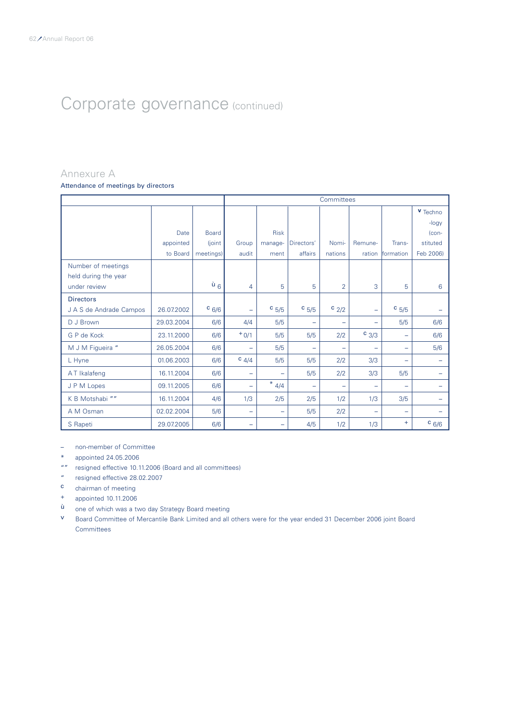### Annexure A

Attendance of meetings by directors

|                         |            |                  |                          | Committees               |                          |                          |                   |                   |           |  |  |
|-------------------------|------------|------------------|--------------------------|--------------------------|--------------------------|--------------------------|-------------------|-------------------|-----------|--|--|
|                         |            |                  |                          |                          |                          |                          |                   |                   | v Techno  |  |  |
|                         |            |                  |                          |                          |                          |                          |                   |                   | -logy     |  |  |
|                         | Date       | <b>Board</b>     |                          | <b>Risk</b>              |                          |                          |                   |                   | $ con-$   |  |  |
|                         | appointed  | (joint)          | Group                    | manage-                  | Directors'               | Nomi-                    | Remune-           | Trans-            | stituted  |  |  |
|                         | to Board   | meetings)        | audit                    | ment                     | affairs                  | nations                  | ration            | formation         | Feb 2006) |  |  |
| Number of meetings      |            |                  |                          |                          |                          |                          |                   |                   |           |  |  |
| held during the year    |            |                  |                          |                          |                          |                          |                   |                   |           |  |  |
| under review            |            | $\mathsf{u}_6$ ' | 4                        | 5                        | 5                        | $\overline{2}$           | 3                 | 5                 | 6         |  |  |
| <b>Directors</b>        |            |                  |                          |                          |                          |                          |                   |                   |           |  |  |
| J A S de Andrade Campos | 26.07.2002 | $c_{6/6}$        | ÷                        | $c_{5/5}$                | $c_{5/5}$                | $c_{2/2}$                | $\qquad \qquad -$ | $c_{5/5}$         |           |  |  |
| D J Brown               | 29.03.2004 | 6/6              | 4/4                      | 5/5                      | -                        | -                        | -                 | 5/5               | 6/6       |  |  |
| G P de Kock             | 23.11.2000 | 6/6              | $+0/1$                   | 5/5                      | 5/5                      | 2/2                      | $c_{3/3}$         | $\qquad \qquad -$ | 6/6       |  |  |
| M J M Figueira "        | 26.05.2004 | 6/6              | $\overline{\phantom{m}}$ | 5/5                      | -                        | -                        | -                 | -                 | 5/6       |  |  |
| L Hyne                  | 01.06.2003 | 6/6              | $c$ 4/4                  | 5/5                      | 5/5                      | 2/2                      | 3/3               | $\equiv$          |           |  |  |
| AT Ikalafeng            | 16.11.2004 | 6/6              | $\overline{\phantom{m}}$ | $\overline{\phantom{m}}$ | 5/5                      | 2/2                      | 3/3               | 5/5               |           |  |  |
| J P M Lopes             | 09.11.2005 | 6/6              | $\qquad \qquad -$        | $\ast$<br>4/4            | $\overline{\phantom{0}}$ | $\overline{\phantom{0}}$ | -                 | $\equiv$          |           |  |  |
| K B Motshabi ""         | 16.11.2004 | 4/6              | 1/3                      | 2/5                      | 2/5                      | 1/2                      | 1/3               | 3/5               |           |  |  |
| A M Osman               | 02.02.2004 | 5/6              | $\overline{\phantom{m}}$ | $\overline{\phantom{0}}$ | 5/5                      | 2/2                      | -                 | $\equiv$          |           |  |  |
| S Rapeti                | 29.07.2005 | 6/6              | $\overline{\phantom{0}}$ | -                        | 4/5                      | 1/2                      | 1/3               | $+$               | $c_{6/6}$ |  |  |

– non-member of Committee

- \* appointed 24.05.2006
- "" resigned effective 10.11.2006 (Board and all committees)
- " resigned effective 28.02.2007
- c chairman of meeting
- + appointed 10.11.2006
- ù one of which was a two day Strategy Board meeting
- v Board Committee of Mercantile Bank Limited and all others were for the year ended 31 December 2006 joint Board **Committees**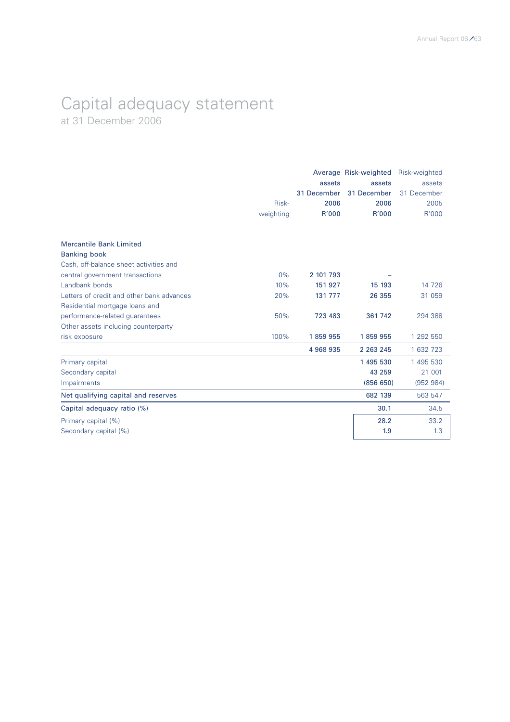### Capital adequacy statement at 31 December 2006

|                                           |           |             | Average Risk-weighted Risk-weighted |             |
|-------------------------------------------|-----------|-------------|-------------------------------------|-------------|
|                                           |           | assets      | assets                              | assets      |
|                                           |           | 31 December | 31 December                         | 31 December |
|                                           | Risk-     | 2006        | 2006                                | 2005        |
|                                           | weighting | R'000       | R'000                               | R'000       |
| <b>Mercantile Bank Limited</b>            |           |             |                                     |             |
| <b>Banking book</b>                       |           |             |                                     |             |
| Cash, off-balance sheet activities and    |           |             |                                     |             |
| central government transactions           | 0%        | 2 101 793   |                                     |             |
| Landbank bonds                            | 10%       | 151 927     | 15 193                              | 14 726      |
| Letters of credit and other bank advances | 20%       | 131 777     | 26 355                              | 31 059      |
| Residential mortgage loans and            |           |             |                                     |             |
| performance-related guarantees            | 50%       | 723 483     | 361 742                             | 294 388     |
| Other assets including counterparty       |           |             |                                     |             |
| risk exposure                             | 100%      | 1859955     | 1859955                             | 1 292 550   |
|                                           |           | 4 968 935   | 2 2 6 3 2 4 5                       | 1 632 723   |
| Primary capital                           |           |             | 1 495 530                           | 1 495 530   |
| Secondary capital                         |           |             | 43 259                              | 21 001      |
| Impairments                               |           |             | (856 650)                           | (952984)    |
| Net qualifying capital and reserves       |           |             | 682 139                             | 563 547     |
| Capital adequacy ratio (%)                |           |             | 30.1                                | 34.5        |
| Primary capital (%)                       |           |             | 28.2                                | 33.2        |
| Secondary capital (%)                     |           |             | 1.9                                 | 1.3         |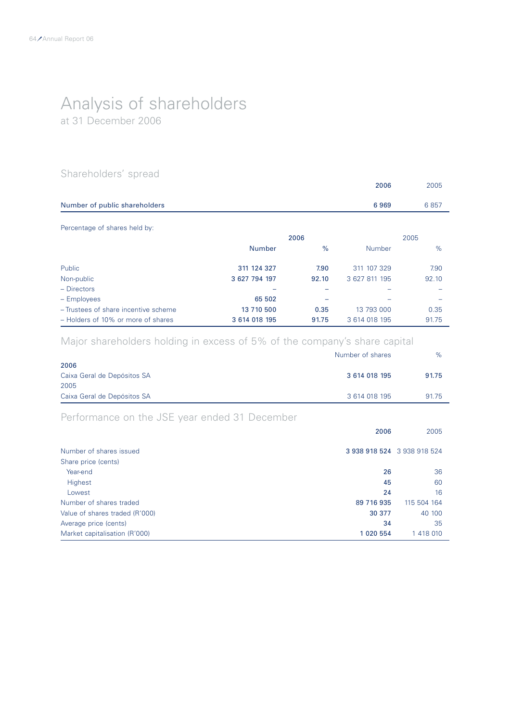## Analysis of shareholders

at 31 December 2006

### Shareholders' spread

|                                      |               |       | 2006          | 2005  |
|--------------------------------------|---------------|-------|---------------|-------|
| Number of public shareholders        |               |       | 6969          | 6857  |
| Percentage of shares held by:        |               |       |               |       |
|                                      |               | 2006  |               | 2005  |
|                                      | <b>Number</b> | $\%$  | <b>Number</b> | %     |
| Public                               | 311 124 327   | 7.90  | 311 107 329   | 7.90  |
| Non-public                           | 3 627 794 197 | 92.10 | 3 627 811 195 | 92.10 |
| $-$ Directors                        |               |       |               |       |
| - Employees                          | 65 502        |       |               |       |
| - Trustees of share incentive scheme | 13 710 500    | 0.35  | 13 793 000    | 0.35  |
| - Holders of 10% or more of shares   | 3 614 018 195 | 91.75 | 3 614 018 195 | 91.75 |

### Major shareholders holding in excess of 5% of the company's share capital

| Number of shares | $\%$  |
|------------------|-------|
|                  |       |
| 3 614 018 195    | 91.75 |
|                  |       |
| 3 614 018 195    | 91.75 |
|                  |       |

### Performance on the JSE year ended 31 December

|                                 | 2006                        | 2005        |
|---------------------------------|-----------------------------|-------------|
| Number of shares issued         | 3 938 918 524 3 938 918 524 |             |
| Share price (cents)<br>Year-end | 26                          | 36          |
| Highest                         | 45                          | 60          |
| Lowest                          | 24                          | 16          |
| Number of shares traded         | 89 716 935                  | 115 504 164 |
| Value of shares traded (R'000)  | 30 377                      | 40 100      |
| Average price (cents)           | 34                          | 35          |
| Market capitalisation (R'000)   | 1 020 554                   | 1 418 010   |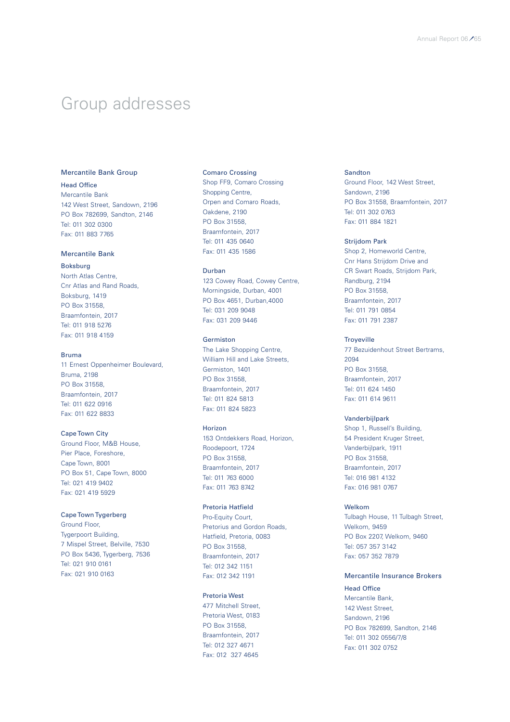### Group addresses

### Mercantile Bank Group

### Head Office

Mercantile Bank 142 West Street, Sandown, 2196 PO Box 782699, Sandton, 2146 Tel: 011 302 0300 Fax: 011 883 7765

### Mercantile Bank

Boksburg North Atlas Centre, Cnr Atlas and Rand Roads, Boksburg, 1419 PO Box 31558, Braamfontein, 2017

Tel: 011 918 5276 Fax: 011 918 4159

### Bruma

11 Ernest Oppenheimer Boulevard, Bruma, 2198 PO Box 31558, Braamfontein, 2017 Tel: 011 622 0916 Fax: 011 622 8833

### Cape Town City

Ground Floor, M&B House, Pier Place, Foreshore, Cape Town, 8001 PO Box 51, Cape Town, 8000 Tel: 021 419 9402 Fax: 021 419 5929

#### Cape Town Tygerberg

Ground Floor, Tygerpoort Building, 7 Mispel Street, Belville, 7530 PO Box 5436, Tygerberg, 7536 Tel: 021 910 0161 Fax: 021 910 0163

#### Comaro Crossing

Shop FF9, Comaro Crossing Shopping Centre, Orpen and Comaro Roads, Oakdene, 2190 PO Box 31558, Braamfontein, 2017 Tel: 011 435 0640 Fax: 011 435 1586

### Durban

123 Cowey Road, Cowey Centre, Morningside, Durban, 4001 PO Box 4651, Durban,4000 Tel: 031 209 9048 Fax: 031 209 9446

### Germiston

The Lake Shopping Centre, William Hill and Lake Streets, Germiston, 1401 PO Box 31558, Braamfontein, 2017 Tel: 011 824 5813 Fax: 011 824 5823

### Horizon

153 Ontdekkers Road, Horizon, Roodepoort, 1724 PO Box 31558, Braamfontein, 2017 Tel: 011 763 6000 Fax: 011 763 8742

### Pretoria Hatfield

Pro-Equity Court, Pretorius and Gordon Roads, Hatfield, Pretoria, 0083 PO Box 31558, Braamfontein, 2017 Tel: 012 342 1151 Fax: 012 342 1191

### Pretoria West

477 Mitchell Street, Pretoria West, 0183 PO Box 31558, Braamfontein, 2017 Tel: 012 327 4671 Fax: 012 327 4645

### Sandton

Ground Floor, 142 West Street, Sandown, 2196 PO Box 31558, Braamfontein, 2017 Tel: 011 302 0763 Fax: 011 884 1821

### Strijdom Park

Shop 2, Homeworld Centre, Cnr Hans Strijdom Drive and CR Swart Roads, Strijdom Park, Randburg, 2194 PO Box 31558, Braamfontein, 2017 Tel: 011 791 0854 Fax: 011 791 2387

### **Troyeville**

77 Bezuidenhout Street Bertrams, 2094 PO Box 31558, Braamfontein, 2017 Tel: 011 624 1450 Fax: 011 614 9611

### Vanderbijlpark

Shop 1, Russell's Building, 54 President Kruger Street, Vanderbijlpark, 1911 PO Box 31558, Braamfontein, 2017 Tel: 016 981 4132 Fax: 016 981 0767

#### Welkom

Tulbagh House, 11 Tulbagh Street, Welkom, 9459 PO Box 2207, Welkom, 9460 Tel: 057 357 3142 Fax: 057 352 7879

### Mercantile Insurance Brokers

### Head Office

Mercantile Bank, 142 West Street, Sandown, 2196 PO Box 782699, Sandton, 2146 Tel: 011 302 0556/7/8 Fax: 011 302 0752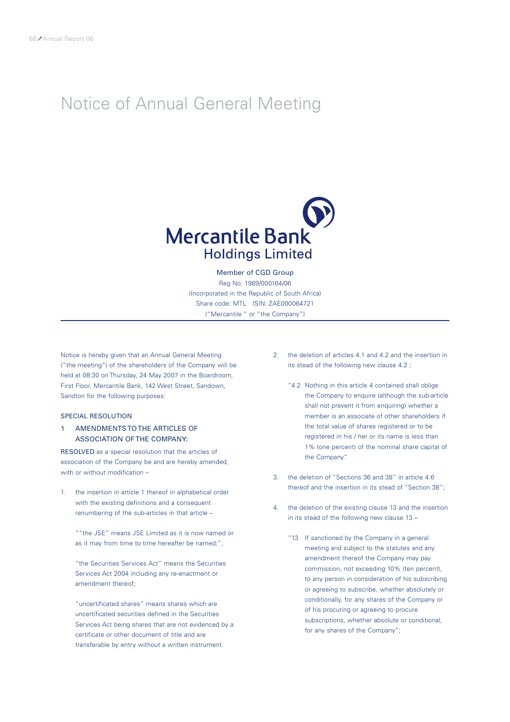### Notice of Annual General Meeting



Member of CGD Group Reg No: 1989/000164/06 (Incorporated in the Republic of South Africa) Share code: MTL ISIN: ZAE000064721 ("Mercantile " or "the Company")

Notice is hereby given that an Annual General Meeting ("the meeting") of the shareholders of the Company will be held at 08:30 on Thursday, 24 May 2007 in the Boardroom, First Floor, Mercantile Bank, 142 West Street, Sandown, Sandton for the following purposes:

### SPECIAL RESOLUTION

### 1 AMENDMENTS TO THE ARTICLES OF ASSOCIATION OF THE COMPANY:

RESOLVED as a special resolution that the articles of association of the Company be and are hereby amended, with or without modification -

1. the insertion in article 1 thereof in alphabetical order with the existing definitions and a consequent renumbering of the sub-articles in that article –

""the JSE" means JSE Limited as it is now named or as it may from time to time hereafter be named;";

"the Securities Services Act" means the Securities Services Act 2004 including any re-enactment or amendment thereof;

"uncertificated shares" means shares which are uncertificated securities defined in the Securities Services Act being shares that are not evidenced by a certificate or other document of title and are transferable by entry without a written instrument.

- 2. the deletion of articles 4.1 and 4.2 and the insertion in its stead of the following new clause 4.2 ;
	- "4.2 Nothing in this article 4 contained shall oblige the Company to enquire (although the sub-article shall not prevent it from enquiring) whether a member is an associate of other shareholders if the total value of shares registered or to be registered in his / her or its name is less than 1% (one percent) of the nominal share capital of the Company."
- 3. the deletion of "Sections 36 and 38" in article 4.6 thereof and the insertion in its stead of "Section 38";
- 4. the deletion of the existing clause 13 and the insertion in its stead of the following new clause 13 –
	- "13 If sanctioned by the Company in a general meeting and subject to the statutes and any amendment thereof the Company may pay commission, not exceeding 10% (ten percent), to any person in consideration of his subscribing or agreeing to subscribe, whether absolutely or conditionally, for any shares of the Company or of his procuring or agreeing to procure subscriptions, whether absolute or conditional, for any shares of the Company.";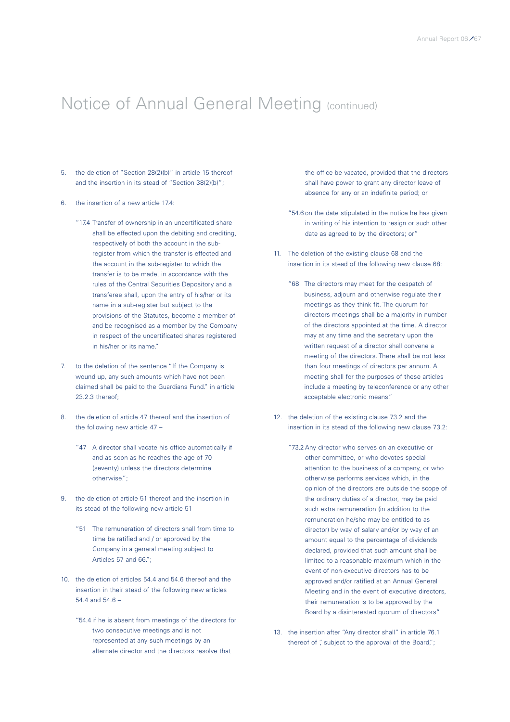- 5. the deletion of "Section 28(2)(b)" in article 15 thereof and the insertion in its stead of "Section 38(2)(b)";
- 6. the insertion of a new article 17.4:
	- "17.4 Transfer of ownership in an uncertificated share shall be effected upon the debiting and crediting, respectively of both the account in the subregister from which the transfer is effected and the account in the sub-register to which the transfer is to be made, in accordance with the rules of the Central Securities Depository and a transferee shall, upon the entry of his/her or its name in a sub-register but subject to the provisions of the Statutes, become a member of and be recognised as a member by the Company in respect of the uncertificated shares registered in his/her or its name."
- 7. to the deletion of the sentence "If the Company is wound up, any such amounts which have not been claimed shall be paid to the Guardians Fund." in article 23.2.3 thereof;
- 8. the deletion of article 47 thereof and the insertion of the following new article 47 –
	- "47 A director shall vacate his office automatically if and as soon as he reaches the age of 70 (seventy) unless the directors determine otherwise.";
- the deletion of article 51 thereof and the insertion in its stead of the following new article 51 –
	- "51 The remuneration of directors shall from time to time be ratified and / or approved by the Company in a general meeting subject to Articles 57 and 66.";
- 10. the deletion of articles 54.4 and 54.6 thereof and the insertion in their stead of the following new articles 54.4 and 54.6 –
	- "54.4 if he is absent from meetings of the directors for two consecutive meetings and is not represented at any such meetings by an alternate director and the directors resolve that

the office be vacated, provided that the directors shall have power to grant any director leave of absence for any or an indefinite period; or

- "54.6 on the date stipulated in the notice he has given in writing of his intention to resign or such other date as agreed to by the directors; or"
- 11. The deletion of the existing clause 68 and the insertion in its stead of the following new clause 68:
	- "68 The directors may meet for the despatch of business, adjourn and otherwise regulate their meetings as they think fit. The quorum for directors meetings shall be a majority in number of the directors appointed at the time. A director may at any time and the secretary upon the written request of a director shall convene a meeting of the directors. There shall be not less than four meetings of directors per annum. A meeting shall for the purposes of these articles include a meeting by teleconference or any other acceptable electronic means."
- 12. the deletion of the existing clause 73.2 and the insertion in its stead of the following new clause 73.2:
	- "73.2 Any director who serves on an executive or other committee, or who devotes special attention to the business of a company, or who otherwise performs services which, in the opinion of the directors are outside the scope of the ordinary duties of a director, may be paid such extra remuneration (in addition to the remuneration he/she may be entitled to as director) by way of salary and/or by way of an amount equal to the percentage of dividends declared, provided that such amount shall be limited to a reasonable maximum which in the event of non-executive directors has to be approved and/or ratified at an Annual General Meeting and in the event of executive directors, their remuneration is to be approved by the Board by a disinterested quorum of directors"
- 13. the insertion after "Any director shall" in article 76.1 thereof of ", subject to the approval of the Board,";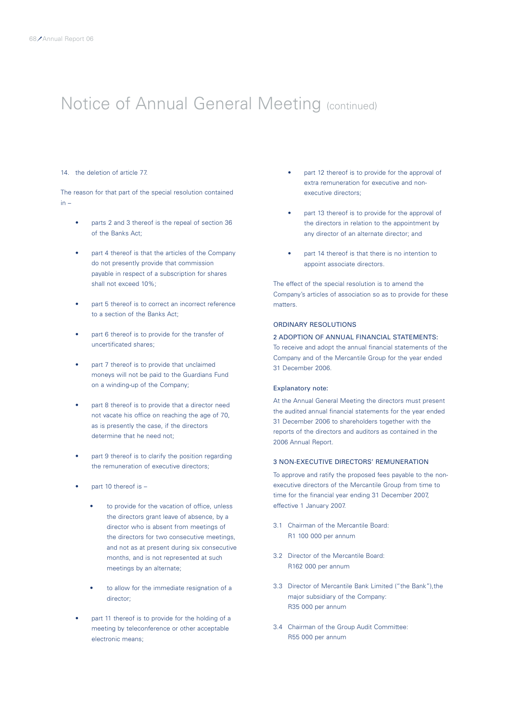#### 14. the deletion of article 77.

The reason for that part of the special resolution contained in –

- parts 2 and 3 thereof is the repeal of section 36 of the Banks Act;
- part 4 thereof is that the articles of the Company do not presently provide that commission payable in respect of a subscription for shares shall not exceed 10%;
- part 5 thereof is to correct an incorrect reference to a section of the Banks Act;
- part 6 thereof is to provide for the transfer of uncertificated shares;
- part 7 thereof is to provide that unclaimed moneys will not be paid to the Guardians Fund on a winding-up of the Company;
- part 8 thereof is to provide that a director need not vacate his office on reaching the age of 70, as is presently the case, if the directors determine that he need not;
- part 9 thereof is to clarify the position regarding the remuneration of executive directors;
- part 10 thereof is
	- to provide for the vacation of office, unless the directors grant leave of absence, by a director who is absent from meetings of the directors for two consecutive meetings, and not as at present during six consecutive months, and is not represented at such meetings by an alternate;
	- to allow for the immediate resignation of a director;
- part 11 thereof is to provide for the holding of a meeting by teleconference or other acceptable electronic means;
- part 12 thereof is to provide for the approval of extra remuneration for executive and nonexecutive directors;
- part 13 thereof is to provide for the approval of the directors in relation to the appointment by any director of an alternate director; and
- part 14 thereof is that there is no intention to appoint associate directors.

The effect of the special resolution is to amend the Company's articles of association so as to provide for these matters.

### ORDINARY RESOLUTIONS

### 2 ADOPTION OF ANNUAL FINANCIAL STATEMENTS:

To receive and adopt the annual financial statements of the Company and of the Mercantile Group for the year ended 31 December 2006.

### Explanatory note:

At the Annual General Meeting the directors must present the audited annual financial statements for the year ended 31 December 2006 to shareholders together with the reports of the directors and auditors as contained in the 2006 Annual Report.

### 3 NON-EXECUTIVE DIRECTORS' REMUNERATION

To approve and ratify the proposed fees payable to the nonexecutive directors of the Mercantile Group from time to time for the financial year ending 31 December 2007, effective 1 January 2007.

- 3.1 Chairman of the Mercantile Board: R1 100 000 per annum
- 3.2 Director of the Mercantile Board: R162 000 per annum
- 3.3 Director of Mercantile Bank Limited ("the Bank"),the major subsidiary of the Company: R35 000 per annum
- 3.4 Chairman of the Group Audit Committee: R55 000 per annum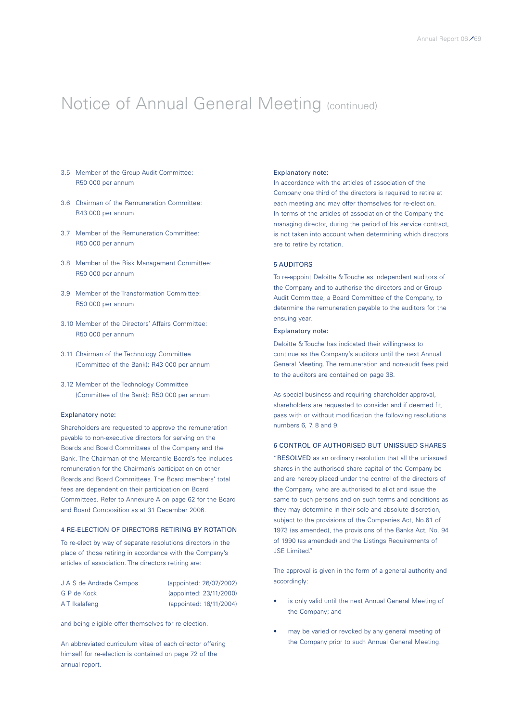- 3.5 Member of the Group Audit Committee: R50 000 per annum
- 3.6 Chairman of the Remuneration Committee: R43 000 per annum
- 3.7 Member of the Remuneration Committee: R50 000 per annum
- 3.8 Member of the Risk Management Committee: R50 000 per annum
- 3.9 Member of the Transformation Committee: R50 000 per annum
- 3.10 Member of the Directors' Affairs Committee: R50 000 per annum
- 3.11 Chairman of the Technology Committee (Committee of the Bank): R43 000 per annum
- 3.12 Member of the Technology Committee (Committee of the Bank): R50 000 per annum

#### Explanatory note:

Shareholders are requested to approve the remuneration payable to non-executive directors for serving on the Boards and Board Committees of the Company and the Bank. The Chairman of the Mercantile Board's fee includes remuneration for the Chairman's participation on other Boards and Board Committees. The Board members' total fees are dependent on their participation on Board Committees. Refer to Annexure A on page 62 for the Board and Board Composition as at 31 December 2006.

### 4 RE-ELECTION OF DIRECTORS RETIRING BY ROTATION

To re-elect by way of separate resolutions directors in the place of those retiring in accordance with the Company's articles of association. The directors retiring are:

| J A S de Andrade Campos | (appointed: 26/07/2002) |
|-------------------------|-------------------------|
| G P de Kock             | (appointed: 23/11/2000) |
| AT Ikalafeng            | (appointed: 16/11/2004) |

and being eligible offer themselves for re-election.

An abbreviated curriculum vitae of each director offering himself for re-election is contained on page 72 of the annual report.

### Explanatory note:

In accordance with the articles of association of the Company one third of the directors is required to retire at each meeting and may offer themselves for re-election. In terms of the articles of association of the Company the managing director, during the period of his service contract, is not taken into account when determining which directors are to retire by rotation.

### 5 AUDITORS

To re-appoint Deloitte & Touche as independent auditors of the Company and to authorise the directors and or Group Audit Committee, a Board Committee of the Company, to determine the remuneration payable to the auditors for the ensuing year.

### Explanatory note:

Deloitte & Touche has indicated their willingness to continue as the Company's auditors until the next Annual General Meeting. The remuneration and non-audit fees paid to the auditors are contained on page 38.

As special business and requiring shareholder approval, shareholders are requested to consider and if deemed fit, pass with or without modification the following resolutions numbers 6, 7, 8 and 9.

### 6 CONTROL OF AUTHORISED BUT UNISSUED SHARES

"RESOLVED as an ordinary resolution that all the unissued shares in the authorised share capital of the Company be and are hereby placed under the control of the directors of the Company, who are authorised to allot and issue the same to such persons and on such terms and conditions as they may determine in their sole and absolute discretion, subject to the provisions of the Companies Act, No.61 of 1973 (as amended), the provisions of the Banks Act, No. 94 of 1990 (as amended) and the Listings Requirements of JSE Limited."

The approval is given in the form of a general authority and accordingly:

- is only valid until the next Annual General Meeting of the Company; and
- may be varied or revoked by any general meeting of the Company prior to such Annual General Meeting.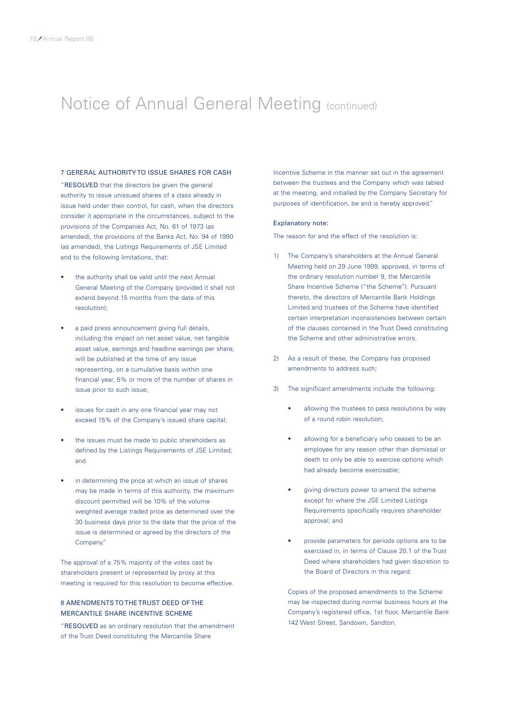### 7 GERERAL AUTHORITY TO ISSUE SHARES FOR CASH

"RESOLVED that the directors be given the general authority to issue unissued shares of a class already in issue held under their control, for cash, when the directors consider it appropriate in the circumstances, subject to the provisions of the Companies Act, No. 61 of 1973 (as amended), the provisions of the Banks Act, No. 94 of 1990 (as amended), the Listings Requirements of JSE Limited and to the following limitations, that:

- the authority shall be valid until the next Annual General Meeting of the Company (provided it shall not extend beyond 15 months from the date of this resolution);
- a paid press announcement giving full details, including the impact on net asset value, net tangible asset value, earnings and headline earnings per share, will be published at the time of any issue representing, on a cumulative basis within one financial year, 5% or more of the number of shares in issue prior to such issue;
- issues for cash in any one financial year may not exceed 15% of the Company's issued share capital;
- the issues must be made to public shareholders as defined by the Listings Requirements of JSE Limited; and
- in determining the price at which an issue of shares may be made in terms of this authority, the maximum discount permitted will be 10% of the volume weighted average traded price as determined over the 30 business days prior to the date that the price of the issue is determined or agreed by the directors of the Company."

The approval of a 75% majority of the votes cast by shareholders present or represented by proxy at this meeting is required for this resolution to become effective.

### 8 AMENDMENTS TO THE TRUST DEED OF THE MERCANTILE SHARE INCENTIVE SCHEME

"RESOLVED as an ordinary resolution that the amendment of the Trust Deed constituting the Mercantile Share

Incentive Scheme in the manner set out in the agreement between the trustees and the Company which was tabled at the meeting, and initialled by the Company Secretary for purposes of identification, be and is hereby approved."

#### Explanatory note:

The reason for and the effect of the resolution is:

- 1) The Company's shareholders at the Annual General Meeting held on 29 June 1999, approved, in terms of the ordinary resolution number 9, the Mercantile Share Incentive Scheme ("the Scheme"). Pursuant thereto, the directors of Mercantile Bank Holdings Limited and trustees of the Scheme have identified certain interpretation inconsistencies between certain of the clauses contained in the Trust Deed constituting the Scheme and other administrative errors.
- 2) As a result of these, the Company has proposed amendments to address such;
- 3) The significant amendments include the following:
	- allowing the trustees to pass resolutions by way of a round robin resolution;
	- allowing for a beneficiary who ceases to be an employee for any reason other than dismissal or death to only be able to exercise options which had already become exercisable;
	- giving directors power to amend the scheme except for where the JSE Limited Listings Requirements specifically requires shareholder approval; and
	- provide parameters for periods options are to be exercised in, in terms of Clause 20.1 of the Trust Deed where shareholders had given discretion to the Board of Directors in this regard.

Copies of the proposed amendments to the Scheme may be inspected during normal business hours at the Company's registered office, 1st floor, Mercantile Bank 142 West Street, Sandown, Sandton.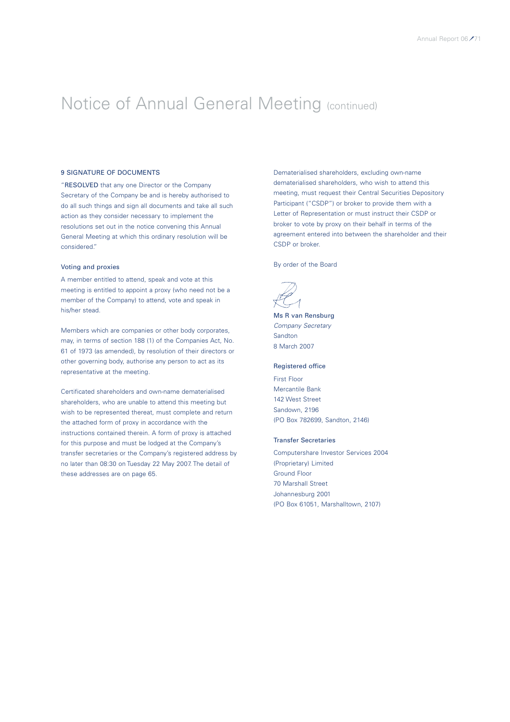### 9 SIGNATURE OF DOCUMENTS

"RESOLVED that any one Director or the Company Secretary of the Company be and is hereby authorised to do all such things and sign all documents and take all such action as they consider necessary to implement the resolutions set out in the notice convening this Annual General Meeting at which this ordinary resolution will be considered."

### Voting and proxies

A member entitled to attend, speak and vote at this meeting is entitled to appoint a proxy (who need not be a member of the Company) to attend, vote and speak in his/her stead.

Members which are companies or other body corporates, may, in terms of section 188 (1) of the Companies Act, No. 61 of 1973 (as amended), by resolution of their directors or other governing body, authorise any person to act as its representative at the meeting.

Certificated shareholders and own-name dematerialised shareholders, who are unable to attend this meeting but wish to be represented thereat, must complete and return the attached form of proxy in accordance with the instructions contained therein. A form of proxy is attached for this purpose and must be lodged at the Company's transfer secretaries or the Company's registered address by no later than 08:30 on Tuesday 22 May 2007. The detail of these addresses are on page 65.

Dematerialised shareholders, excluding own-name dematerialised shareholders, who wish to attend this meeting, must request their Central Securities Depository Participant ("CSDP") or broker to provide them with a Letter of Representation or must instruct their CSDP or broker to vote by proxy on their behalf in terms of the agreement entered into between the shareholder and their CSDP or broker.

By order of the Board

Ms R van Rensburg *Company Secretary* Sandton 8 March 2007

### Registered office

First Floor Mercantile Bank 142 West Street Sandown, 2196 (PO Box 782699, Sandton, 2146)

#### Transfer Secretaries

Computershare Investor Services 2004 (Proprietary) Limited Ground Floor 70 Marshall Street Johannesburg 2001 (PO Box 61051, Marshalltown, 2107)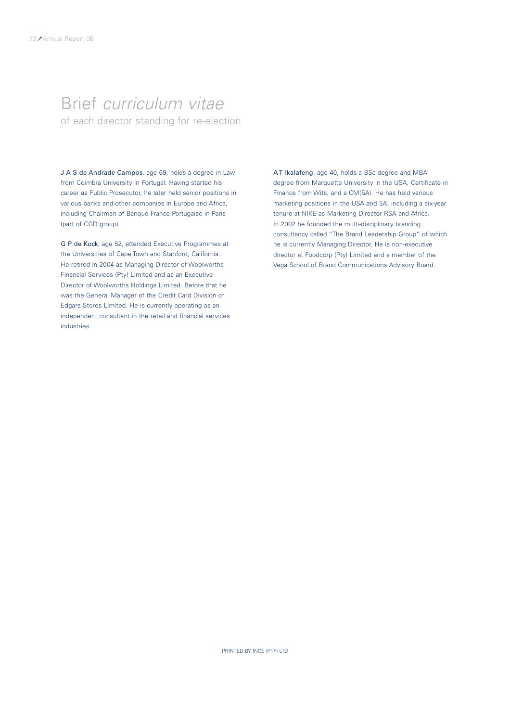### Brief *curriculum vitae*  of each director standing for re-election

J A S de Andrade Campos, age 69, holds a degree in Law from Coimbra University in Portugal. Having started his career as Public Prosecutor, he later held senior positions in various banks and other companies in Europe and Africa, including Chairman of Banque Franco Portugaise in Paris (part of CGD group).

G P de Kock, age 52, attended Executive Programmes at the Universities of Cape Town and Stanford, California. He retired in 2004 as Managing Director of Woolworths Financial Services (Pty) Limited and as an Executive Director of Woolworths Holdings Limited. Before that he was the General Manager of the Credit Card Division of Edgars Stores Limited. He is currently operating as an independent consultant in the retail and financial services industries.

AT Ikalafeng, age 40, holds a BSc degree and MBA degree from Marquette University in the USA, Certificate in Finance from Wits, and a CM(SA). He has held various marketing positions in the USA and SA, including a six-year tenure at NIKE as Marketing Director RSA and Africa. In 2002 he founded the multi-disciplinary branding consultancy called "The Brand Leadership Group" of which he is currently Managing Director. He is non-executive director at Foodcorp (Pty) Limited and a member of the Vega School of Brand Communications Advisory Board.

PRINTED BY INCE (PTY) LTD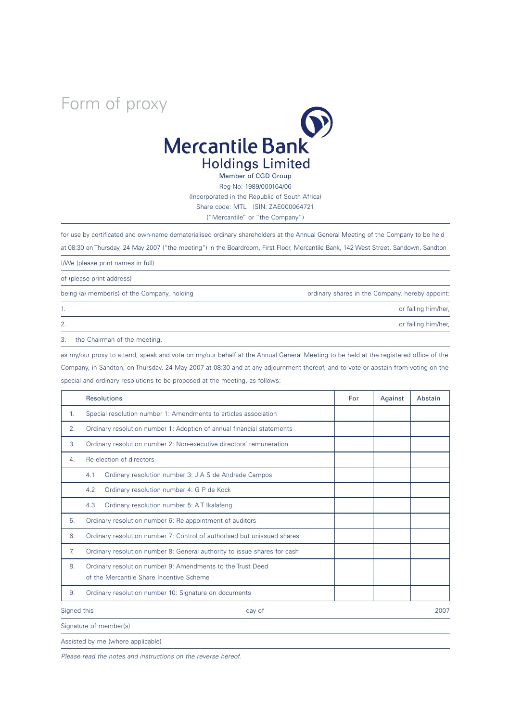## Form of proxy



Member of CGD Group Reg No: 1989/000164/06 (Incorporated in the Republic of South Africa) Share code: MTL ISIN: ZAE000064721 ("Mercantile" or "the Company")

for use by certificated and own-name dematerialised ordinary shareholders at the Annual General Meeting of the Company to be held at 08:30 on Thursday, 24 May 2007 ("the meeting") in the Boardroom, First Floor, Mercantile Bank, 142 West Street, Sandown, Sandton

I/We (please print names in full)

of (please print address)

being (a) member(s) of the Company, holding ordinary shares in the Company, hereby appoint:

1. The contract of the contract of the contract of the contract of the contract of the contract of the contract of the contract of the contract of the contract of the contract of the contract of the contract of the contrac

2. or failing him/her,

3. the Chairman of the meeting,

as my/our proxy to attend, speak and vote on my/our behalf at the Annual General Meeting to be held at the registered office of the Company, in Sandton, on Thursday, 24 May 2007 at 08:30 and at any adjournment thereof, and to vote or abstain from voting on the special and ordinary resolutions to be proposed at the meeting, as follows:

|                       | <b>Resolutions</b>                                                                                     | For | Against | Abstain |
|-----------------------|--------------------------------------------------------------------------------------------------------|-----|---------|---------|
| $\mathbf{1}$ .        | Special resolution number 1: Amendments to articles association                                        |     |         |         |
| 2.                    | Ordinary resolution number 1: Adoption of annual financial statements                                  |     |         |         |
| 3.                    | Ordinary resolution number 2: Non-executive directors' remuneration                                    |     |         |         |
| 4.                    | Re-election of directors                                                                               |     |         |         |
|                       | Ordinary resolution number 3: J A S de Andrade Campos<br>4.1                                           |     |         |         |
|                       | Ordinary resolution number 4: G P de Kock<br>4.2                                                       |     |         |         |
|                       | 4.3<br>Ordinary resolution number 5: AT Ikalafeng                                                      |     |         |         |
| 5.                    | Ordinary resolution number 6: Re-appointment of auditors                                               |     |         |         |
| 6.                    | Ordinary resolution number 7: Control of authorised but unissued shares                                |     |         |         |
| 7.                    | Ordinary resolution number 8: General authority to issue shares for cash                               |     |         |         |
| 8.                    | Ordinary resolution number 9: Amendments to the Trust Deed<br>of the Mercantile Share Incentive Scheme |     |         |         |
| 9.                    | Ordinary resolution number 10: Signature on documents                                                  |     |         |         |
| Signed this<br>day of |                                                                                                        |     |         | 2007    |
|                       | Signature of member(s)                                                                                 |     |         |         |

Assisted by me (where applicable)

*Please read the notes and instructions on the reverse hereof.*